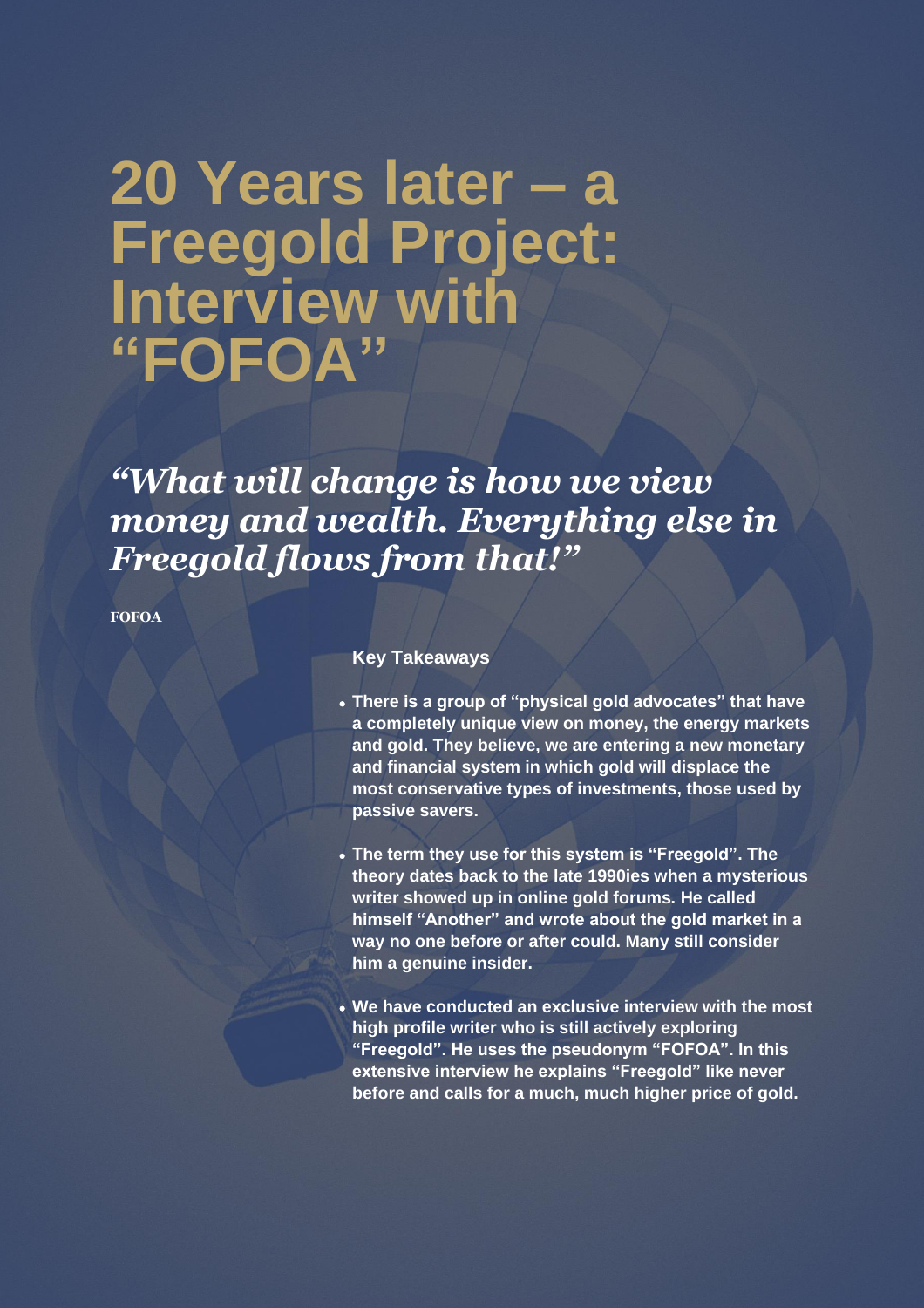# **20 Years later – a Freegold Project: Interview with "FOFOA"**

# *"What will change is how we view money and wealth. Everything else in Freegold flows from that!"*

**FOFOA**

# **Key Takeaways**

- **There is a group of "physical gold advocates" that have a completely unique view on money, the energy markets and gold. They believe, we are entering a new monetary and financial system in which gold will displace the most conservative types of investments, those used by passive savers.**
- **The term they use for this system is "Freegold". The theory dates back to the late 1990ies when a mysterious writer showed up in online gold forums. He called himself "Another" and wrote about the gold market in a way no one before or after could. Many still consider him a genuine insider.**
- **We have conducted an exclusive interview with the most high profile writer who is still actively exploring "Freegold". He uses the pseudonym "FOFOA". In this extensive interview he explains "Freegold" like never before and calls for a much, much higher price of gold.**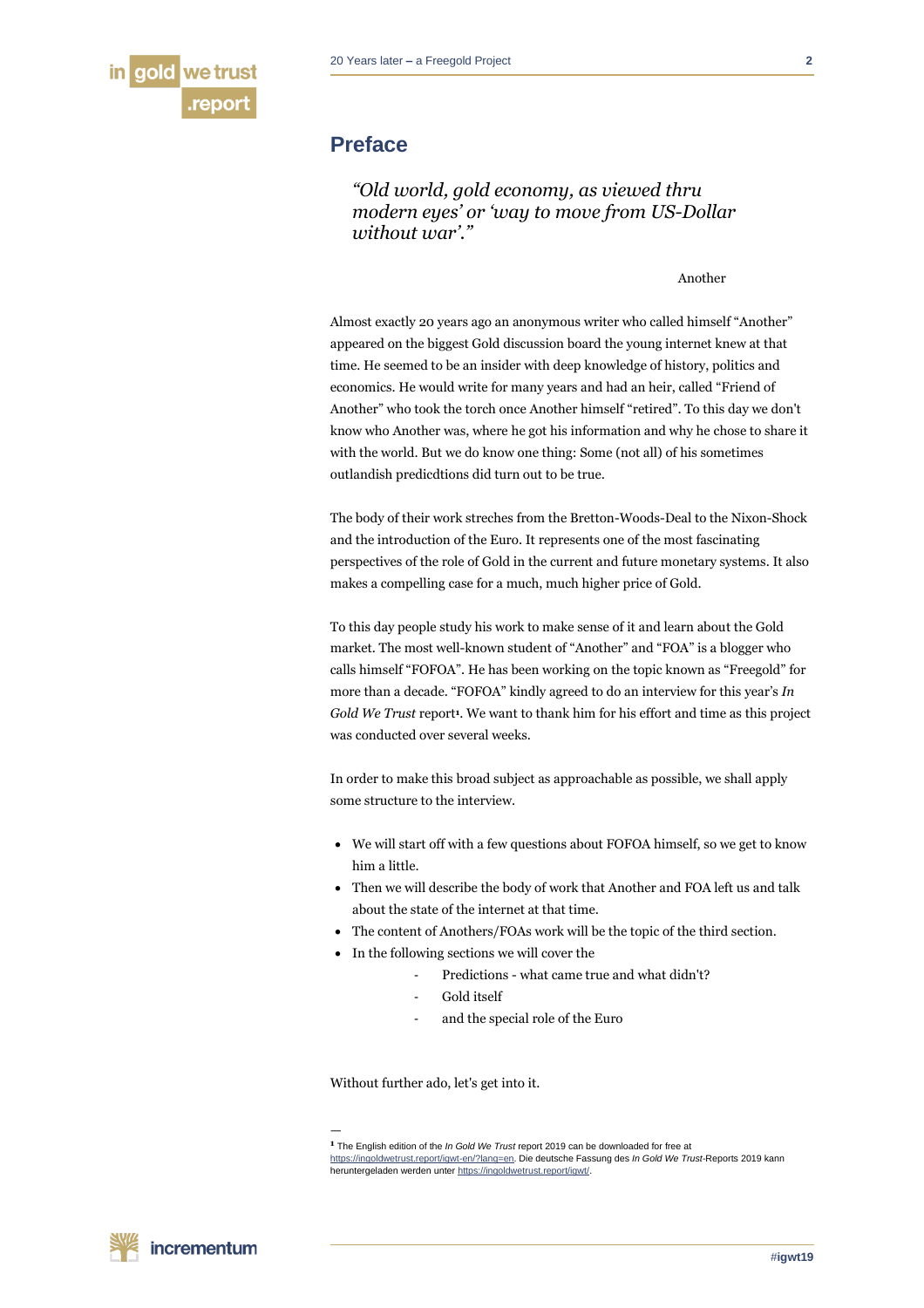

# **Preface**

*"Old world, gold economy, as viewed thru modern eyes' or 'way to move from US-Dollar without war'."*

Another

Almost exactly 20 years ago an anonymous writer who called himself "Another" appeared on the biggest Gold discussion board the young internet knew at that time. He seemed to be an insider with deep knowledge of history, politics and economics. He would write for many years and had an heir, called "Friend of Another" who took the torch once Another himself "retired". To this day we don't know who Another was, where he got his information and why he chose to share it with the world. But we do know one thing: Some (not all) of his sometimes outlandish predicdtions did turn out to be true.

The body of their work streches from the Bretton-Woods-Deal to the Nixon-Shock and the introduction of the Euro. It represents one of the most fascinating perspectives of the role of Gold in the current and future monetary systems. It also makes a compelling case for a much, much higher price of Gold.

To this day people study his work to make sense of it and learn about the Gold market. The most well-known student of "Another" and "FOA" is a blogger who calls himself "FOFOA". He has been working on the topic known as "Freegold" for more than a decade. "FOFOA" kindly agreed to do an interview for this year's *In Gold We Trust* report<sup>1</sup>. We want to thank him for his effort and time as this project was conducted over several weeks.

In order to make this broad subject as approachable as possible, we shall apply some structure to the interview.

- We will start off with a few questions about FOFOA himself, so we get to know him a little.
- Then we will describe the body of work that Another and FOA left us and talk about the state of the internet at that time.
- The content of Anothers/FOAs work will be the topic of the third section.
- In the following sections we will cover the
	- Predictions what came true and what didn't?
		- Gold itself
		- and the special role of the Euro

Without further ado, let's get into it.

—

**<sup>1</sup>** The English edition of the *In Gold We Trust* report 2019 can be downloaded for free at [https://ingoldwetrust.report/igwt-en/?lang=en.](https://ingoldwetrust.report/igwt-en/?lang=en) Die deutsche Fassung des *In Gold We Trust*-Reports 2019 kann heruntergeladen werden unte[r https://ingoldwetrust.report/igwt/.](https://ingoldwetrust.report/igwt/)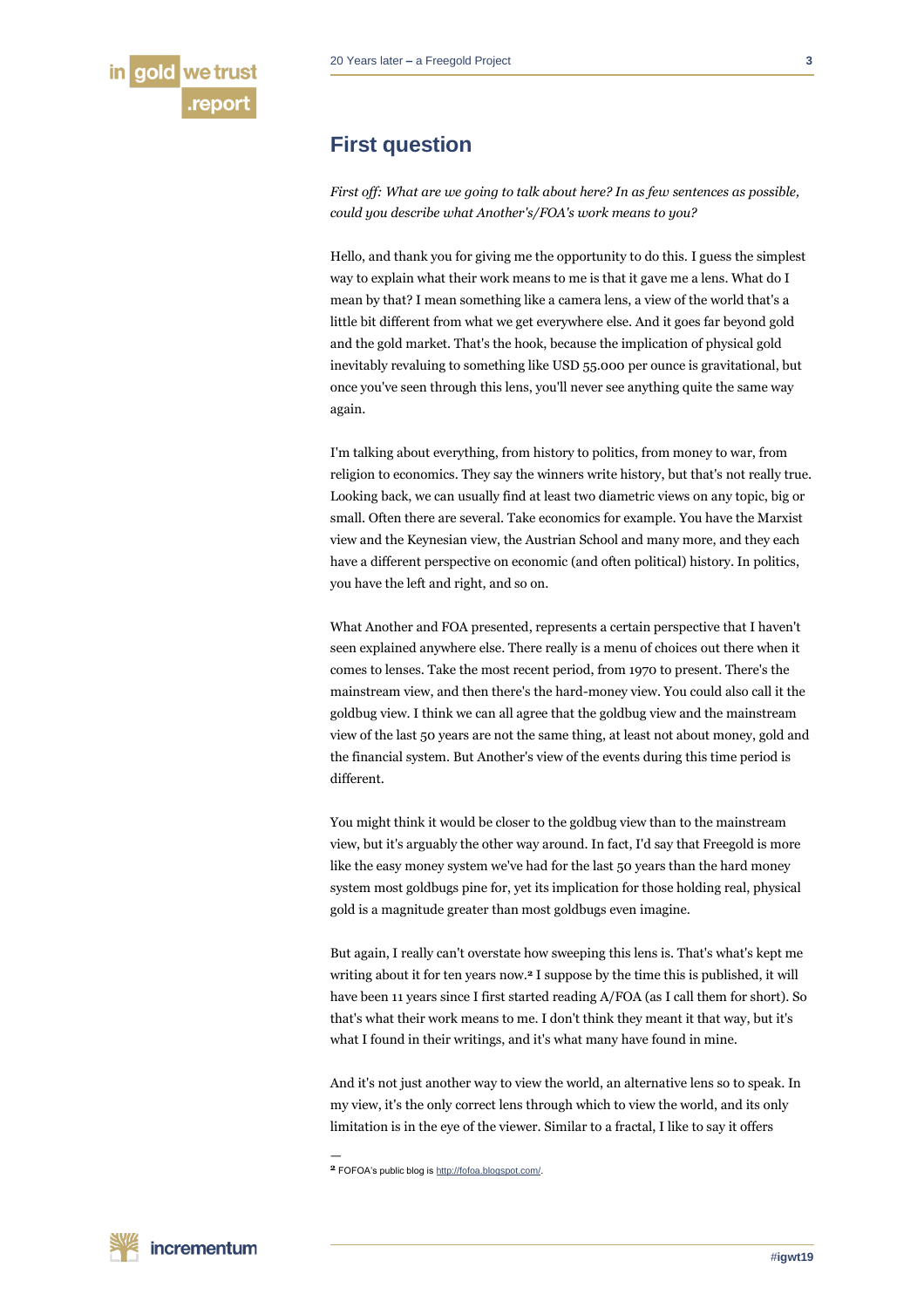# **First question**

*First off: What are we going to talk about here? In as few sentences as possible, could you describe what Another's/FOA's work means to you?*

Hello, and thank you for giving me the opportunity to do this. I guess the simplest way to explain what their work means to me is that it gave me a lens. What do I mean by that? I mean something like a camera lens, a view of the world that's a little bit different from what we get everywhere else. And it goes far beyond gold and the gold market. That's the hook, because the implication of physical gold inevitably revaluing to something like USD 55.000 per ounce is gravitational, but once you've seen through this lens, you'll never see anything quite the same way again.

I'm talking about everything, from history to politics, from money to war, from religion to economics. They say the winners write history, but that's not really true. Looking back, we can usually find at least two diametric views on any topic, big or small. Often there are several. Take economics for example. You have the Marxist view and the Keynesian view, the Austrian School and many more, and they each have a different perspective on economic (and often political) history. In politics, you have the left and right, and so on.

What Another and FOA presented, represents a certain perspective that I haven't seen explained anywhere else. There really is a menu of choices out there when it comes to lenses. Take the most recent period, from 1970 to present. There's the mainstream view, and then there's the hard-money view. You could also call it the goldbug view. I think we can all agree that the goldbug view and the mainstream view of the last 50 years are not the same thing, at least not about money, gold and the financial system. But Another's view of the events during this time period is different.

You might think it would be closer to the goldbug view than to the mainstream view, but it's arguably the other way around. In fact, I'd say that Freegold is more like the easy money system we've had for the last 50 years than the hard money system most goldbugs pine for, yet its implication for those holding real, physical gold is a magnitude greater than most goldbugs even imagine.

But again, I really can't overstate how sweeping this lens is. That's what's kept me writing about it for ten years now.**<sup>2</sup>** I suppose by the time this is published, it will have been 11 years since I first started reading A/FOA (as I call them for short). So that's what their work means to me. I don't think they meant it that way, but it's what I found in their writings, and it's what many have found in mine.

And it's not just another way to view the world, an alternative lens so to speak. In my view, it's the only correct lens through which to view the world, and its only limitation is in the eye of the viewer. Similar to a fractal, I like to say it offers

**2** FOFOA's public blog i[s http://fofoa.blogspot.com/.](http://fofoa.blogspot.com/)

—

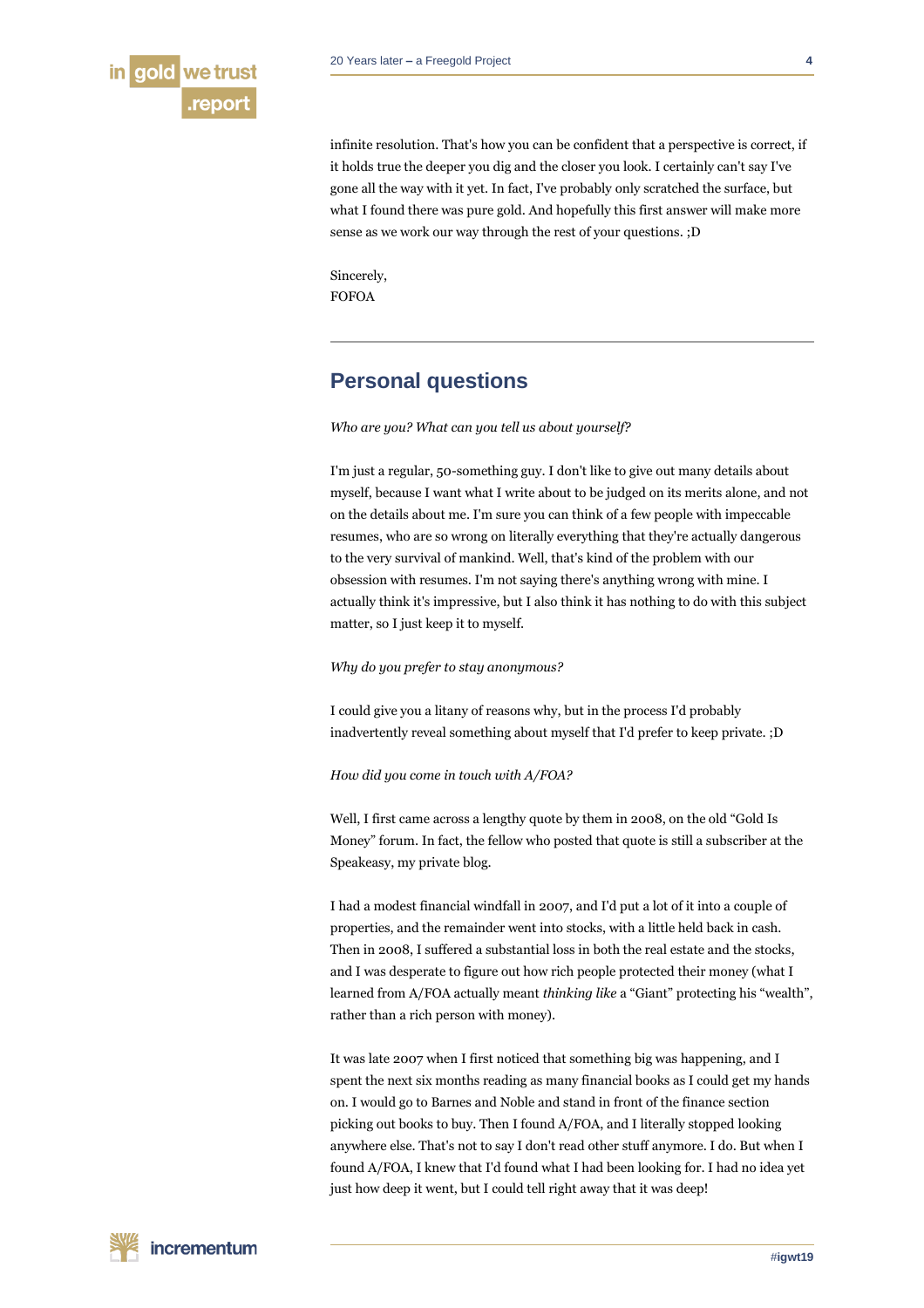

infinite resolution. That's how you can be confident that a perspective is correct, if it holds true the deeper you dig and the closer you look. I certainly can't say I've gone all the way with it yet. In fact, I've probably only scratched the surface, but what I found there was pure gold. And hopefully this first answer will make more sense as we work our way through the rest of your questions. ;D

Sincerely, FOFOA

# **Personal questions**

*Who are you? What can you tell us about yourself?*

I'm just a regular, 50-something guy. I don't like to give out many details about myself, because I want what I write about to be judged on its merits alone, and not on the details about me. I'm sure you can think of a few people with impeccable resumes, who are so wrong on literally everything that they're actually dangerous to the very survival of mankind. Well, that's kind of the problem with our obsession with resumes. I'm not saying there's anything wrong with mine. I actually think it's impressive, but I also think it has nothing to do with this subject matter, so I just keep it to myself.

# *Why do you prefer to stay anonymous?*

I could give you a litany of reasons why, but in the process I'd probably inadvertently reveal something about myself that I'd prefer to keep private. ;D

# *How did you come in touch with A/FOA?*

Well, I first came across a lengthy quote by them in 2008, on the old "Gold Is Money" forum. In fact, the fellow who posted that quote is still a subscriber at the Speakeasy, my private blog.

I had a modest financial windfall in 2007, and I'd put a lot of it into a couple of properties, and the remainder went into stocks, with a little held back in cash. Then in 2008, I suffered a substantial loss in both the real estate and the stocks, and I was desperate to figure out how rich people protected their money (what I learned from A/FOA actually meant *thinking like* a "Giant" protecting his "wealth", rather than a rich person with money).

It was late 2007 when I first noticed that something big was happening, and I spent the next six months reading as many financial books as I could get my hands on. I would go to Barnes and Noble and stand in front of the finance section picking out books to buy. Then I found A/FOA, and I literally stopped looking anywhere else. That's not to say I don't read other stuff anymore. I do. But when I found A/FOA, I knew that I'd found what I had been looking for. I had no idea yet just how deep it went, but I could tell right away that it was deep!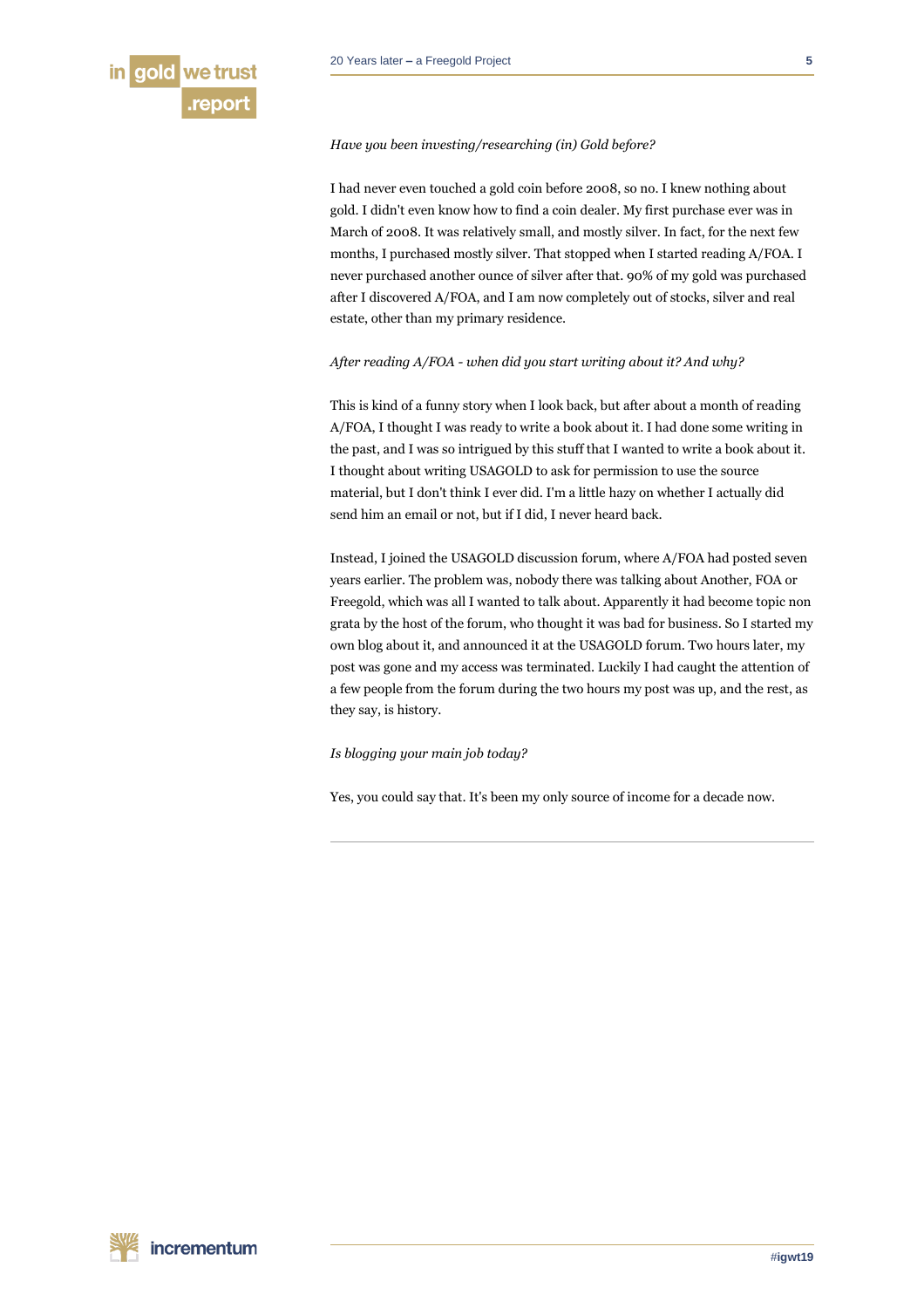#### *Have you been investing/researching (in) Gold before?*

I had never even touched a gold coin before 2008, so no. I knew nothing about gold. I didn't even know how to find a coin dealer. My first purchase ever was in March of 2008. It was relatively small, and mostly silver. In fact, for the next few months, I purchased mostly silver. That stopped when I started reading A/FOA. I never purchased another ounce of silver after that. 90% of my gold was purchased after I discovered A/FOA, and I am now completely out of stocks, silver and real estate, other than my primary residence.

# *After reading A/FOA - when did you start writing about it? And why?*

This is kind of a funny story when I look back, but after about a month of reading A/FOA, I thought I was ready to write a book about it. I had done some writing in the past, and I was so intrigued by this stuff that I wanted to write a book about it. I thought about writing USAGOLD to ask for permission to use the source material, but I don't think I ever did. I'm a little hazy on whether I actually did send him an email or not, but if I did, I never heard back.

Instead, I joined the USAGOLD discussion forum, where A/FOA had posted seven years earlier. The problem was, nobody there was talking about Another, FOA or Freegold, which was all I wanted to talk about. Apparently it had become topic non grata by the host of the forum, who thought it was bad for business. So I started my own blog about it, and announced it at the USAGOLD forum. Two hours later, my post was gone and my access was terminated. Luckily I had caught the attention of a few people from the forum during the two hours my post was up, and the rest, as they say, is history.

*Is blogging your main job today?* 

Yes, you could say that. It's been my only source of income for a decade now.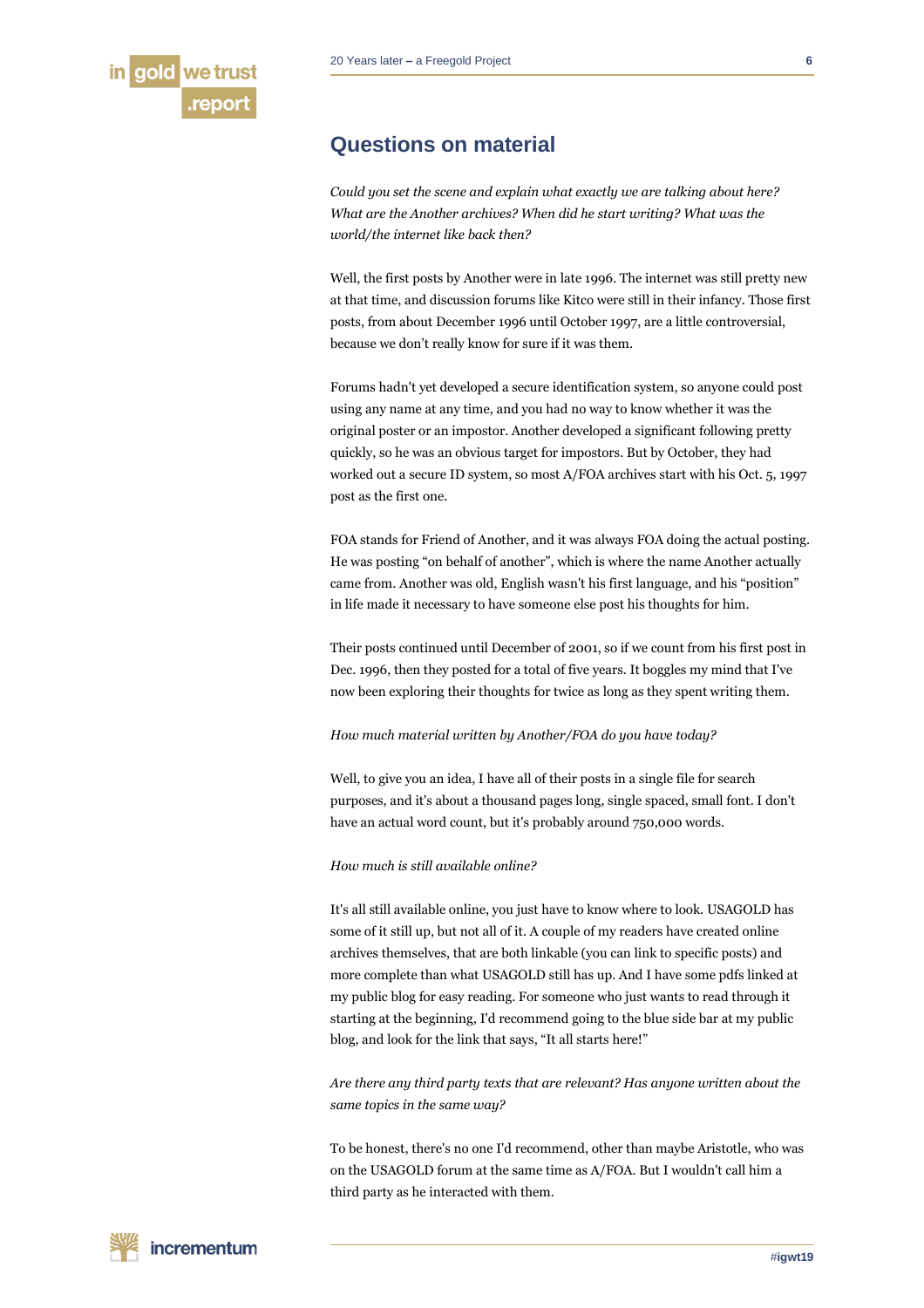# **Questions on material**

*Could you set the scene and explain what exactly we are talking about here? What are the Another archives? When did he start writing? What was the world/the internet like back then?*

Well, the first posts by Another were in late 1996. The internet was still pretty new at that time, and discussion forums like Kitco were still in their infancy. Those first posts, from about December 1996 until October 1997, are a little controversial, because we don't really know for sure if it was them.

Forums hadn't yet developed a secure identification system, so anyone could post using any name at any time, and you had no way to know whether it was the original poster or an impostor. Another developed a significant following pretty quickly, so he was an obvious target for impostors. But by October, they had worked out a secure ID system, so most A/FOA archives start with his Oct. 5, 1997 post as the first one.

FOA stands for Friend of Another, and it was always FOA doing the actual posting. He was posting "on behalf of another", which is where the name Another actually came from. Another was old, English wasn't his first language, and his "position" in life made it necessary to have someone else post his thoughts for him.

Their posts continued until December of 2001, so if we count from his first post in Dec. 1996, then they posted for a total of five years. It boggles my mind that I've now been exploring their thoughts for twice as long as they spent writing them.

*How much material written by Another/FOA do you have today?*

Well, to give you an idea, I have all of their posts in a single file for search purposes, and it's about a thousand pages long, single spaced, small font. I don't have an actual word count, but it's probably around 750,000 words.

# *How much is still available online?*

It's all still available online, you just have to know where to look. USAGOLD has some of it still up, but not all of it. A couple of my readers have created online archives themselves, that are both linkable (you can link to specific posts) and more complete than what USAGOLD still has up. And I have some pdfs linked at my public blog for easy reading. For someone who just wants to read through it starting at the beginning, I'd recommend going to the blue side bar at my public blog, and look for the link that says, "It all starts here!"

*Are there any third party texts that are relevant? Has anyone written about the same topics in the same way?*

To be honest, there's no one I'd recommend, other than maybe Aristotle, who was on the USAGOLD forum at the same time as A/FOA. But I wouldn't call him a third party as he interacted with them.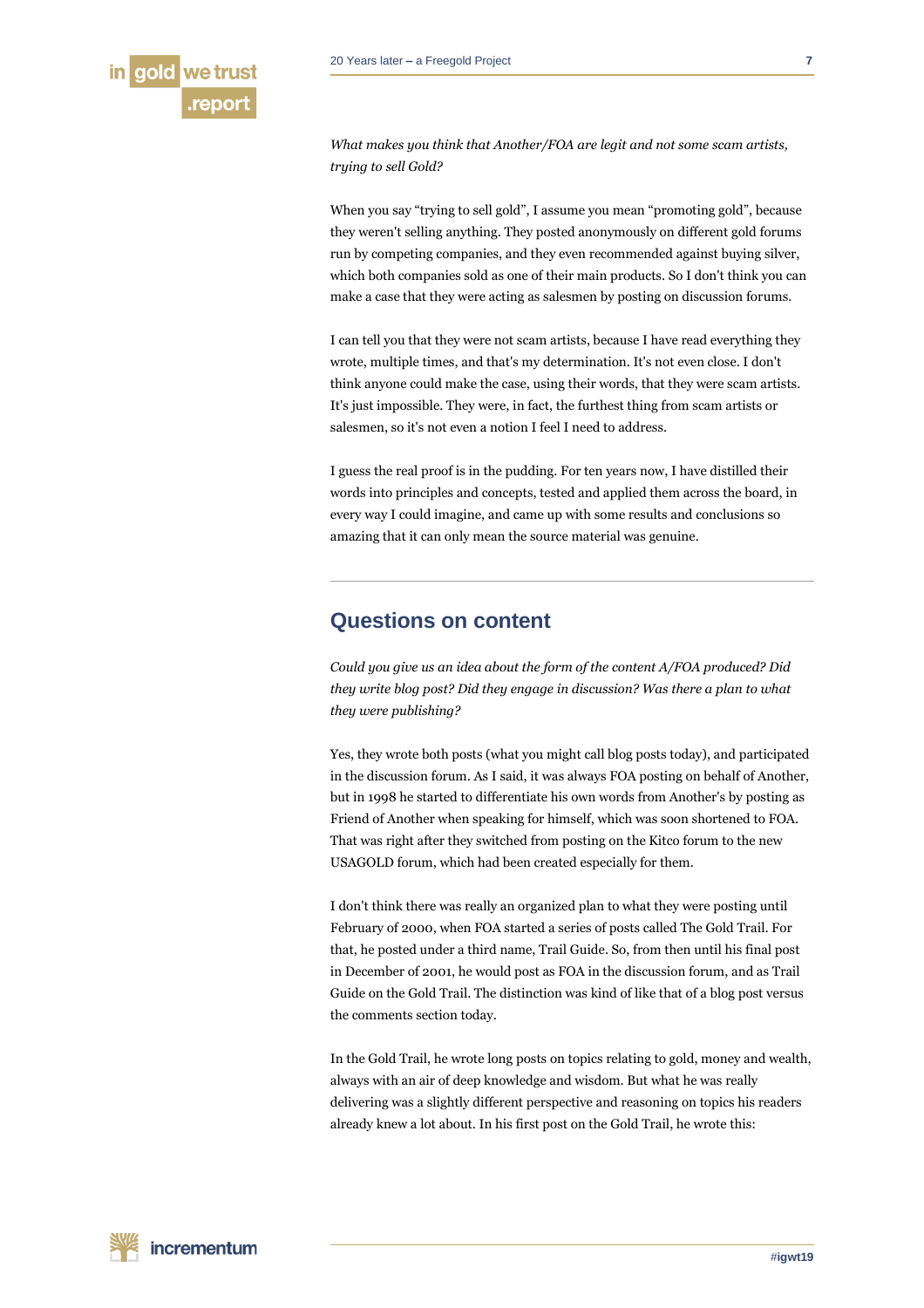

*What makes you think that Another/FOA are legit and not some scam artists, trying to sell Gold?* 

When you say "trying to sell gold", I assume you mean "promoting gold", because they weren't selling anything. They posted anonymously on different gold forums run by competing companies, and they even recommended against buying silver, which both companies sold as one of their main products. So I don't think you can make a case that they were acting as salesmen by posting on discussion forums.

I can tell you that they were not scam artists, because I have read everything they wrote, multiple times, and that's my determination. It's not even close. I don't think anyone could make the case, using their words, that they were scam artists. It's just impossible. They were, in fact, the furthest thing from scam artists or salesmen, so it's not even a notion I feel I need to address.

I guess the real proof is in the pudding. For ten years now, I have distilled their words into principles and concepts, tested and applied them across the board, in every way I could imagine, and came up with some results and conclusions so amazing that it can only mean the source material was genuine.

# **Questions on content**

*Could you give us an idea about the form of the content A/FOA produced? Did they write blog post? Did they engage in discussion? Was there a plan to what they were publishing?*

Yes, they wrote both posts (what you might call blog posts today), and participated in the discussion forum. As I said, it was always FOA posting on behalf of Another, but in 1998 he started to differentiate his own words from Another's by posting as Friend of Another when speaking for himself, which was soon shortened to FOA. That was right after they switched from posting on the Kitco forum to the new USAGOLD forum, which had been created especially for them.

I don't think there was really an organized plan to what they were posting until February of 2000, when FOA started a series of posts called The Gold Trail. For that, he posted under a third name, Trail Guide. So, from then until his final post in December of 2001, he would post as FOA in the discussion forum, and as Trail Guide on the Gold Trail. The distinction was kind of like that of a blog post versus the comments section today.

In the Gold Trail, he wrote long posts on topics relating to gold, money and wealth, always with an air of deep knowledge and wisdom. But what he was really delivering was a slightly different perspective and reasoning on topics his readers already knew a lot about. In his first post on the Gold Trail, he wrote this: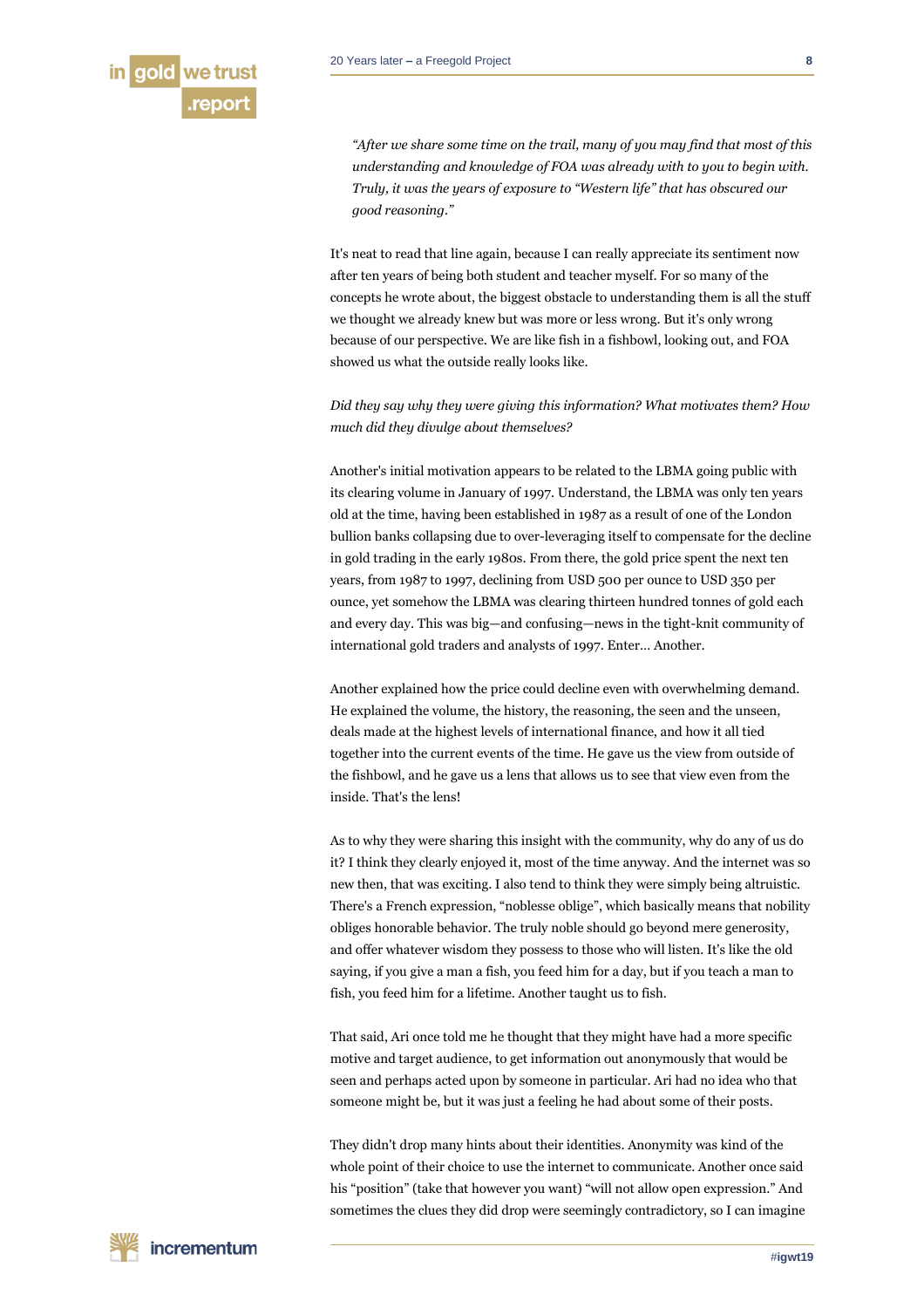*"After we share some time on the trail, many of you may find that most of this understanding and knowledge of FOA was already with to you to begin with. Truly, it was the years of exposure to "Western life" that has obscured our good reasoning."*

It's neat to read that line again, because I can really appreciate its sentiment now after ten years of being both student and teacher myself. For so many of the concepts he wrote about, the biggest obstacle to understanding them is all the stuff we thought we already knew but was more or less wrong. But it's only wrong because of our perspective. We are like fish in a fishbowl, looking out, and FOA showed us what the outside really looks like.

*Did they say why they were giving this information? What motivates them? How much did they divulge about themselves?*

Another's initial motivation appears to be related to the LBMA going public with its clearing volume in January of 1997. Understand, the LBMA was only ten years old at the time, having been established in 1987 as a result of one of the London bullion banks collapsing due to over-leveraging itself to compensate for the decline in gold trading in the early 1980s. From there, the gold price spent the next ten years, from 1987 to 1997, declining from USD 500 per ounce to USD 350 per ounce, yet somehow the LBMA was clearing thirteen hundred tonnes of gold each and every day. This was big—and confusing—news in the tight-knit community of international gold traders and analysts of 1997. Enter… Another.

Another explained how the price could decline even with overwhelming demand. He explained the volume, the history, the reasoning, the seen and the unseen, deals made at the highest levels of international finance, and how it all tied together into the current events of the time. He gave us the view from outside of the fishbowl, and he gave us a lens that allows us to see that view even from the inside. That's the lens!

As to why they were sharing this insight with the community, why do any of us do it? I think they clearly enjoyed it, most of the time anyway. And the internet was so new then, that was exciting. I also tend to think they were simply being altruistic. There's a French expression, "noblesse oblige", which basically means that nobility obliges honorable behavior. The truly noble should go beyond mere generosity, and offer whatever wisdom they possess to those who will listen. It's like the old saying, if you give a man a fish, you feed him for a day, but if you teach a man to fish, you feed him for a lifetime. Another taught us to fish.

That said, Ari once told me he thought that they might have had a more specific motive and target audience, to get information out anonymously that would be seen and perhaps acted upon by someone in particular. Ari had no idea who that someone might be, but it was just a feeling he had about some of their posts.

They didn't drop many hints about their identities. Anonymity was kind of the whole point of their choice to use the internet to communicate. Another once said his "position" (take that however you want) "will not allow open expression." And sometimes the clues they did drop were seemingly contradictory, so I can imagine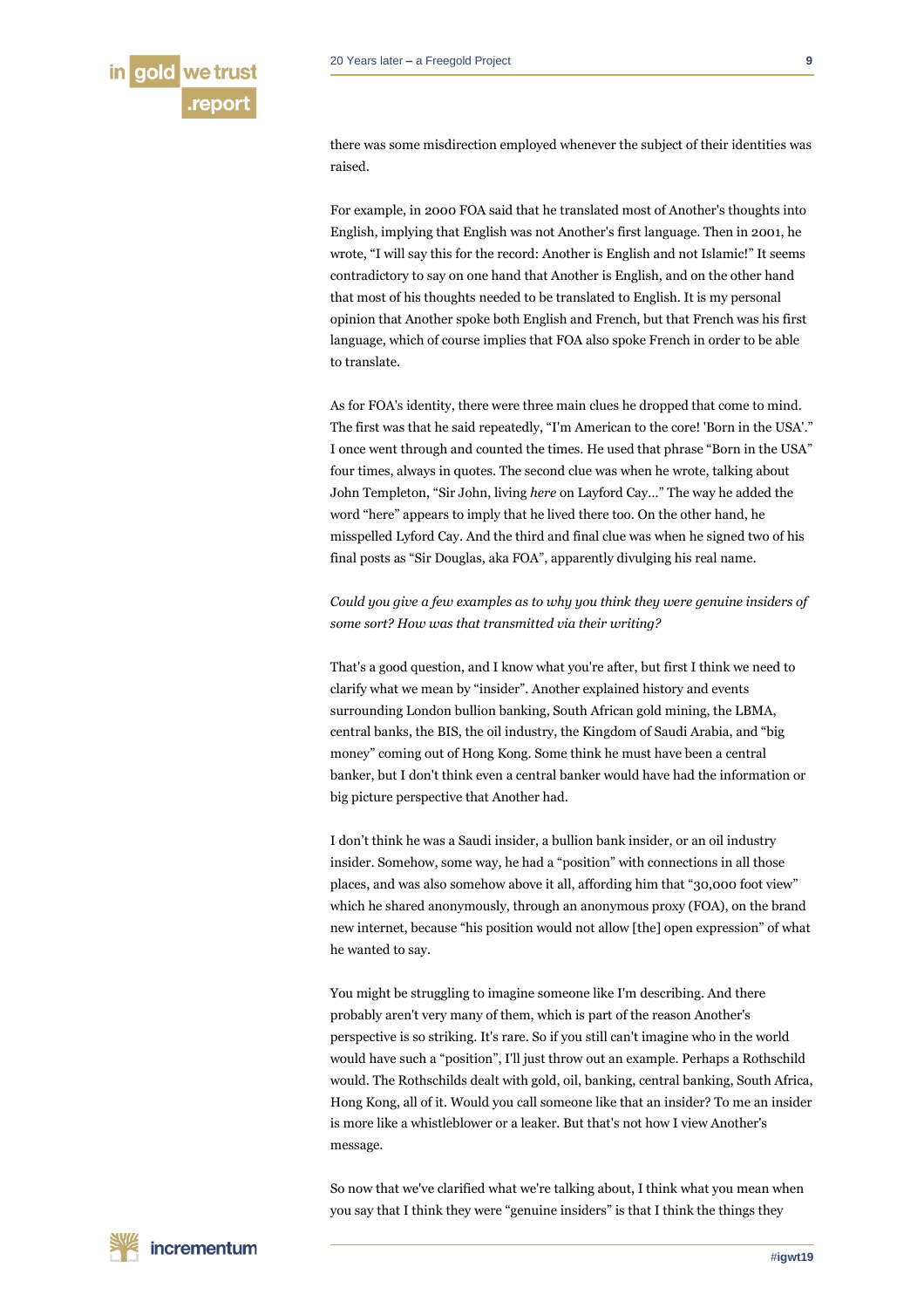there was some misdirection employed whenever the subject of their identities was raised.

For example, in 2000 FOA said that he translated most of Another's thoughts into English, implying that English was not Another's first language. Then in 2001, he wrote, "I will say this for the record: Another is English and not Islamic!" It seems contradictory to say on one hand that Another is English, and on the other hand that most of his thoughts needed to be translated to English. It is my personal opinion that Another spoke both English and French, but that French was his first language, which of course implies that FOA also spoke French in order to be able to translate.

As for FOA's identity, there were three main clues he dropped that come to mind. The first was that he said repeatedly, "I'm American to the core! 'Born in the USA'." I once went through and counted the times. He used that phrase "Born in the USA" four times, always in quotes. The second clue was when he wrote, talking about John Templeton, "Sir John, living *here* on Layford Cay…" The way he added the word "here" appears to imply that he lived there too. On the other hand, he misspelled Lyford Cay. And the third and final clue was when he signed two of his final posts as "Sir Douglas, aka FOA", apparently divulging his real name.

# *Could you give a few examples as to why you think they were genuine insiders of some sort? How was that transmitted via their writing?*

That's a good question, and I know what you're after, but first I think we need to clarify what we mean by "insider". Another explained history and events surrounding London bullion banking, South African gold mining, the LBMA, central banks, the BIS, the oil industry, the Kingdom of Saudi Arabia, and "big money" coming out of Hong Kong. Some think he must have been a central banker, but I don't think even a central banker would have had the information or big picture perspective that Another had.

I don't think he was a Saudi insider, a bullion bank insider, or an oil industry insider. Somehow, some way, he had a "position" with connections in all those places, and was also somehow above it all, affording him that "30,000 foot view" which he shared anonymously, through an anonymous proxy (FOA), on the brand new internet, because "his position would not allow [the] open expression" of what he wanted to say.

You might be struggling to imagine someone like I'm describing. And there probably aren't very many of them, which is part of the reason Another's perspective is so striking. It's rare. So if you still can't imagine who in the world would have such a "position", I'll just throw out an example. Perhaps a Rothschild would. The Rothschilds dealt with gold, oil, banking, central banking, South Africa, Hong Kong, all of it. Would you call someone like that an insider? To me an insider is more like a whistleblower or a leaker. But that's not how I view Another's message.

So now that we've clarified what we're talking about, I think what you mean when you say that I think they were "genuine insiders" is that I think the things they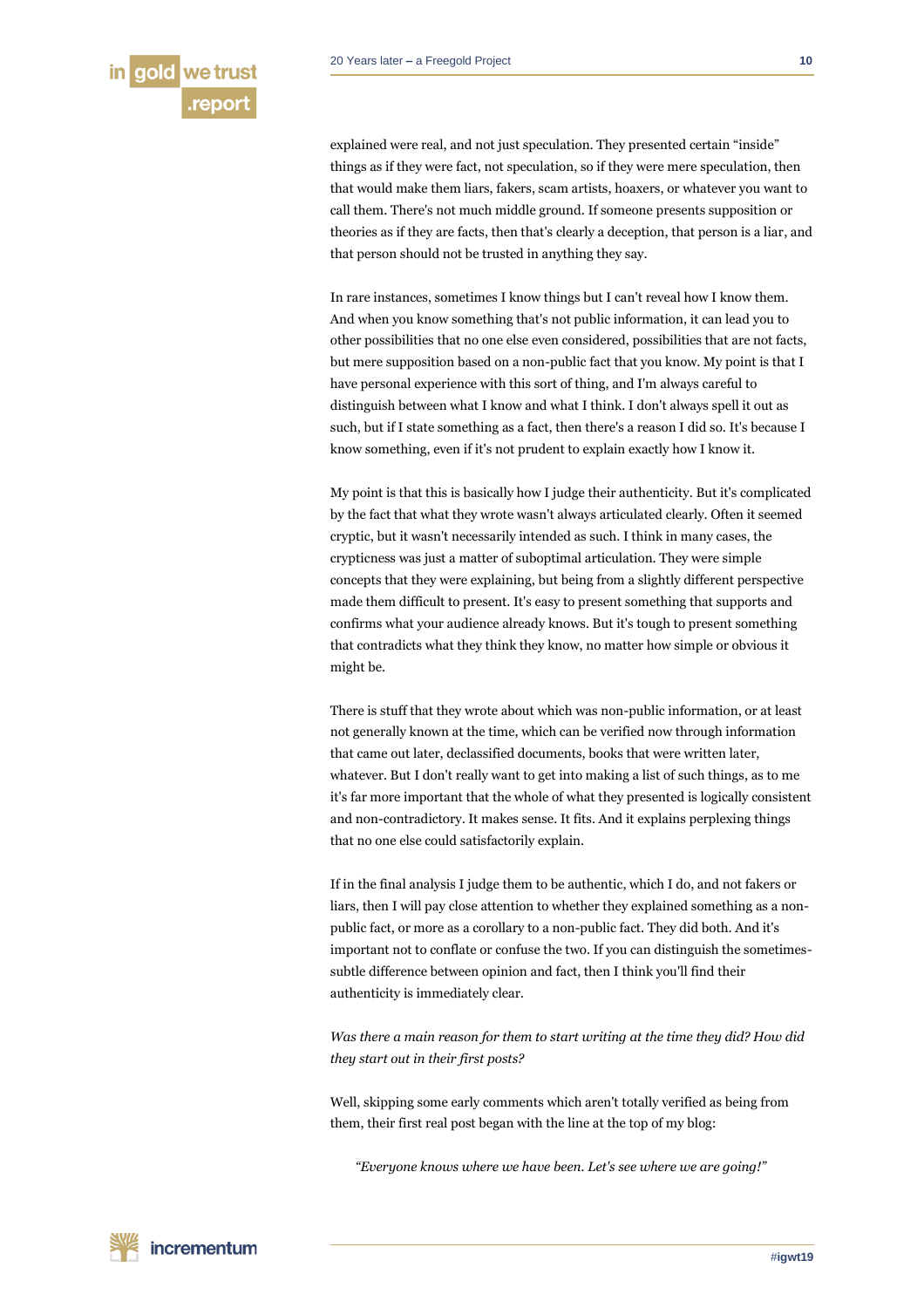explained were real, and not just speculation. They presented certain "inside" things as if they were fact, not speculation, so if they were mere speculation, then that would make them liars, fakers, scam artists, hoaxers, or whatever you want to call them. There's not much middle ground. If someone presents supposition or theories as if they are facts, then that's clearly a deception, that person is a liar, and that person should not be trusted in anything they say.

In rare instances, sometimes I know things but I can't reveal how I know them. And when you know something that's not public information, it can lead you to other possibilities that no one else even considered, possibilities that are not facts, but mere supposition based on a non-public fact that you know. My point is that I have personal experience with this sort of thing, and I'm always careful to distinguish between what I know and what I think. I don't always spell it out as such, but if I state something as a fact, then there's a reason I did so. It's because I know something, even if it's not prudent to explain exactly how I know it.

My point is that this is basically how I judge their authenticity. But it's complicated by the fact that what they wrote wasn't always articulated clearly. Often it seemed cryptic, but it wasn't necessarily intended as such. I think in many cases, the crypticness was just a matter of suboptimal articulation. They were simple concepts that they were explaining, but being from a slightly different perspective made them difficult to present. It's easy to present something that supports and confirms what your audience already knows. But it's tough to present something that contradicts what they think they know, no matter how simple or obvious it might be.

There is stuff that they wrote about which was non-public information, or at least not generally known at the time, which can be verified now through information that came out later, declassified documents, books that were written later, whatever. But I don't really want to get into making a list of such things, as to me it's far more important that the whole of what they presented is logically consistent and non-contradictory. It makes sense. It fits. And it explains perplexing things that no one else could satisfactorily explain.

If in the final analysis I judge them to be authentic, which I do, and not fakers or liars, then I will pay close attention to whether they explained something as a nonpublic fact, or more as a corollary to a non-public fact. They did both. And it's important not to conflate or confuse the two. If you can distinguish the sometimessubtle difference between opinion and fact, then I think you'll find their authenticity is immediately clear.

*Was there a main reason for them to start writing at the time they did? How did they start out in their first posts?*

Well, skipping some early comments which aren't totally verified as being from them, their first real post began with the line at the top of my blog:

*"Everyone knows where we have been. Let's see where we are going!"*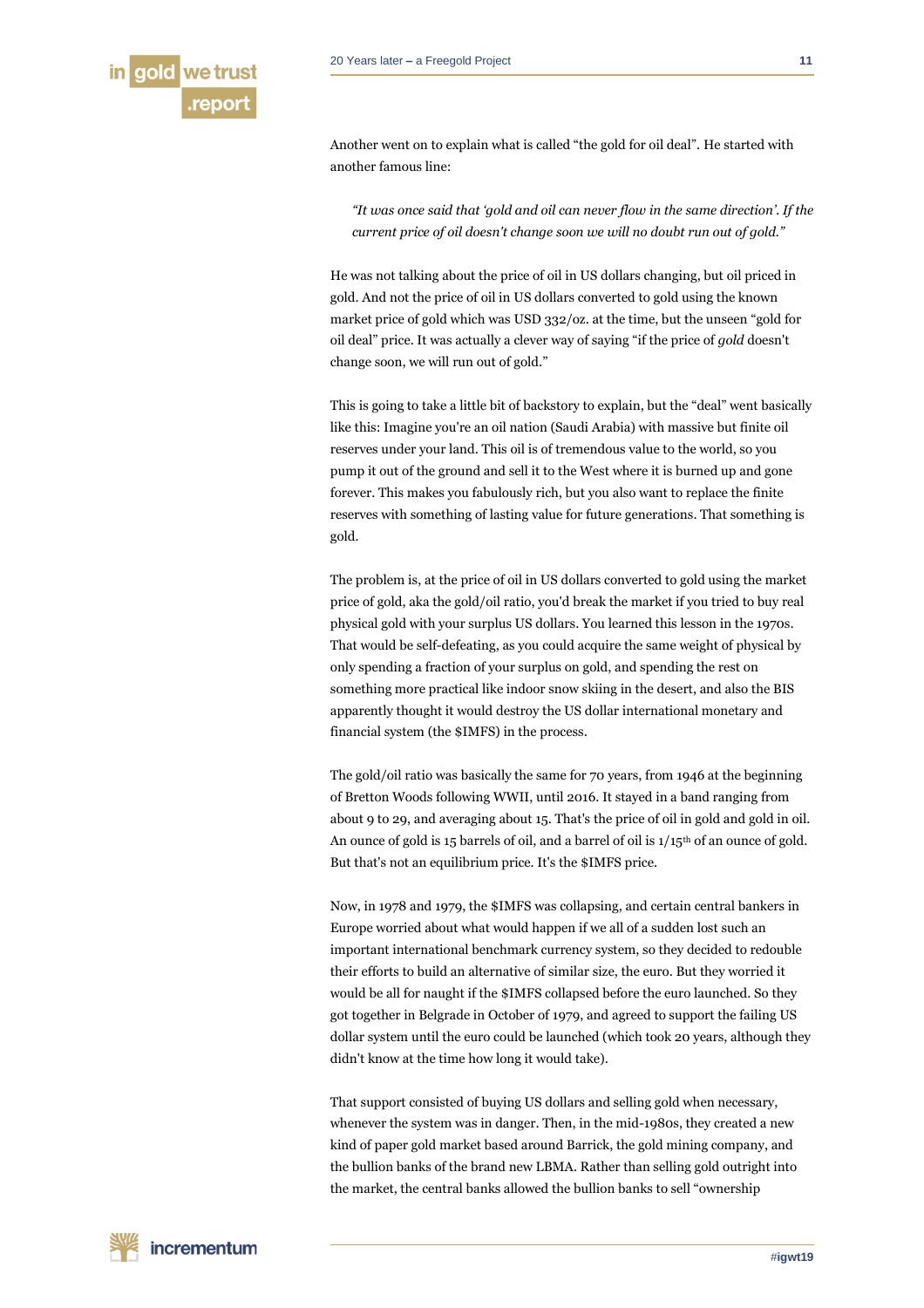

Another went on to explain what is called "the gold for oil deal". He started with another famous line:

*"It was once said that 'gold and oil can never flow in the same direction'. If the current price of oil doesn't change soon we will no doubt run out of gold."*

He was not talking about the price of oil in US dollars changing, but oil priced in gold. And not the price of oil in US dollars converted to gold using the known market price of gold which was USD 332/oz. at the time, but the unseen "gold for oil deal" price. It was actually a clever way of saying "if the price of *gold* doesn't change soon, we will run out of gold."

This is going to take a little bit of backstory to explain, but the "deal" went basically like this: Imagine you're an oil nation (Saudi Arabia) with massive but finite oil reserves under your land. This oil is of tremendous value to the world, so you pump it out of the ground and sell it to the West where it is burned up and gone forever. This makes you fabulously rich, but you also want to replace the finite reserves with something of lasting value for future generations. That something is gold.

The problem is, at the price of oil in US dollars converted to gold using the market price of gold, aka the gold/oil ratio, you'd break the market if you tried to buy real physical gold with your surplus US dollars. You learned this lesson in the 1970s. That would be self-defeating, as you could acquire the same weight of physical by only spending a fraction of your surplus on gold, and spending the rest on something more practical like indoor snow skiing in the desert, and also the BIS apparently thought it would destroy the US dollar international monetary and financial system (the \$IMFS) in the process.

The gold/oil ratio was basically the same for 70 years, from 1946 at the beginning of Bretton Woods following WWII, until 2016. It stayed in a band ranging from about 9 to 29, and averaging about 15. That's the price of oil in gold and gold in oil. An ounce of gold is 15 barrels of oil, and a barrel of oil is 1/15th of an ounce of gold. But that's not an equilibrium price. It's the \$IMFS price.

Now, in 1978 and 1979, the \$IMFS was collapsing, and certain central bankers in Europe worried about what would happen if we all of a sudden lost such an important international benchmark currency system, so they decided to redouble their efforts to build an alternative of similar size, the euro. But they worried it would be all for naught if the \$IMFS collapsed before the euro launched. So they got together in Belgrade in October of 1979, and agreed to support the failing US dollar system until the euro could be launched (which took 20 years, although they didn't know at the time how long it would take).

That support consisted of buying US dollars and selling gold when necessary, whenever the system was in danger. Then, in the mid-1980s, they created a new kind of paper gold market based around Barrick, the gold mining company, and the bullion banks of the brand new LBMA. Rather than selling gold outright into the market, the central banks allowed the bullion banks to sell "ownership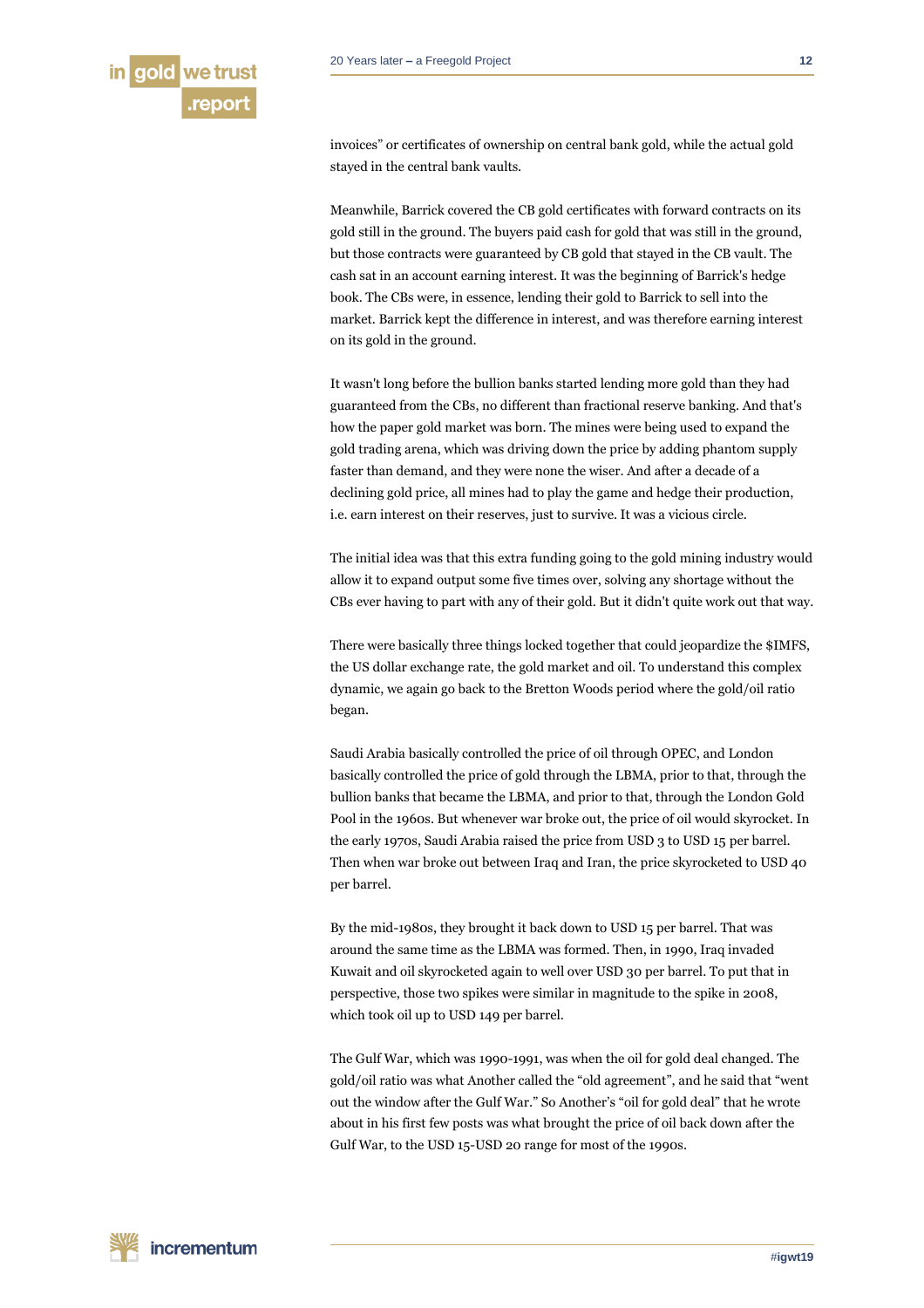invoices" or certificates of ownership on central bank gold, while the actual gold stayed in the central bank vaults.

Meanwhile, Barrick covered the CB gold certificates with forward contracts on its gold still in the ground. The buyers paid cash for gold that was still in the ground, but those contracts were guaranteed by CB gold that stayed in the CB vault. The cash sat in an account earning interest. It was the beginning of Barrick's hedge book. The CBs were, in essence, lending their gold to Barrick to sell into the market. Barrick kept the difference in interest, and was therefore earning interest on its gold in the ground.

It wasn't long before the bullion banks started lending more gold than they had guaranteed from the CBs, no different than fractional reserve banking. And that's how the paper gold market was born. The mines were being used to expand the gold trading arena, which was driving down the price by adding phantom supply faster than demand, and they were none the wiser. And after a decade of a declining gold price, all mines had to play the game and hedge their production, i.e. earn interest on their reserves, just to survive. It was a vicious circle.

The initial idea was that this extra funding going to the gold mining industry would allow it to expand output some five times over, solving any shortage without the CBs ever having to part with any of their gold. But it didn't quite work out that way.

There were basically three things locked together that could jeopardize the \$IMFS, the US dollar exchange rate, the gold market and oil. To understand this complex dynamic, we again go back to the Bretton Woods period where the gold/oil ratio began.

Saudi Arabia basically controlled the price of oil through OPEC, and London basically controlled the price of gold through the LBMA, prior to that, through the bullion banks that became the LBMA, and prior to that, through the London Gold Pool in the 1960s. But whenever war broke out, the price of oil would skyrocket. In the early 1970s, Saudi Arabia raised the price from USD 3 to USD 15 per barrel. Then when war broke out between Iraq and Iran, the price skyrocketed to USD 40 per barrel.

By the mid-1980s, they brought it back down to USD 15 per barrel. That was around the same time as the LBMA was formed. Then, in 1990, Iraq invaded Kuwait and oil skyrocketed again to well over USD 30 per barrel. To put that in perspective, those two spikes were similar in magnitude to the spike in 2008, which took oil up to USD 149 per barrel.

The Gulf War, which was 1990-1991, was when the oil for gold deal changed. The gold/oil ratio was what Another called the "old agreement", and he said that "went out the window after the Gulf War." So Another's "oil for gold deal" that he wrote about in his first few posts was what brought the price of oil back down after the Gulf War, to the USD 15-USD 20 range for most of the 1990s.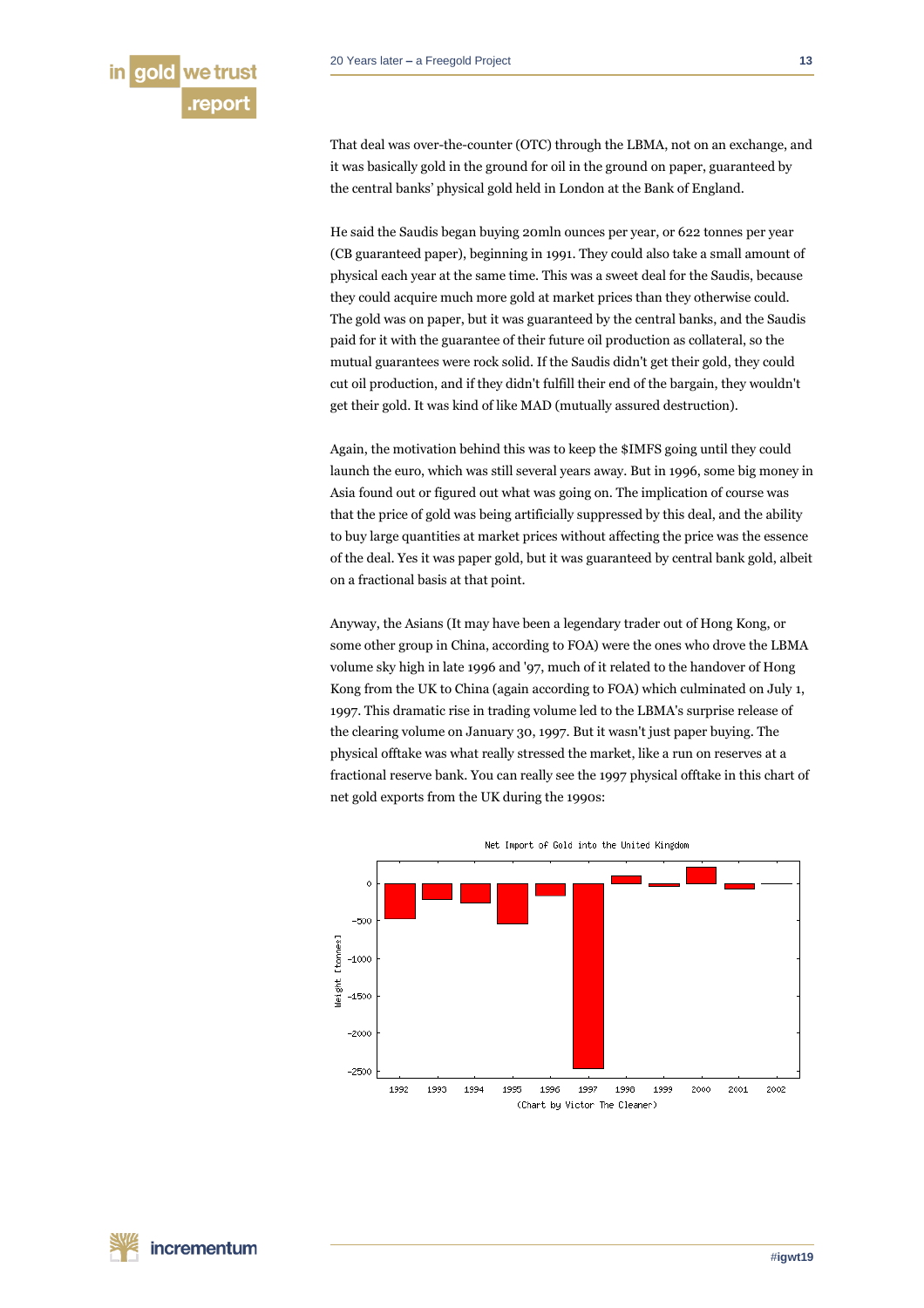That deal was over-the-counter (OTC) through the LBMA, not on an exchange, and it was basically gold in the ground for oil in the ground on paper, guaranteed by the central banks' physical gold held in London at the Bank of England.

He said the Saudis began buying 20mln ounces per year, or 622 tonnes per year (CB guaranteed paper), beginning in 1991. They could also take a small amount of physical each year at the same time. This was a sweet deal for the Saudis, because they could acquire much more gold at market prices than they otherwise could. The gold was on paper, but it was guaranteed by the central banks, and the Saudis paid for it with the guarantee of their future oil production as collateral, so the mutual guarantees were rock solid. If the Saudis didn't get their gold, they could cut oil production, and if they didn't fulfill their end of the bargain, they wouldn't get their gold. It was kind of like MAD (mutually assured destruction).

Again, the motivation behind this was to keep the \$IMFS going until they could launch the euro, which was still several years away. But in 1996, some big money in Asia found out or figured out what was going on. The implication of course was that the price of gold was being artificially suppressed by this deal, and the ability to buy large quantities at market prices without affecting the price was the essence of the deal. Yes it was paper gold, but it was guaranteed by central bank gold, albeit on a fractional basis at that point.

Anyway, the Asians (It may have been a legendary trader out of Hong Kong, or some other group in China, according to FOA) were the ones who drove the LBMA volume sky high in late 1996 and '97, much of it related to the handover of Hong Kong from the UK to China (again according to FOA) which culminated on July 1, 1997. This dramatic rise in trading volume led to the LBMA's surprise release of the clearing volume on January 30, 1997. But it wasn't just paper buying. The physical offtake was what really stressed the market, like a run on reserves at a fractional reserve bank. You can really see the 1997 physical offtake in this chart of net gold exports from the UK during the 1990s:

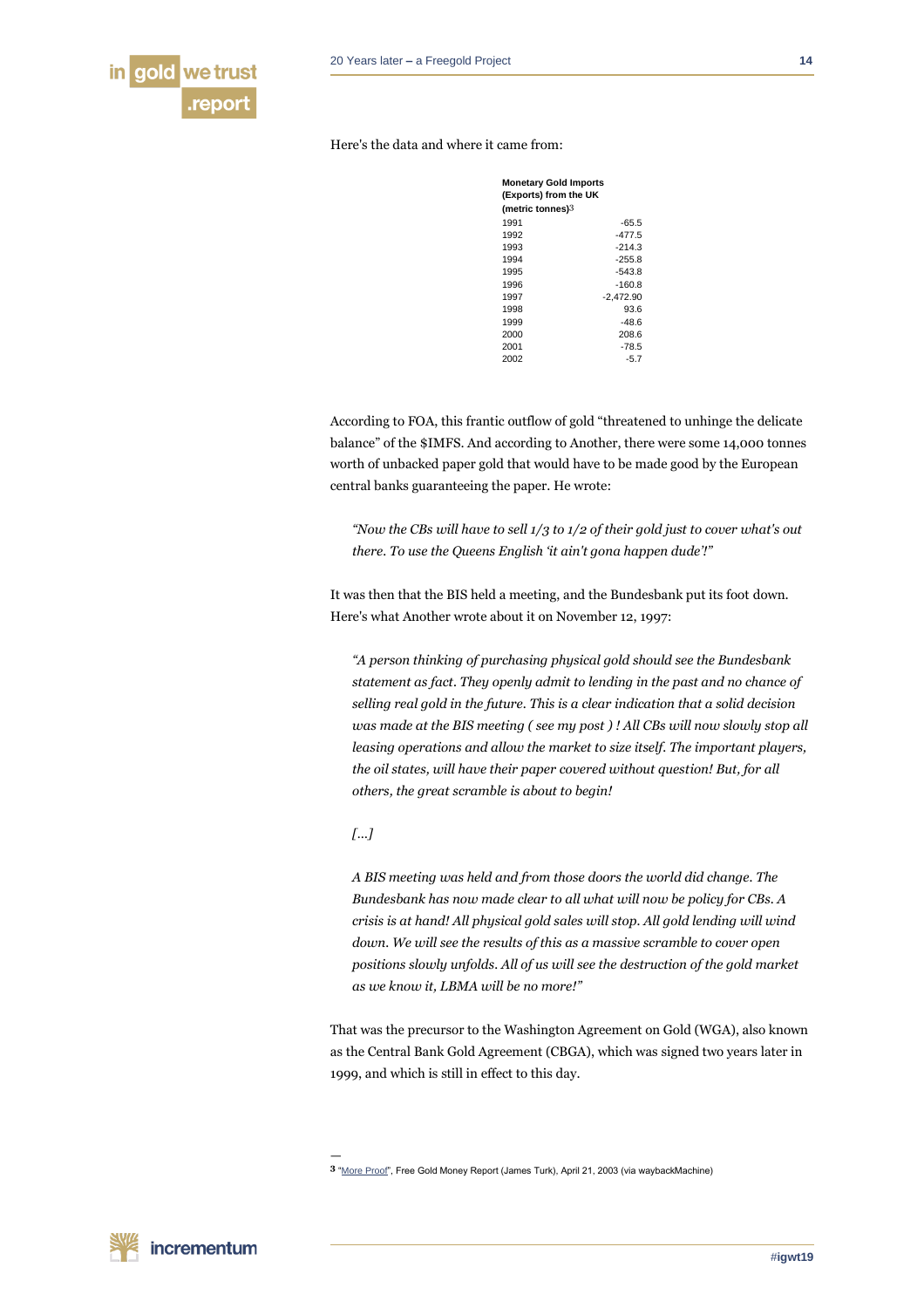

Here's the data and where it came from:

| <b>Monetary Gold Imports</b><br>(Exports) from the UK<br>(metric tonnes) $3\,$ |             |
|--------------------------------------------------------------------------------|-------------|
|                                                                                |             |
| 1992                                                                           | $-477.5$    |
| 1993                                                                           | $-214.3$    |
| 1994                                                                           | $-255.8$    |
| 1995                                                                           | $-543.8$    |
| 1996                                                                           | $-160.8$    |
| 1997                                                                           | $-2.472.90$ |
| 1998                                                                           | 93.6        |
| 1999                                                                           | $-48.6$     |
| 2000                                                                           | 208.6       |
| 2001                                                                           | $-78.5$     |
| 2002                                                                           | $-5.7$      |

According to FOA, this frantic outflow of gold "threatened to unhinge the delicate balance" of the \$IMFS. And according to Another, there were some 14,000 tonnes worth of unbacked paper gold that would have to be made good by the European central banks guaranteeing the paper. He wrote:

*"Now the CBs will have to sell 1/3 to 1/2 of their gold just to cover what's out there. To use the Queens English 'it ain't gona happen dude'!"*

It was then that the BIS held a meeting, and the Bundesbank put its foot down. Here's what Another wrote about it on November 12, 1997:

*"A person thinking of purchasing physical gold should see the Bundesbank statement as fact. They openly admit to lending in the past and no chance of selling real gold in the future. This is a clear indication that a solid decision was made at the BIS meeting ( see my post ) ! All CBs will now slowly stop all leasing operations and allow the market to size itself. The important players, the oil states, will have their paper covered without question! But, for all others, the great scramble is about to begin!*

# *[…]*

—

*A BIS meeting was held and from those doors the world did change. The Bundesbank has now made clear to all what will now be policy for CBs. A crisis is at hand! All physical gold sales will stop. All gold lending will wind down. We will see the results of this as a massive scramble to cover open positions slowly unfolds. All of us will see the destruction of the gold market as we know it, LBMA will be no more!"*

That was the precursor to the Washington Agreement on Gold (WGA), also known as the Central Bank Gold Agreement (CBGA), which was signed two years later in 1999, and which is still in effect to this day.

**<sup>3</sup>** ["More Proof",](https://web.archive.org/web/20140402141107/http:/www.fgmr.com/more-proof.html) Free Gold Money Report (James Turk), April 21, 2003 (via waybackMachine)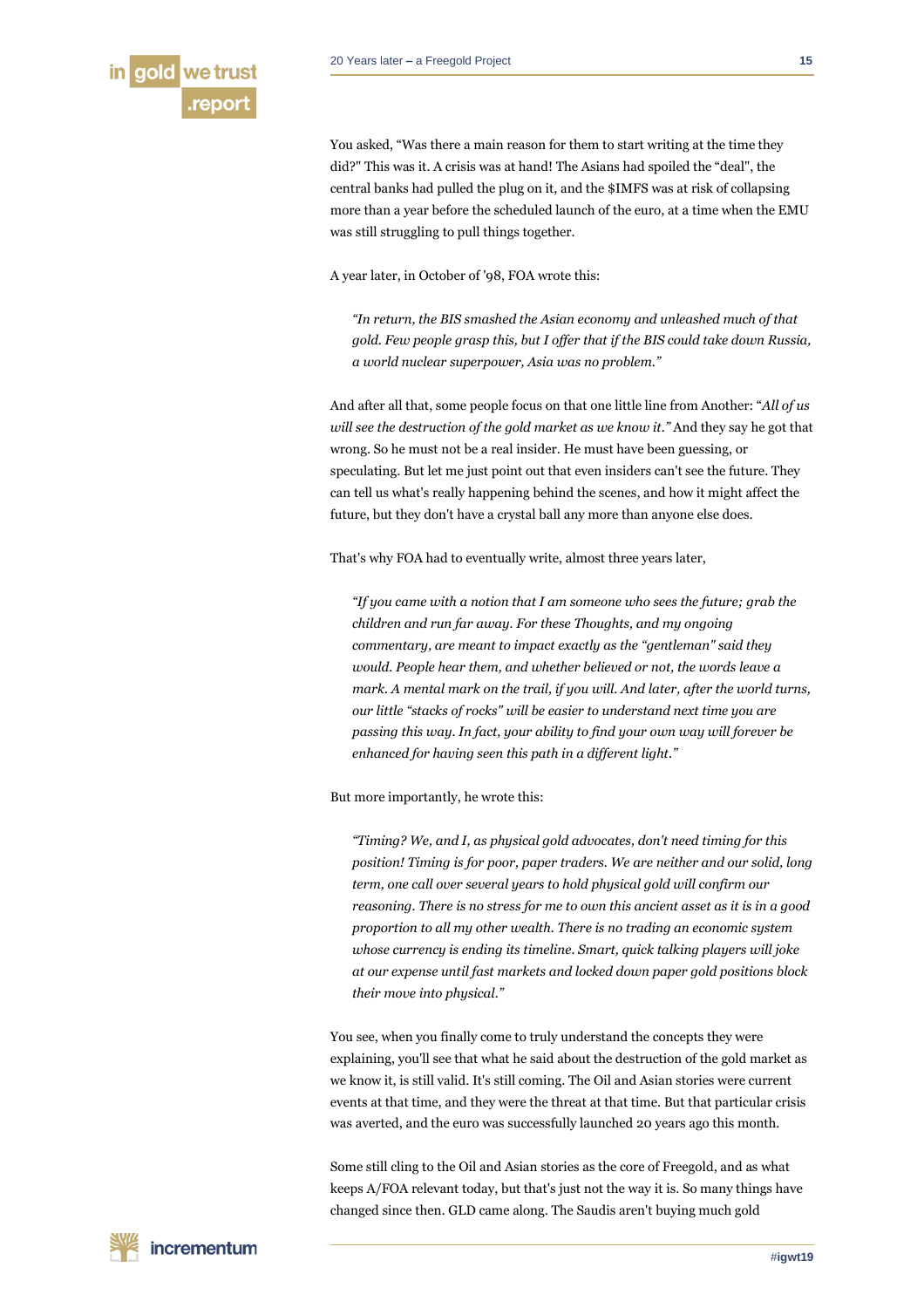

You asked, "Was there a main reason for them to start writing at the time they did?" This was it. A crisis was at hand! The Asians had spoiled the "deal", the central banks had pulled the plug on it, and the \$IMFS was at risk of collapsing more than a year before the scheduled launch of the euro, at a time when the EMU was still struggling to pull things together.

A year later, in October of '98, FOA wrote this:

*"In return, the BIS smashed the Asian economy and unleashed much of that gold. Few people grasp this, but I offer that if the BIS could take down Russia, a world nuclear superpower, Asia was no problem."*

And after all that, some people focus on that one little line from Another: "*All of us will see the destruction of the gold market as we know it."* And they say he got that wrong. So he must not be a real insider. He must have been guessing, or speculating. But let me just point out that even insiders can't see the future. They can tell us what's really happening behind the scenes, and how it might affect the future, but they don't have a crystal ball any more than anyone else does.

That's why FOA had to eventually write, almost three years later,

*"If you came with a notion that I am someone who sees the future; grab the children and run far away. For these Thoughts, and my ongoing commentary, are meant to impact exactly as the "gentleman" said they would. People hear them, and whether believed or not, the words leave a mark. A mental mark on the trail, if you will. And later, after the world turns, our little "stacks of rocks" will be easier to understand next time you are passing this way. In fact, your ability to find your own way will forever be enhanced for having seen this path in a different light."*

But more importantly, he wrote this:

*"Timing? We, and I, as physical gold advocates, don't need timing for this*  position! Timing is for poor, paper traders. We are neither and our solid, long *term, one call over several years to hold physical gold will confirm our reasoning. There is no stress for me to own this ancient asset as it is in a good proportion to all my other wealth. There is no trading an economic system whose currency is ending its timeline. Smart, quick talking players will joke at our expense until fast markets and locked down paper gold positions block their move into physical."*

You see, when you finally come to truly understand the concepts they were explaining, you'll see that what he said about the destruction of the gold market as we know it, is still valid. It's still coming. The Oil and Asian stories were current events at that time, and they were the threat at that time. But that particular crisis was averted, and the euro was successfully launched 20 years ago this month.

Some still cling to the Oil and Asian stories as the core of Freegold, and as what keeps A/FOA relevant today, but that's just not the way it is. So many things have changed since then. GLD came along. The Saudis aren't buying much gold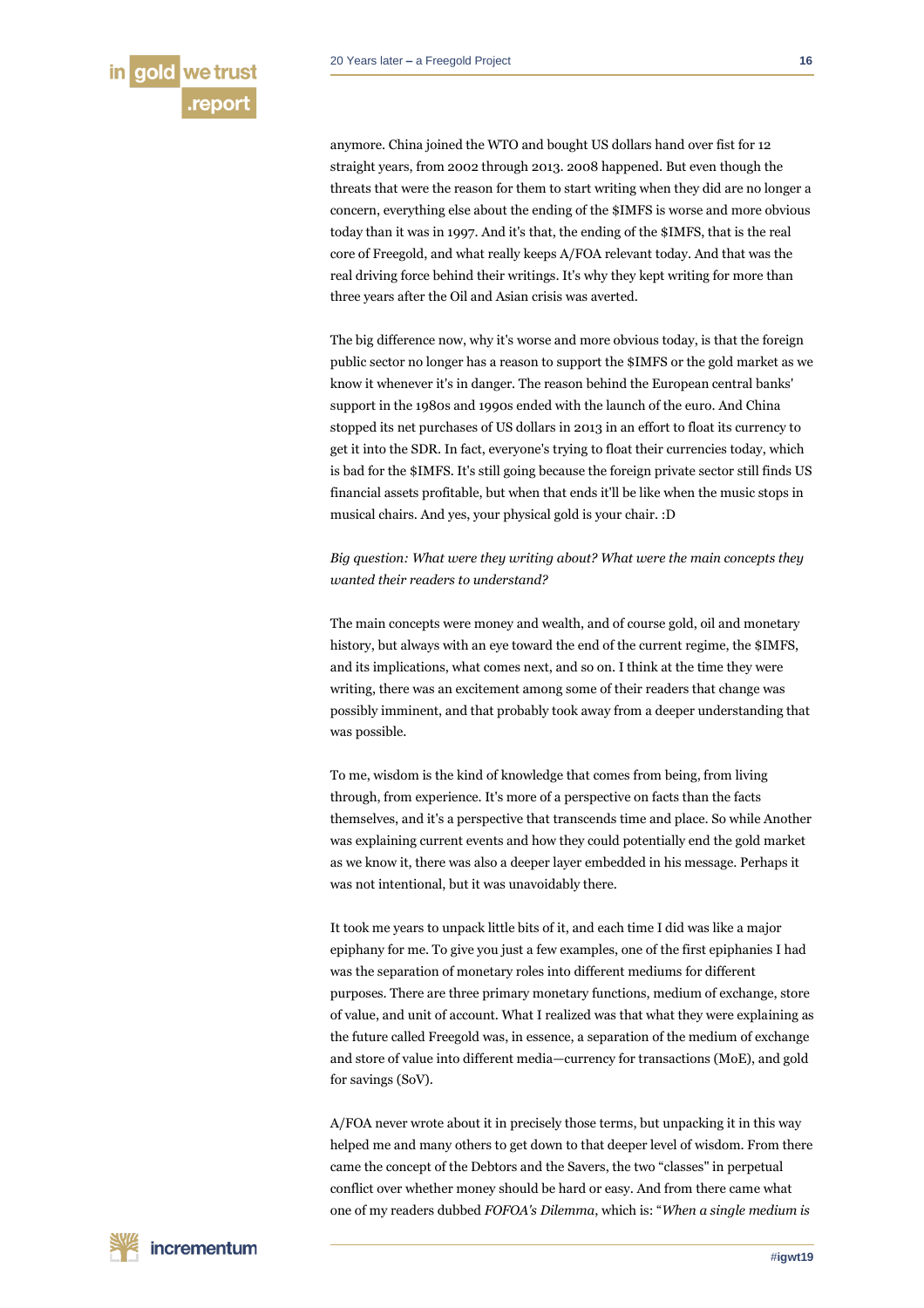anymore. China joined the WTO and bought US dollars hand over fist for 12 straight years, from 2002 through 2013. 2008 happened. But even though the threats that were the reason for them to start writing when they did are no longer a concern, everything else about the ending of the \$IMFS is worse and more obvious today than it was in 1997. And it's that, the ending of the \$IMFS, that is the real core of Freegold, and what really keeps A/FOA relevant today. And that was the real driving force behind their writings. It's why they kept writing for more than three years after the Oil and Asian crisis was averted.

The big difference now, why it's worse and more obvious today, is that the foreign public sector no longer has a reason to support the \$IMFS or the gold market as we know it whenever it's in danger. The reason behind the European central banks' support in the 1980s and 1990s ended with the launch of the euro. And China stopped its net purchases of US dollars in 2013 in an effort to float its currency to get it into the SDR. In fact, everyone's trying to float their currencies today, which is bad for the \$IMFS. It's still going because the foreign private sector still finds US financial assets profitable, but when that ends it'll be like when the music stops in musical chairs. And yes, your physical gold is your chair. :D

*Big question: What were they writing about? What were the main concepts they wanted their readers to understand?*

The main concepts were money and wealth, and of course gold, oil and monetary history, but always with an eye toward the end of the current regime, the \$IMFS, and its implications, what comes next, and so on. I think at the time they were writing, there was an excitement among some of their readers that change was possibly imminent, and that probably took away from a deeper understanding that was possible.

To me, wisdom is the kind of knowledge that comes from being, from living through, from experience. It's more of a perspective on facts than the facts themselves, and it's a perspective that transcends time and place. So while Another was explaining current events and how they could potentially end the gold market as we know it, there was also a deeper layer embedded in his message. Perhaps it was not intentional, but it was unavoidably there.

It took me years to unpack little bits of it, and each time I did was like a major epiphany for me. To give you just a few examples, one of the first epiphanies I had was the separation of monetary roles into different mediums for different purposes. There are three primary monetary functions, medium of exchange, store of value, and unit of account. What I realized was that what they were explaining as the future called Freegold was, in essence, a separation of the medium of exchange and store of value into different media—currency for transactions (MoE), and gold for savings (SoV).

A/FOA never wrote about it in precisely those terms, but unpacking it in this way helped me and many others to get down to that deeper level of wisdom. From there came the concept of the Debtors and the Savers, the two "classes" in perpetual conflict over whether money should be hard or easy. And from there came what one of my readers dubbed *FOFOA's Dilemma*, which is: "*When a single medium is*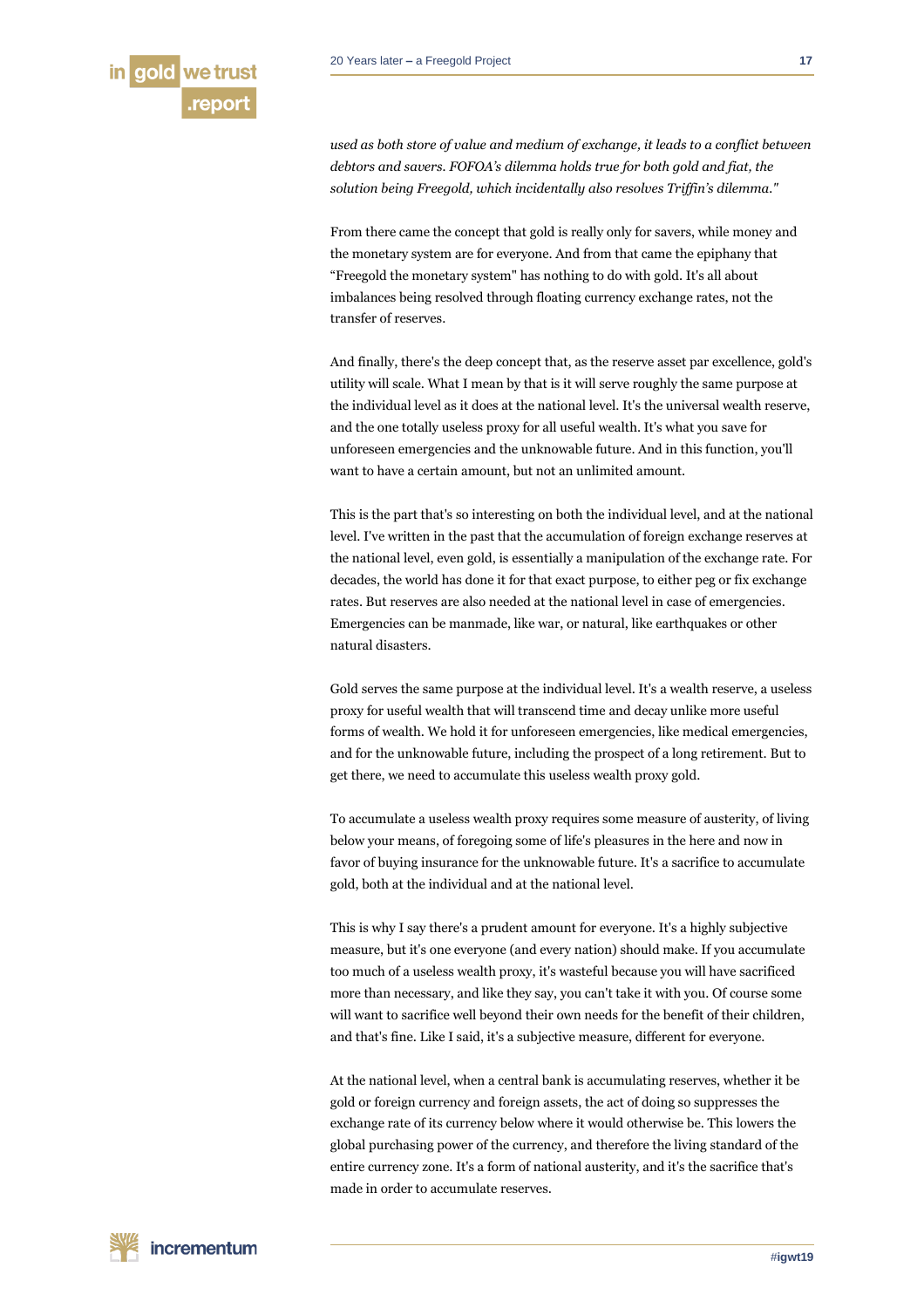*used as both store of value and medium of exchange, it leads to a conflict between debtors and savers. FOFOA's dilemma holds true for both gold and fiat, the solution being Freegold, which incidentally also resolves Triffin's dilemma."*

From there came the concept that gold is really only for savers, while money and the monetary system are for everyone. And from that came the epiphany that "Freegold the monetary system" has nothing to do with gold. It's all about imbalances being resolved through floating currency exchange rates, not the transfer of reserves.

And finally, there's the deep concept that, as the reserve asset par excellence, gold's utility will scale. What I mean by that is it will serve roughly the same purpose at the individual level as it does at the national level. It's the universal wealth reserve, and the one totally useless proxy for all useful wealth. It's what you save for unforeseen emergencies and the unknowable future. And in this function, you'll want to have a certain amount, but not an unlimited amount.

This is the part that's so interesting on both the individual level, and at the national level. I've written in the past that the accumulation of foreign exchange reserves at the national level, even gold, is essentially a manipulation of the exchange rate. For decades, the world has done it for that exact purpose, to either peg or fix exchange rates. But reserves are also needed at the national level in case of emergencies. Emergencies can be manmade, like war, or natural, like earthquakes or other natural disasters.

Gold serves the same purpose at the individual level. It's a wealth reserve, a useless proxy for useful wealth that will transcend time and decay unlike more useful forms of wealth. We hold it for unforeseen emergencies, like medical emergencies, and for the unknowable future, including the prospect of a long retirement. But to get there, we need to accumulate this useless wealth proxy gold.

To accumulate a useless wealth proxy requires some measure of austerity, of living below your means, of foregoing some of life's pleasures in the here and now in favor of buying insurance for the unknowable future. It's a sacrifice to accumulate gold, both at the individual and at the national level.

This is why I say there's a prudent amount for everyone. It's a highly subjective measure, but it's one everyone (and every nation) should make. If you accumulate too much of a useless wealth proxy, it's wasteful because you will have sacrificed more than necessary, and like they say, you can't take it with you. Of course some will want to sacrifice well beyond their own needs for the benefit of their children, and that's fine. Like I said, it's a subjective measure, different for everyone.

At the national level, when a central bank is accumulating reserves, whether it be gold or foreign currency and foreign assets, the act of doing so suppresses the exchange rate of its currency below where it would otherwise be. This lowers the global purchasing power of the currency, and therefore the living standard of the entire currency zone. It's a form of national austerity, and it's the sacrifice that's made in order to accumulate reserves.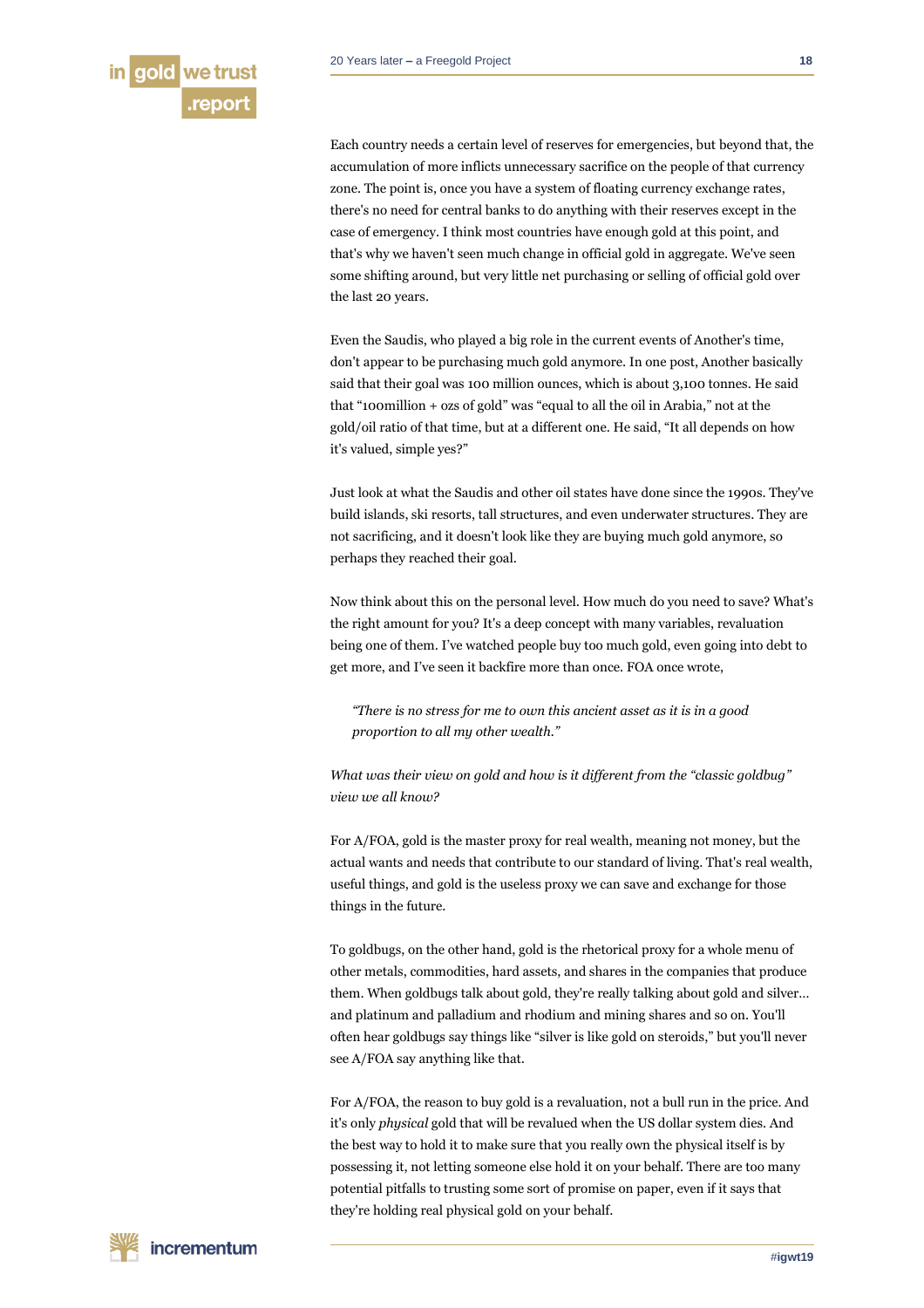Each country needs a certain level of reserves for emergencies, but beyond that, the accumulation of more inflicts unnecessary sacrifice on the people of that currency zone. The point is, once you have a system of floating currency exchange rates, there's no need for central banks to do anything with their reserves except in the case of emergency. I think most countries have enough gold at this point, and that's why we haven't seen much change in official gold in aggregate. We've seen some shifting around, but very little net purchasing or selling of official gold over the last 20 years.

Even the Saudis, who played a big role in the current events of Another's time, don't appear to be purchasing much gold anymore. In one post, Another basically said that their goal was 100 million ounces, which is about 3,100 tonnes. He said that "100million + ozs of gold" was "equal to all the oil in Arabia," not at the gold/oil ratio of that time, but at a different one. He said, "It all depends on how it's valued, simple yes?"

Just look at what the Saudis and other oil states have done since the 1990s. They've build islands, ski resorts, tall structures, and even underwater structures. They are not sacrificing, and it doesn't look like they are buying much gold anymore, so perhaps they reached their goal.

Now think about this on the personal level. How much do you need to save? What's the right amount for you? It's a deep concept with many variables, revaluation being one of them. I've watched people buy too much gold, even going into debt to get more, and I've seen it backfire more than once. FOA once wrote,

*"There is no stress for me to own this ancient asset as it is in a good proportion to all my other wealth."*

*What was their view on gold and how is it different from the "classic goldbug" view we all know?*

For A/FOA, gold is the master proxy for real wealth, meaning not money, but the actual wants and needs that contribute to our standard of living. That's real wealth, useful things, and gold is the useless proxy we can save and exchange for those things in the future.

To goldbugs, on the other hand, gold is the rhetorical proxy for a whole menu of other metals, commodities, hard assets, and shares in the companies that produce them. When goldbugs talk about gold, they're really talking about gold and silver… and platinum and palladium and rhodium and mining shares and so on. You'll often hear goldbugs say things like "silver is like gold on steroids," but you'll never see A/FOA say anything like that.

For A/FOA, the reason to buy gold is a revaluation, not a bull run in the price. And it's only *physical* gold that will be revalued when the US dollar system dies. And the best way to hold it to make sure that you really own the physical itself is by possessing it, not letting someone else hold it on your behalf. There are too many potential pitfalls to trusting some sort of promise on paper, even if it says that they're holding real physical gold on your behalf.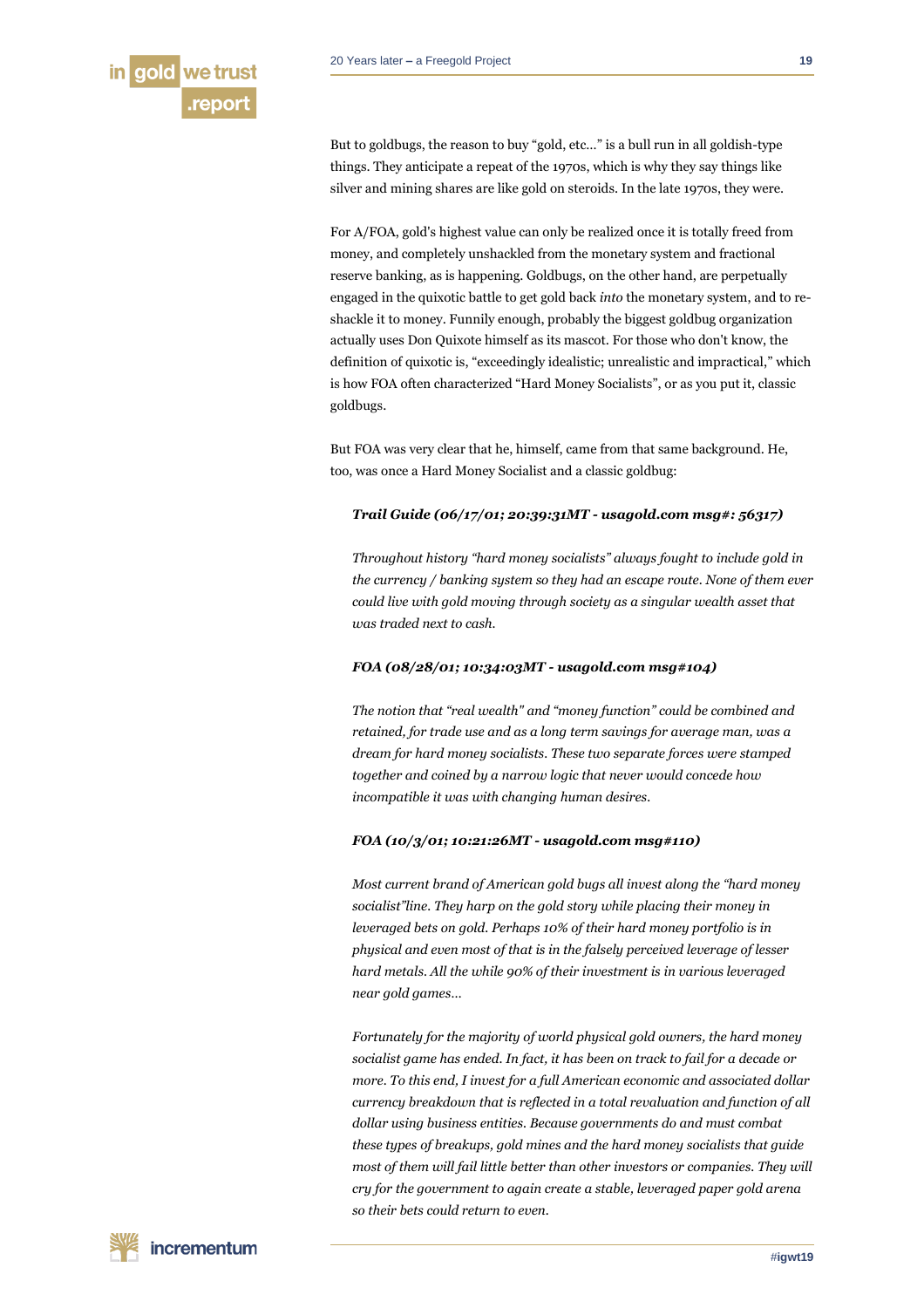But to goldbugs, the reason to buy "gold, etc…" is a bull run in all goldish-type things. They anticipate a repeat of the 1970s, which is why they say things like silver and mining shares are like gold on steroids. In the late 1970s, they were.

For A/FOA, gold's highest value can only be realized once it is totally freed from money, and completely unshackled from the monetary system and fractional reserve banking, as is happening. Goldbugs, on the other hand, are perpetually engaged in the quixotic battle to get gold back *into* the monetary system, and to reshackle it to money. Funnily enough, probably the biggest goldbug organization actually uses Don Quixote himself as its mascot. For those who don't know, the definition of quixotic is, "exceedingly idealistic; unrealistic and impractical," which is how FOA often characterized "Hard Money Socialists", or as you put it, classic goldbugs.

But FOA was very clear that he, himself, came from that same background. He, too, was once a Hard Money Socialist and a classic goldbug:

# *Trail Guide (06/17/01; 20:39:31MT - usagold.com msg#: 56317)*

*Throughout history "hard money socialists" always fought to include gold in the currency / banking system so they had an escape route. None of them ever could live with gold moving through society as a singular wealth asset that was traded next to cash.*

# *FOA (08/28/01; 10:34:03MT - usagold.com msg#104)*

*The notion that "real wealth" and "money function" could be combined and retained, for trade use and as a long term savings for average man, was a dream for hard money socialists. These two separate forces were stamped together and coined by a narrow logic that never would concede how incompatible it was with changing human desires.*

# *FOA (10/3/01; 10:21:26MT - usagold.com msg#110)*

*Most current brand of American gold bugs all invest along the "hard money socialist"line. They harp on the gold story while placing their money in leveraged bets on gold. Perhaps 10% of their hard money portfolio is in physical and even most of that is in the falsely perceived leverage of lesser hard metals. All the while 90% of their investment is in various leveraged near gold games…*

*Fortunately for the majority of world physical gold owners, the hard money socialist game has ended. In fact, it has been on track to fail for a decade or more. To this end, I invest for a full American economic and associated dollar currency breakdown that is reflected in a total revaluation and function of all dollar using business entities. Because governments do and must combat these types of breakups, gold mines and the hard money socialists that guide most of them will fail little better than other investors or companies. They will cry for the government to again create a stable, leveraged paper gold arena so their bets could return to even.*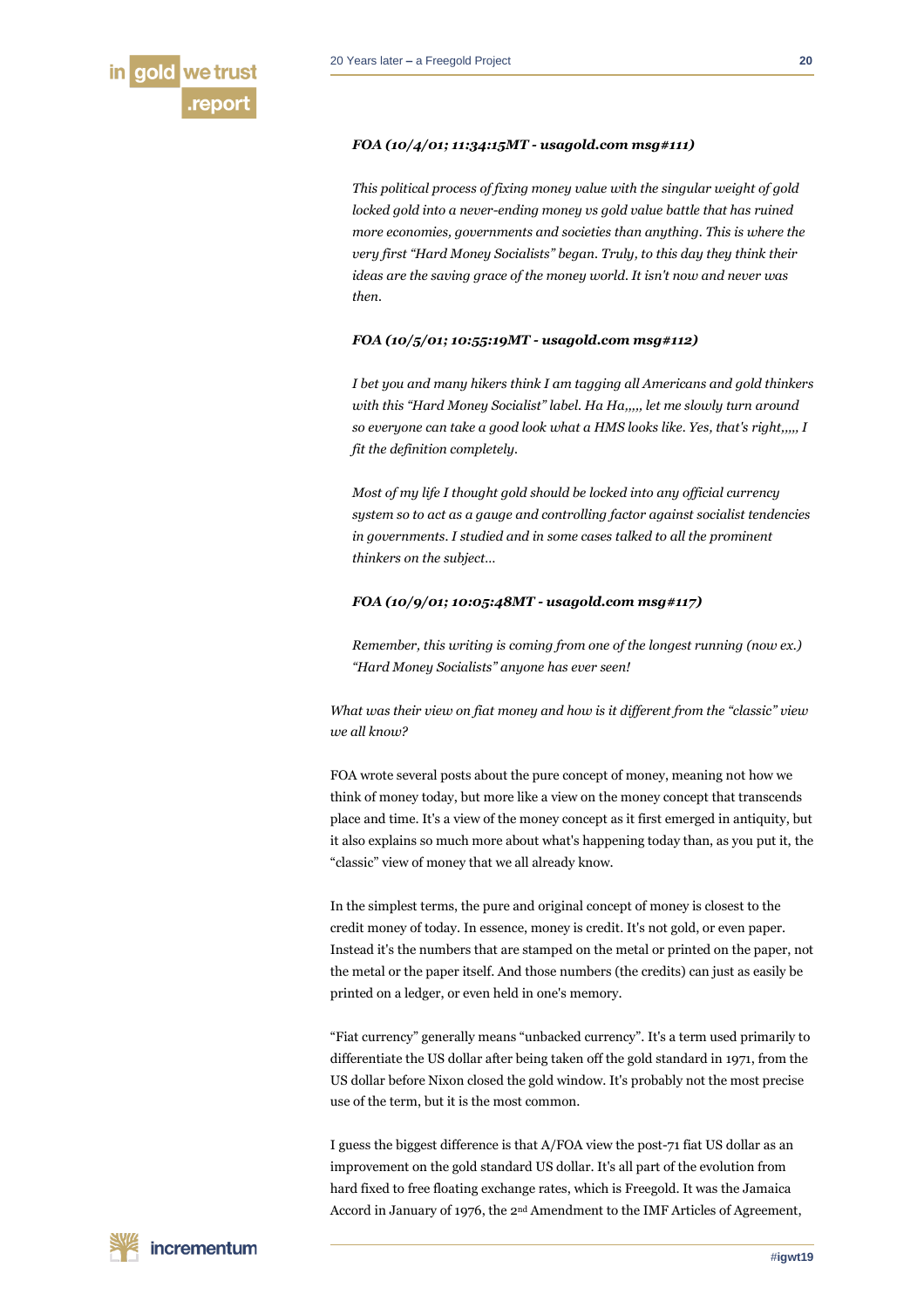

# *FOA (10/4/01; 11:34:15MT - usagold.com msg#111)*

*This political process of fixing money value with the singular weight of gold locked gold into a never-ending money vs gold value battle that has ruined more economies, governments and societies than anything. This is where the very first "Hard Money Socialists" began. Truly, to this day they think their ideas are the saving grace of the money world. It isn't now and never was then.*

#### *FOA (10/5/01; 10:55:19MT - usagold.com msg#112)*

*I bet you and many hikers think I am tagging all Americans and gold thinkers with this "Hard Money Socialist" label. Ha Ha,,,,, let me slowly turn around so everyone can take a good look what a HMS looks like. Yes, that's right,,,,, I fit the definition completely.*

*Most of my life I thought gold should be locked into any official currency system so to act as a gauge and controlling factor against socialist tendencies in governments. I studied and in some cases talked to all the prominent thinkers on the subject…*

# *FOA (10/9/01; 10:05:48MT - usagold.com msg#117)*

*Remember, this writing is coming from one of the longest running (now ex.) "Hard Money Socialists" anyone has ever seen!*

*What was their view on fiat money and how is it different from the "classic" view we all know?*

FOA wrote several posts about the pure concept of money, meaning not how we think of money today, but more like a view on the money concept that transcends place and time. It's a view of the money concept as it first emerged in antiquity, but it also explains so much more about what's happening today than, as you put it, the "classic" view of money that we all already know.

In the simplest terms, the pure and original concept of money is closest to the credit money of today. In essence, money is credit. It's not gold, or even paper. Instead it's the numbers that are stamped on the metal or printed on the paper, not the metal or the paper itself. And those numbers (the credits) can just as easily be printed on a ledger, or even held in one's memory.

"Fiat currency" generally means "unbacked currency". It's a term used primarily to differentiate the US dollar after being taken off the gold standard in 1971, from the US dollar before Nixon closed the gold window. It's probably not the most precise use of the term, but it is the most common.

I guess the biggest difference is that A/FOA view the post-71 fiat US dollar as an improvement on the gold standard US dollar. It's all part of the evolution from hard fixed to free floating exchange rates, which is Freegold. It was the Jamaica Accord in January of 1976, the 2nd Amendment to the IMF Articles of Agreement,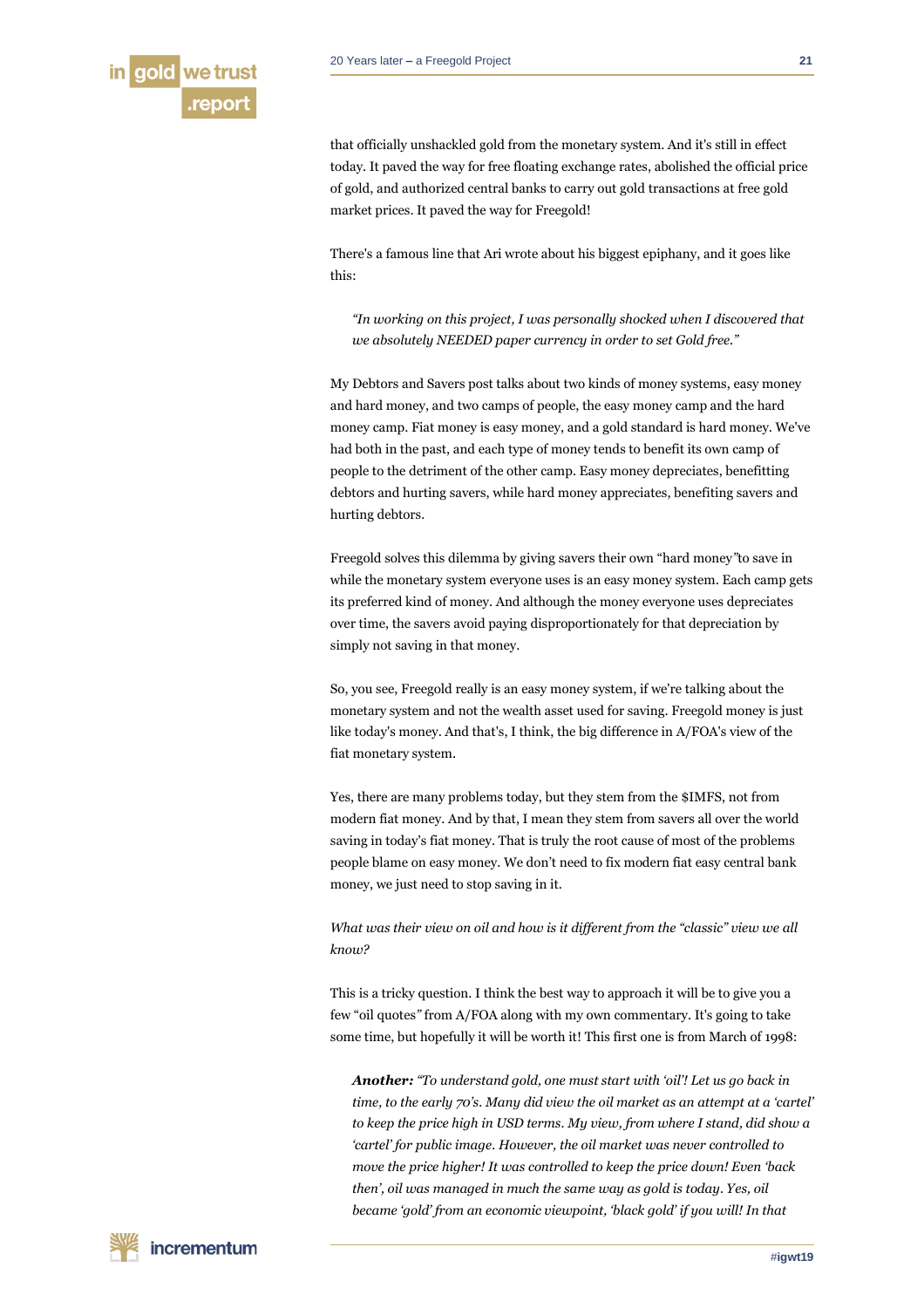

that officially unshackled gold from the monetary system. And it's still in effect today. It paved the way for free floating exchange rates, abolished the official price of gold, and authorized central banks to carry out gold transactions at free gold market prices. It paved the way for Freegold!

There's a famous line that Ari wrote about his biggest epiphany, and it goes like this:

*"In working on this project, I was personally shocked when I discovered that we absolutely NEEDED paper currency in order to set Gold free."*

My Debtors and Savers post talks about two kinds of money systems, easy money and hard money, and two camps of people, the easy money camp and the hard money camp. Fiat money is easy money, and a gold standard is hard money. We've had both in the past, and each type of money tends to benefit its own camp of people to the detriment of the other camp. Easy money depreciates, benefitting debtors and hurting savers, while hard money appreciates, benefiting savers and hurting debtors.

Freegold solves this dilemma by giving savers their own "hard money*"*to save in while the monetary system everyone uses is an easy money system. Each camp gets its preferred kind of money. And although the money everyone uses depreciates over time, the savers avoid paying disproportionately for that depreciation by simply not saving in that money.

So, you see, Freegold really is an easy money system, if we're talking about the monetary system and not the wealth asset used for saving. Freegold money is just like today's money. And that's, I think, the big difference in A/FOA's view of the fiat monetary system.

Yes, there are many problems today, but they stem from the \$IMFS, not from modern fiat money. And by that, I mean they stem from savers all over the world saving in today's fiat money. That is truly the root cause of most of the problems people blame on easy money. We don't need to fix modern fiat easy central bank money, we just need to stop saving in it.

*What was their view on oil and how is it different from the "classic" view we all know?*

This is a tricky question. I think the best way to approach it will be to give you a few "oil quotes*"* from A/FOA along with my own commentary. It's going to take some time, but hopefully it will be worth it! This first one is from March of 1998:

*Another: "To understand gold, one must start with 'oil'! Let us go back in time, to the early 70's. Many did view the oil market as an attempt at a 'cartel' to keep the price high in USD terms. My view, from where I stand, did show a 'cartel' for public image. However, the oil market was never controlled to move the price higher! It was controlled to keep the price down! Even 'back then', oil was managed in much the same way as gold is today. Yes, oil became 'gold' from an economic viewpoint, 'black gold' if you will! In that*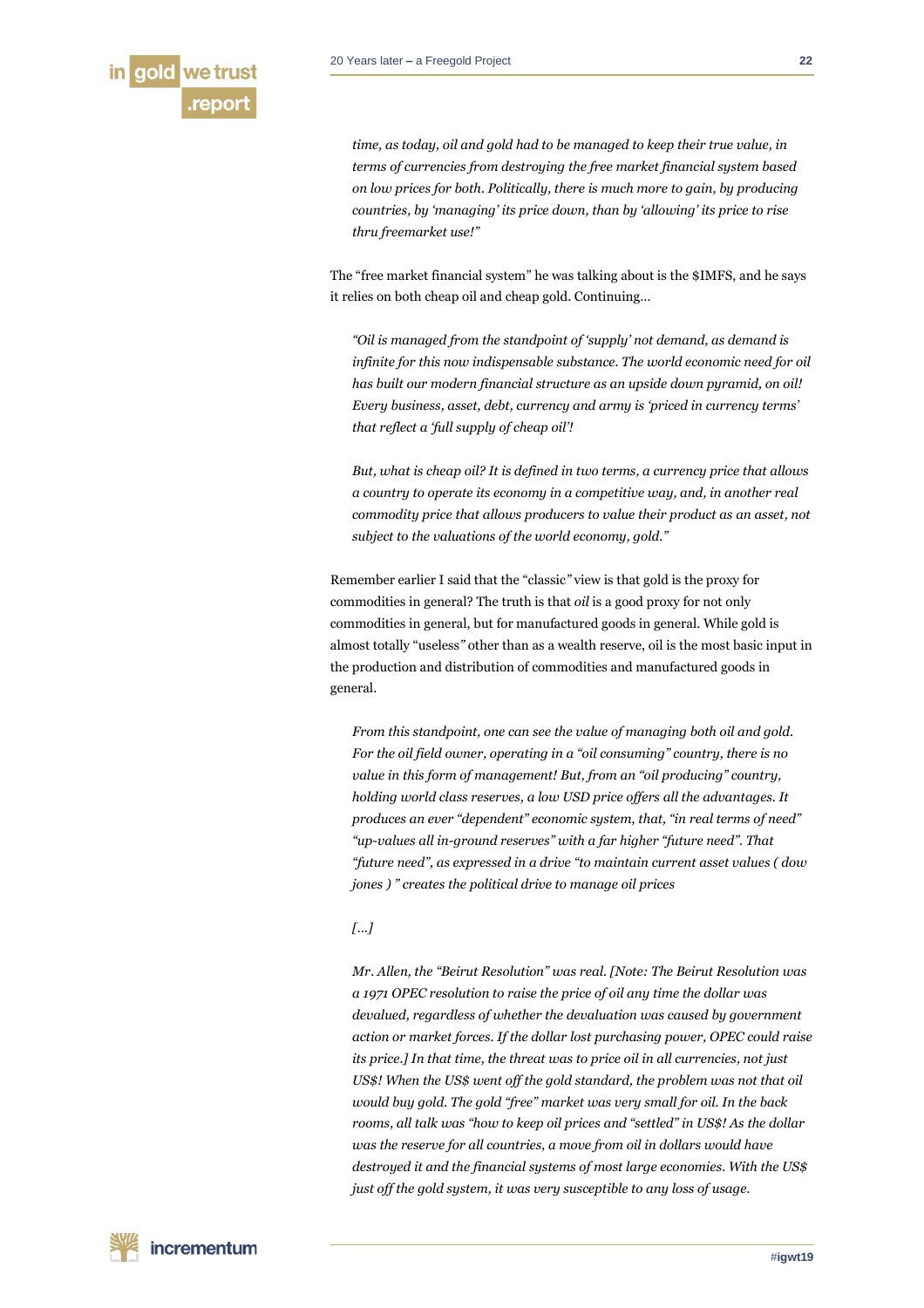

*time, as today, oil and gold had to be managed to keep their true value, in terms of currencies from destroying the free market financial system based on low prices for both. Politically, there is much more to gain, by producing countries, by 'managing' its price down, than by 'allowing' its price to rise thru freemarket use!"*

The "free market financial system" he was talking about is the \$IMFS, and he says it relies on both cheap oil and cheap gold. Continuing…

*"Oil is managed from the standpoint of 'supply' not demand, as demand is infinite for this now indispensable substance. The world economic need for oil has built our modern financial structure as an upside down pyramid, on oil! Every business, asset, debt, currency and army is 'priced in currency terms' that reflect a 'full supply of cheap oil'!*

*But, what is cheap oil? It is defined in two terms, a currency price that allows a country to operate its economy in a competitive way, and, in another real commodity price that allows producers to value their product as an asset, not subject to the valuations of the world economy, gold."*

Remember earlier I said that the "classic*"* view is that gold is the proxy for commodities in general? The truth is that *oil* is a good proxy for not only commodities in general, but for manufactured goods in general. While gold is almost totally "useless*"* other than as a wealth reserve, oil is the most basic input in the production and distribution of commodities and manufactured goods in general.

*From this standpoint, one can see the value of managing both oil and gold. For the oil field owner, operating in a "oil consuming" country, there is no value in this form of management! But, from an "oil producing" country, holding world class reserves, a low USD price offers all the advantages. It produces an ever "dependent" economic system, that, "in real terms of need" "up-values all in-ground reserves" with a far higher "future need". That "future need", as expressed in a drive "to maintain current asset values ( dow jones ) " creates the political drive to manage oil prices*

# *[…]*

*Mr. Allen, the "Beirut Resolution" was real. [Note: The Beirut Resolution was a 1971 OPEC resolution to raise the price of oil any time the dollar was devalued, regardless of whether the devaluation was caused by government action or market forces. If the dollar lost purchasing power, OPEC could raise its price.] In that time, the threat was to price oil in all currencies, not just US\$! When the US\$ went off the gold standard, the problem was not that oil would buy gold. The gold "free" market was very small for oil. In the back rooms, all talk was "how to keep oil prices and "settled" in US\$! As the dollar was the reserve for all countries, a move from oil in dollars would have destroyed it and the financial systems of most large economies. With the US\$ just off the gold system, it was very susceptible to any loss of usage.*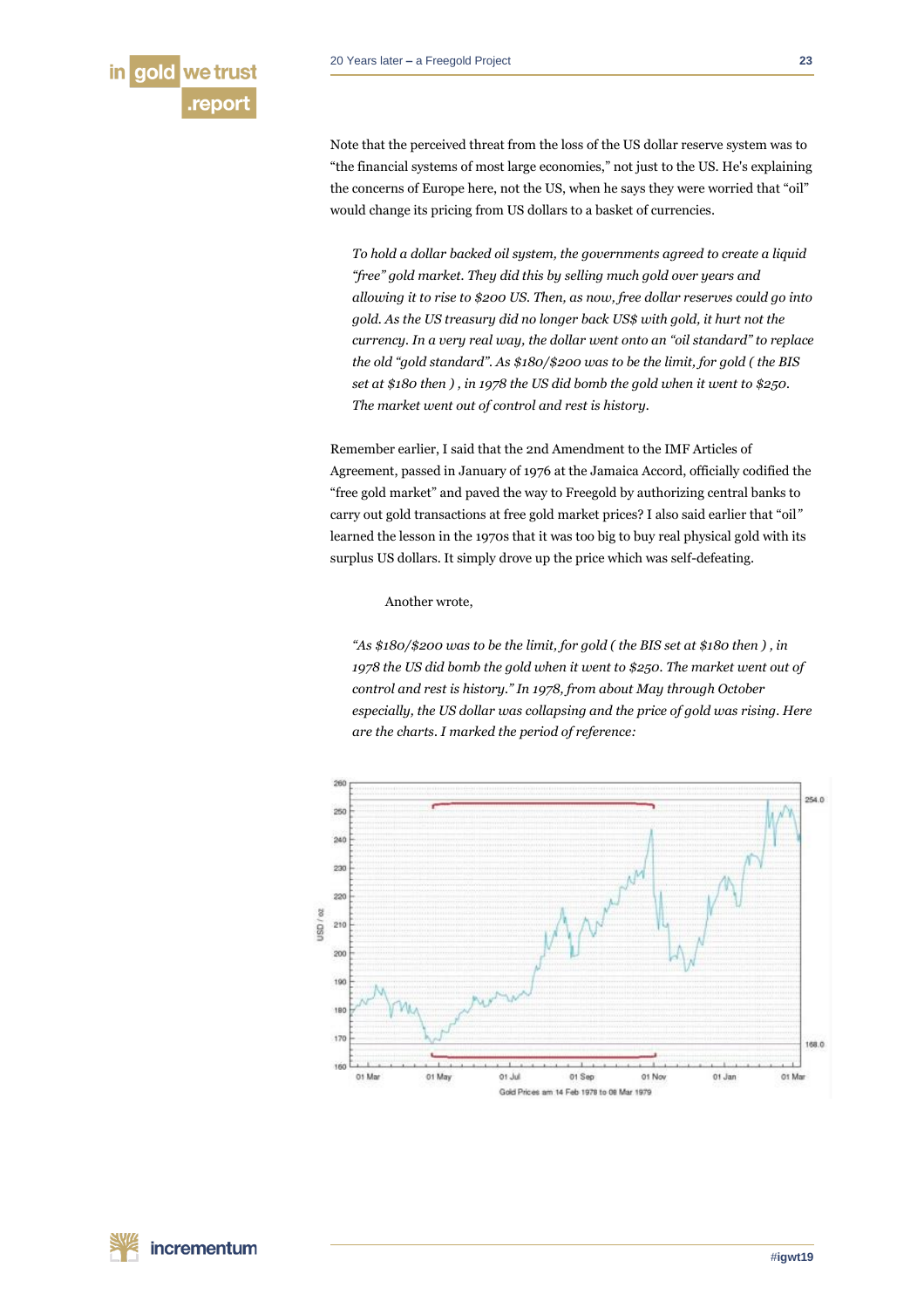

Note that the perceived threat from the loss of the US dollar reserve system was to "the financial systems of most large economies," not just to the US. He's explaining the concerns of Europe here, not the US, when he says they were worried that "oil" would change its pricing from US dollars to a basket of currencies.

*To hold a dollar backed oil system, the governments agreed to create a liquid "free" gold market. They did this by selling much gold over years and allowing it to rise to \$200 US. Then, as now, free dollar reserves could go into gold. As the US treasury did no longer back US\$ with gold, it hurt not the currency. In a very real way, the dollar went onto an "oil standard" to replace the old "gold standard". As \$180/\$200 was to be the limit, for gold ( the BIS set at \$180 then ) , in 1978 the US did bomb the gold when it went to \$250. The market went out of control and rest is history.*

Remember earlier, I said that the 2nd Amendment to the IMF Articles of Agreement, passed in January of 1976 at the Jamaica Accord, officially codified the "free gold market" and paved the way to Freegold by authorizing central banks to carry out gold transactions at free gold market prices? I also said earlier that "oil*"* learned the lesson in the 1970s that it was too big to buy real physical gold with its surplus US dollars. It simply drove up the price which was self-defeating.

Another wrote,

*"As \$180/\$200 was to be the limit, for gold ( the BIS set at \$180 then ) , in 1978 the US did bomb the gold when it went to \$250. The market went out of control and rest is history." In 1978, from about May through October especially, the US dollar was collapsing and the price of gold was rising. Here are the charts. I marked the period of reference:*

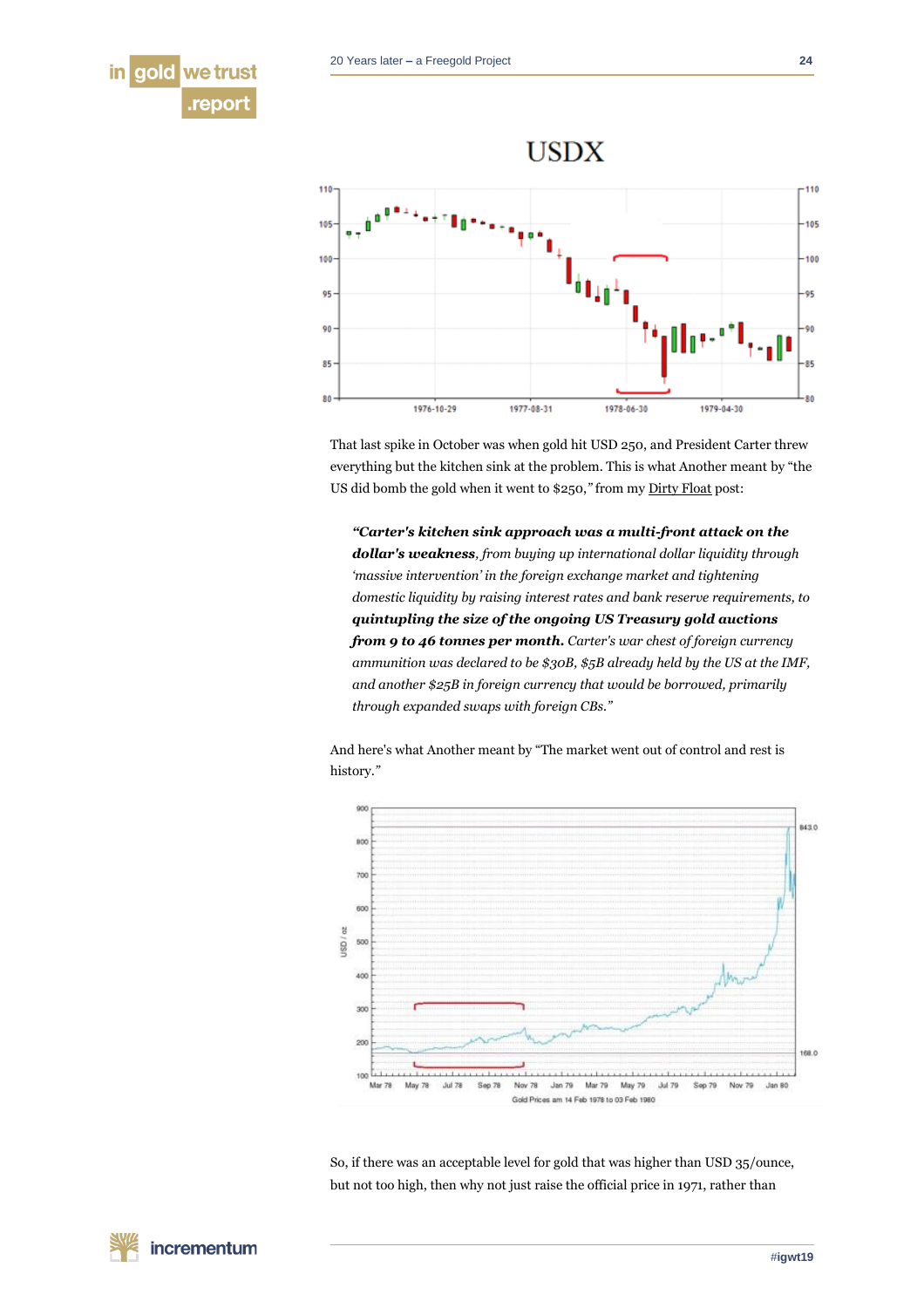



That last spike in October was when gold hit USD 250, and President Carter threw everything but the kitchen sink at the problem. This is what Another meant by "the US did bomb the gold when it went to \$250,*"* from m[y Dirty Float](http://fofoa.blogspot.com/2014/08/dirty-float.html) post:

*"Carter's kitchen sink approach was a multi-front attack on the dollar's weakness, from buying up international dollar liquidity through 'massive intervention' in the foreign exchange market and tightening domestic liquidity by raising interest rates and bank reserve requirements, to quintupling the size of the ongoing US Treasury gold auctions from 9 to 46 tonnes per month. Carter's war chest of foreign currency ammunition was declared to be \$30B, \$5B already held by the US at the IMF, and another \$25B in foreign currency that would be borrowed, primarily through expanded swaps with foreign CBs."*

And here's what Another meant by "The market went out of control and rest is history.*"*



So, if there was an acceptable level for gold that was higher than USD 35/ounce, but not too high, then why not just raise the official price in 1971, rather than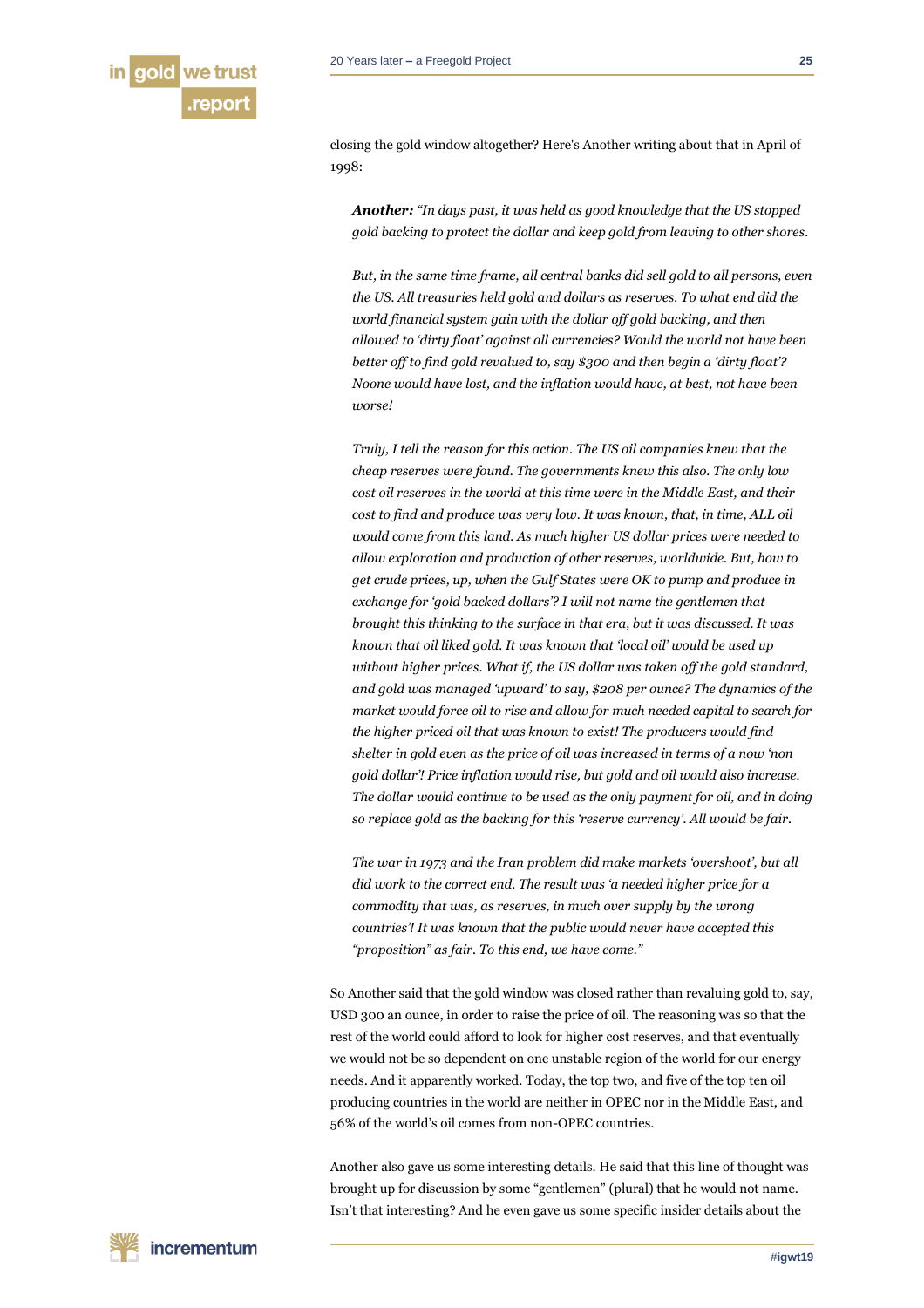

closing the gold window altogether? Here's Another writing about that in April of 1998:

*Another: "In days past, it was held as good knowledge that the US stopped gold backing to protect the dollar and keep gold from leaving to other shores.*

*But, in the same time frame, all central banks did sell gold to all persons, even the US. All treasuries held gold and dollars as reserves. To what end did the world financial system gain with the dollar off gold backing, and then allowed to 'dirty float' against all currencies? Would the world not have been better off to find gold revalued to, say \$300 and then begin a 'dirty float'? Noone would have lost, and the inflation would have, at best, not have been worse!*

*Truly, I tell the reason for this action. The US oil companies knew that the cheap reserves were found. The governments knew this also. The only low cost oil reserves in the world at this time were in the Middle East, and their cost to find and produce was very low. It was known, that, in time, ALL oil would come from this land. As much higher US dollar prices were needed to allow exploration and production of other reserves, worldwide. But, how to get crude prices, up, when the Gulf States were OK to pump and produce in exchange for 'gold backed dollars'? I will not name the gentlemen that brought this thinking to the surface in that era, but it was discussed. It was known that oil liked gold. It was known that 'local oil' would be used up without higher prices. What if, the US dollar was taken off the gold standard, and gold was managed 'upward' to say, \$208 per ounce? The dynamics of the market would force oil to rise and allow for much needed capital to search for the higher priced oil that was known to exist! The producers would find shelter in gold even as the price of oil was increased in terms of a now 'non gold dollar'! Price inflation would rise, but gold and oil would also increase. The dollar would continue to be used as the only payment for oil, and in doing so replace gold as the backing for this 'reserve currency'. All would be fair.*

*The war in 1973 and the Iran problem did make markets 'overshoot', but all did work to the correct end. The result was 'a needed higher price for a commodity that was, as reserves, in much over supply by the wrong countries'! It was known that the public would never have accepted this "proposition" as fair. To this end, we have come."*

So Another said that the gold window was closed rather than revaluing gold to, say, USD 300 an ounce, in order to raise the price of oil. The reasoning was so that the rest of the world could afford to look for higher cost reserves, and that eventually we would not be so dependent on one unstable region of the world for our energy needs. And it apparently worked. Today, the top two, and five of the top ten oil producing countries in the world are neither in OPEC nor in the Middle East, and 56% of the world's oil comes from non-OPEC countries.

Another also gave us some interesting details. He said that this line of thought was brought up for discussion by some "gentlemen" (plural) that he would not name. Isn't that interesting? And he even gave us some specific insider details about the

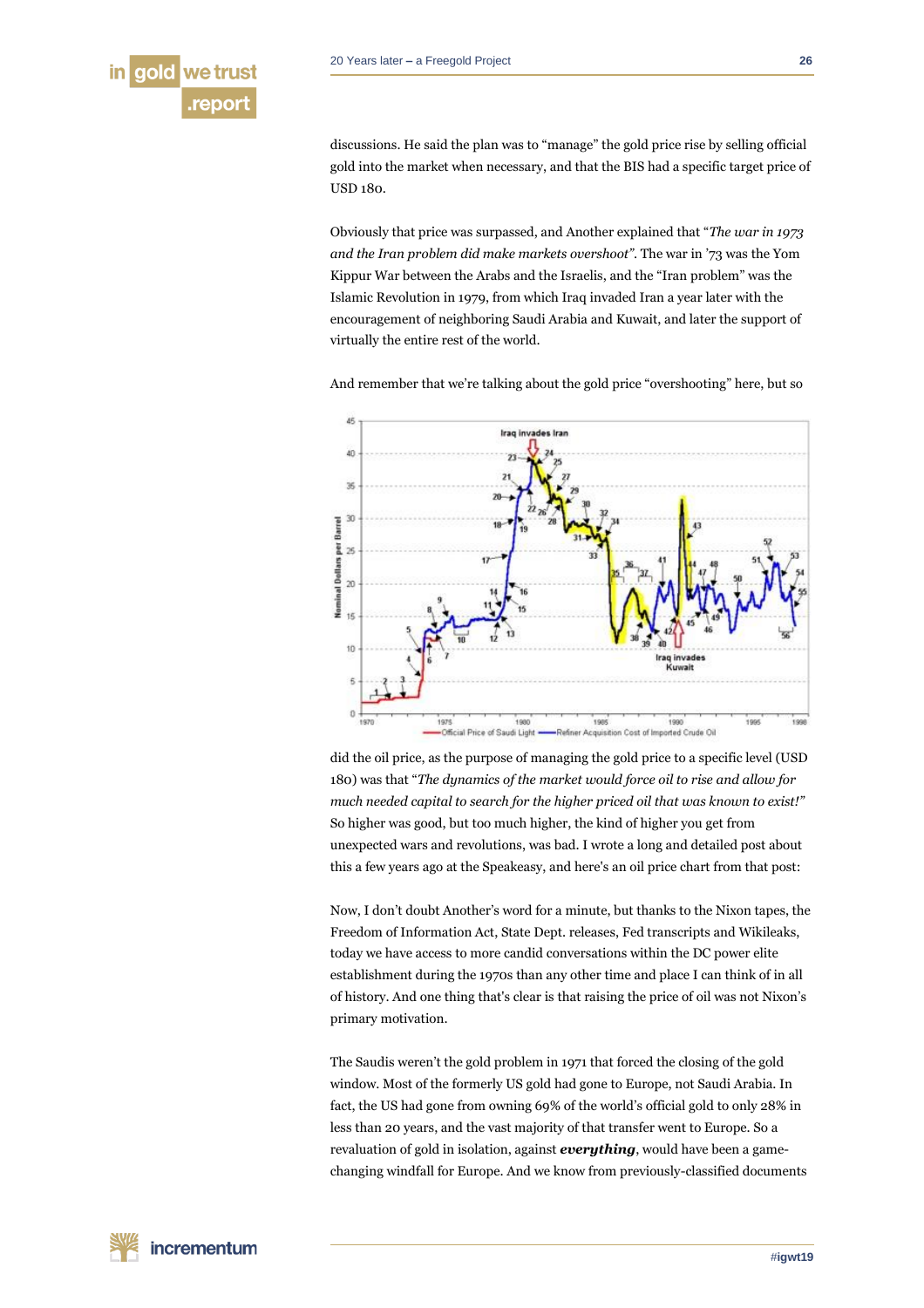

discussions. He said the plan was to "manage" the gold price rise by selling official gold into the market when necessary, and that the BIS had a specific target price of USD 180.

Obviously that price was surpassed, and Another explained that "*The war in 1973 and the Iran problem did make markets overshoot"*. The war in '73 was the Yom Kippur War between the Arabs and the Israelis, and the "Iran problem" was the Islamic Revolution in 1979, from which Iraq invaded Iran a year later with the encouragement of neighboring Saudi Arabia and Kuwait, and later the support of virtually the entire rest of the world.

And remember that we're talking about the gold price "overshooting" here, but so



did the oil price, as the purpose of managing the gold price to a specific level (USD 180) was that "*The dynamics of the market would force oil to rise and allow for much needed capital to search for the higher priced oil that was known to exist!"* So higher was good, but too much higher, the kind of higher you get from unexpected wars and revolutions, was bad. I wrote a long and detailed post about this a few years ago at the Speakeasy, and here's an oil price chart from that post:

Now, I don't doubt Another's word for a minute, but thanks to the Nixon tapes, the Freedom of Information Act, State Dept. releases, Fed transcripts and Wikileaks, today we have access to more candid conversations within the DC power elite establishment during the 1970s than any other time and place I can think of in all of history. And one thing that's clear is that raising the price of oil was not Nixon's primary motivation.

The Saudis weren't the gold problem in 1971 that forced the closing of the gold window. Most of the formerly US gold had gone to Europe, not Saudi Arabia. In fact, the US had gone from owning 69% of the world's official gold to only 28% in less than 20 years, and the vast majority of that transfer went to Europe. So a revaluation of gold in isolation, against *everything*, would have been a gamechanging windfall for Europe. And we know from previously-classified documents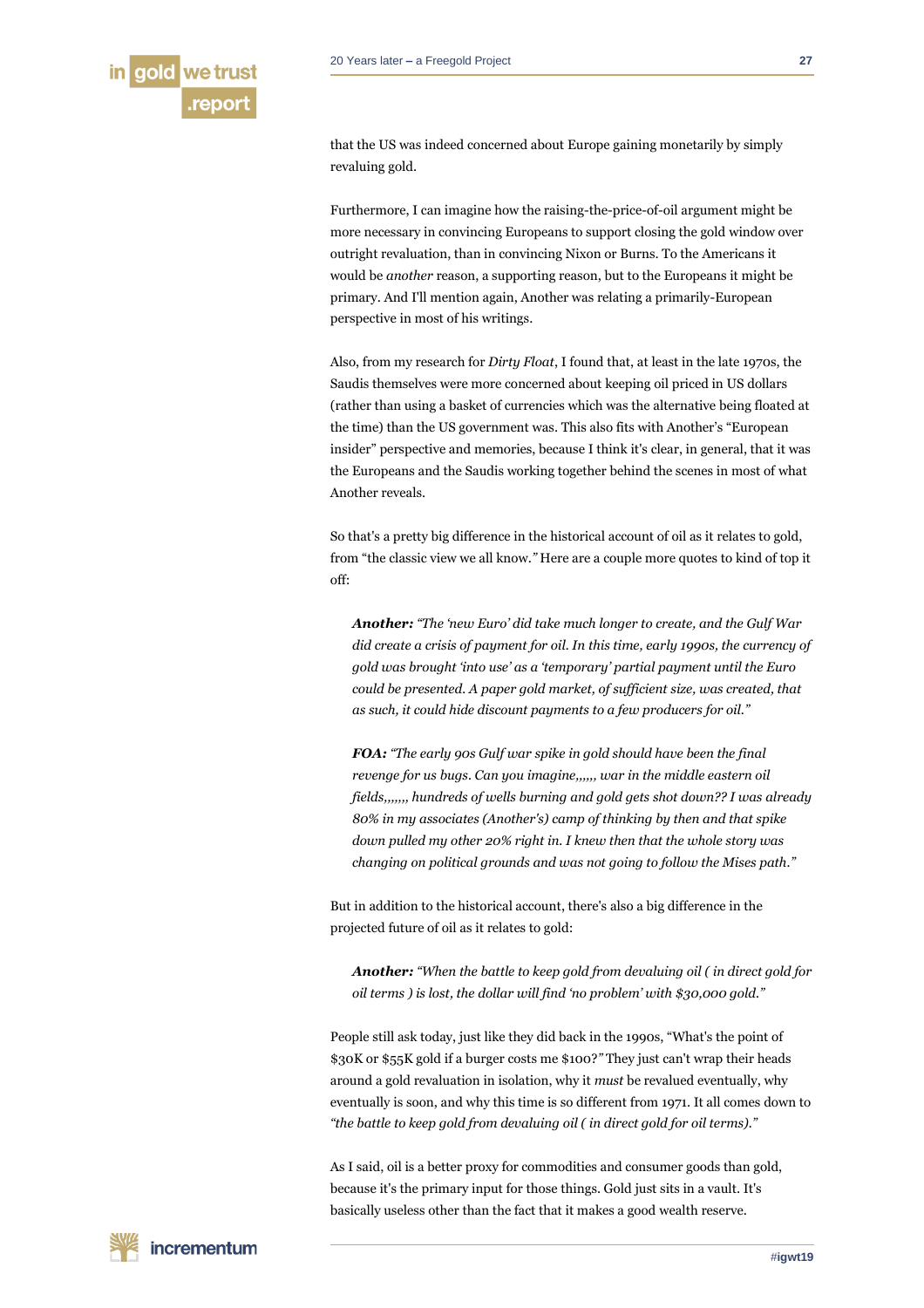that the US was indeed concerned about Europe gaining monetarily by simply revaluing gold.

Furthermore, I can imagine how the raising-the-price-of-oil argument might be more necessary in convincing Europeans to support closing the gold window over outright revaluation, than in convincing Nixon or Burns. To the Americans it would be *another* reason, a supporting reason, but to the Europeans it might be primary. And I'll mention again, Another was relating a primarily-European perspective in most of his writings.

Also, from my research for *Dirty Float*, I found that, at least in the late 1970s, the Saudis themselves were more concerned about keeping oil priced in US dollars (rather than using a basket of currencies which was the alternative being floated at the time) than the US government was. This also fits with Another's "European insider" perspective and memories, because I think it's clear, in general, that it was the Europeans and the Saudis working together behind the scenes in most of what Another reveals.

So that's a pretty big difference in the historical account of oil as it relates to gold, from "the classic view we all know.*"* Here are a couple more quotes to kind of top it off:

*Another: "The 'new Euro' did take much longer to create, and the Gulf War did create a crisis of payment for oil. In this time, early 1990s, the currency of gold was brought 'into use' as a 'temporary' partial payment until the Euro could be presented. A paper gold market, of sufficient size, was created, that as such, it could hide discount payments to a few producers for oil."*

*FOA: "The early 90s Gulf war spike in gold should have been the final revenge for us bugs. Can you imagine,,,,,, war in the middle eastern oil fields,,,,,,, hundreds of wells burning and gold gets shot down?? I was already 80% in my associates (Another's) camp of thinking by then and that spike down pulled my other 20% right in. I knew then that the whole story was changing on political grounds and was not going to follow the Mises path."*

But in addition to the historical account, there's also a big difference in the projected future of oil as it relates to gold:

*Another: "When the battle to keep gold from devaluing oil ( in direct gold for oil terms ) is lost, the dollar will find 'no problem' with \$30,000 gold."*

People still ask today, just like they did back in the 1990s, "What's the point of \$30K or \$55K gold if a burger costs me \$100?*"* They just can't wrap their heads around a gold revaluation in isolation, why it *must* be revalued eventually, why eventually is soon, and why this time is so different from 1971. It all comes down to *"the battle to keep gold from devaluing oil ( in direct gold for oil terms)."*

As I said, oil is a better proxy for commodities and consumer goods than gold, because it's the primary input for those things. Gold just sits in a vault. It's basically useless other than the fact that it makes a good wealth reserve.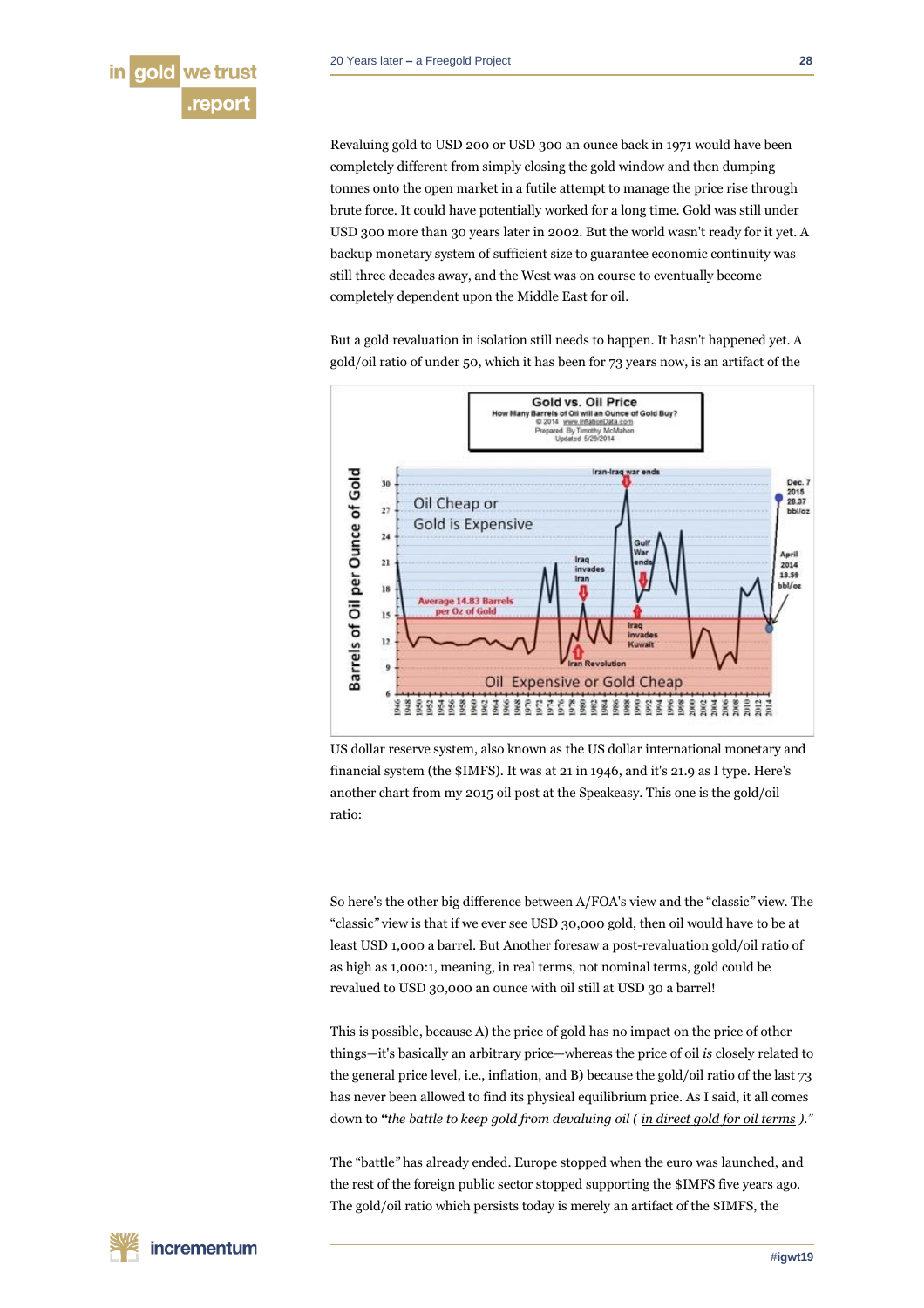

Revaluing gold to USD 200 or USD 300 an ounce back in 1971 would have been completely different from simply closing the gold window and then dumping tonnes onto the open market in a futile attempt to manage the price rise through brute force. It could have potentially worked for a long time. Gold was still under USD 300 more than 30 years later in 2002. But the world wasn't ready for it yet. A backup monetary system of sufficient size to guarantee economic continuity was still three decades away, and the West was on course to eventually become completely dependent upon the Middle East for oil.

But a gold revaluation in isolation still needs to happen. It hasn't happened yet. A gold/oil ratio of under 50, which it has been for 73 years now, is an artifact of the



US dollar reserve system, also known as the US dollar international monetary and financial system (the \$IMFS). It was at 21 in 1946, and it's 21.9 as I type. Here's another chart from my 2015 oil post at the Speakeasy. This one is the gold/oil ratio:

So here's the other big difference between A/FOA's view and the "classic*"* view. The "classic*"* view is that if we ever see USD 30,000 gold, then oil would have to be at least USD 1,000 a barrel. But Another foresaw a post-revaluation gold/oil ratio of as high as 1,000:1, meaning, in real terms, not nominal terms, gold could be revalued to USD 30,000 an ounce with oil still at USD 30 a barrel!

This is possible, because A) the price of gold has no impact on the price of other things—it's basically an arbitrary price—whereas the price of oil *is* closely related to the general price level, i.e., inflation, and B) because the gold/oil ratio of the last 73 has never been allowed to find its physical equilibrium price. As I said, it all comes down to *"the battle to keep gold from devaluing oil ( in direct gold for oil terms )."*

The "battle*"* has already ended. Europe stopped when the euro was launched, and the rest of the foreign public sector stopped supporting the \$IMFS five years ago. The gold/oil ratio which persists today is merely an artifact of the \$IMFS, the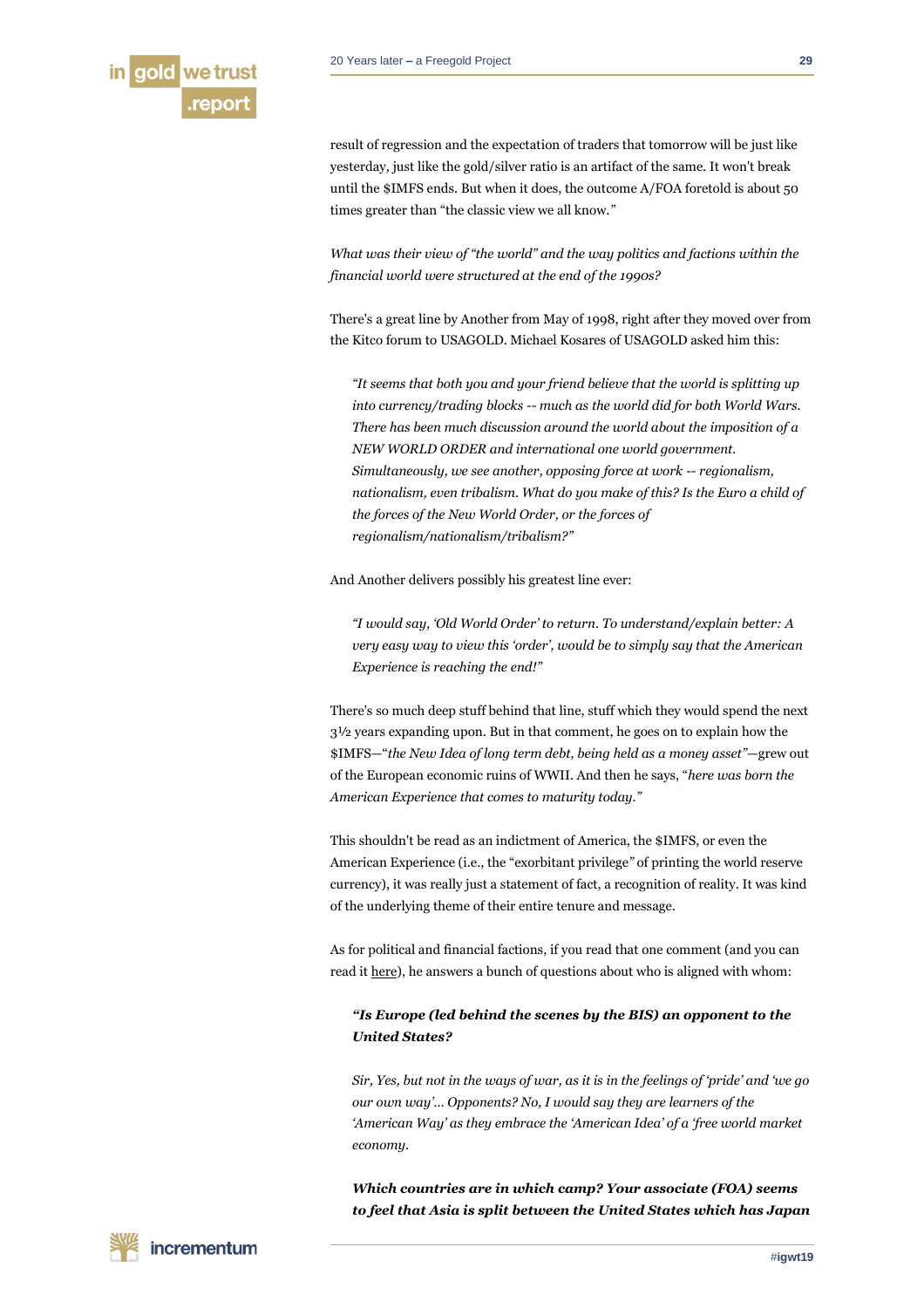

result of regression and the expectation of traders that tomorrow will be just like yesterday, just like the gold/silver ratio is an artifact of the same. It won't break until the \$IMFS ends. But when it does, the outcome A/FOA foretold is about 50 times greater than "the classic view we all know.*"*

*What was their view of "the world" and the way politics and factions within the financial world were structured at the end of the 1990s?*

There's a great line by Another from May of 1998, right after they moved over from the Kitco forum to USAGOLD. Michael Kosares of USAGOLD asked him this:

*"It seems that both you and your friend believe that the world is splitting up into currency/trading blocks -- much as the world did for both World Wars. There has been much discussion around the world about the imposition of a NEW WORLD ORDER and international one world government. Simultaneously, we see another, opposing force at work -- regionalism, nationalism, even tribalism. What do you make of this? Is the Euro a child of the forces of the New World Order, or the forces of regionalism/nationalism/tribalism?"*

And Another delivers possibly his greatest line ever:

*"I would say, 'Old World Order' to return. To understand/explain better: A very easy way to view this 'order', would be to simply say that the American Experience is reaching the end!"*

There's so much deep stuff behind that line, stuff which they would spend the next 3½ years expanding upon. But in that comment, he goes on to explain how the \$IMFS—"*the New Idea of long term debt, being held as a money asset"*—grew out of the European economic ruins of WWII. And then he says, "*here was born the American Experience that comes to maturity today."*

This shouldn't be read as an indictment of America, the \$IMFS, or even the American Experience (i.e., the "exorbitant privilege*"* of printing the world reserve currency), it was really just a statement of fact, a recognition of reality. It was kind of the underlying theme of their entire tenure and message.

As for political and financial factions, if you read that one comment (and you can read it [here\)](http://ubercraftorg.ipage.com/thoughts/1998/05.html#191), he answers a bunch of questions about who is aligned with whom:

# *"Is Europe (led behind the scenes by the BIS) an opponent to the United States?*

*Sir, Yes, but not in the ways of war, as it is in the feelings of 'pride' and 'we go our own way'… Opponents? No, I would say they are learners of the 'American Way' as they embrace the 'American Idea' of a 'free world market economy.*

*Which countries are in which camp? Your associate (FOA) seems to feel that Asia is split between the United States which has Japan*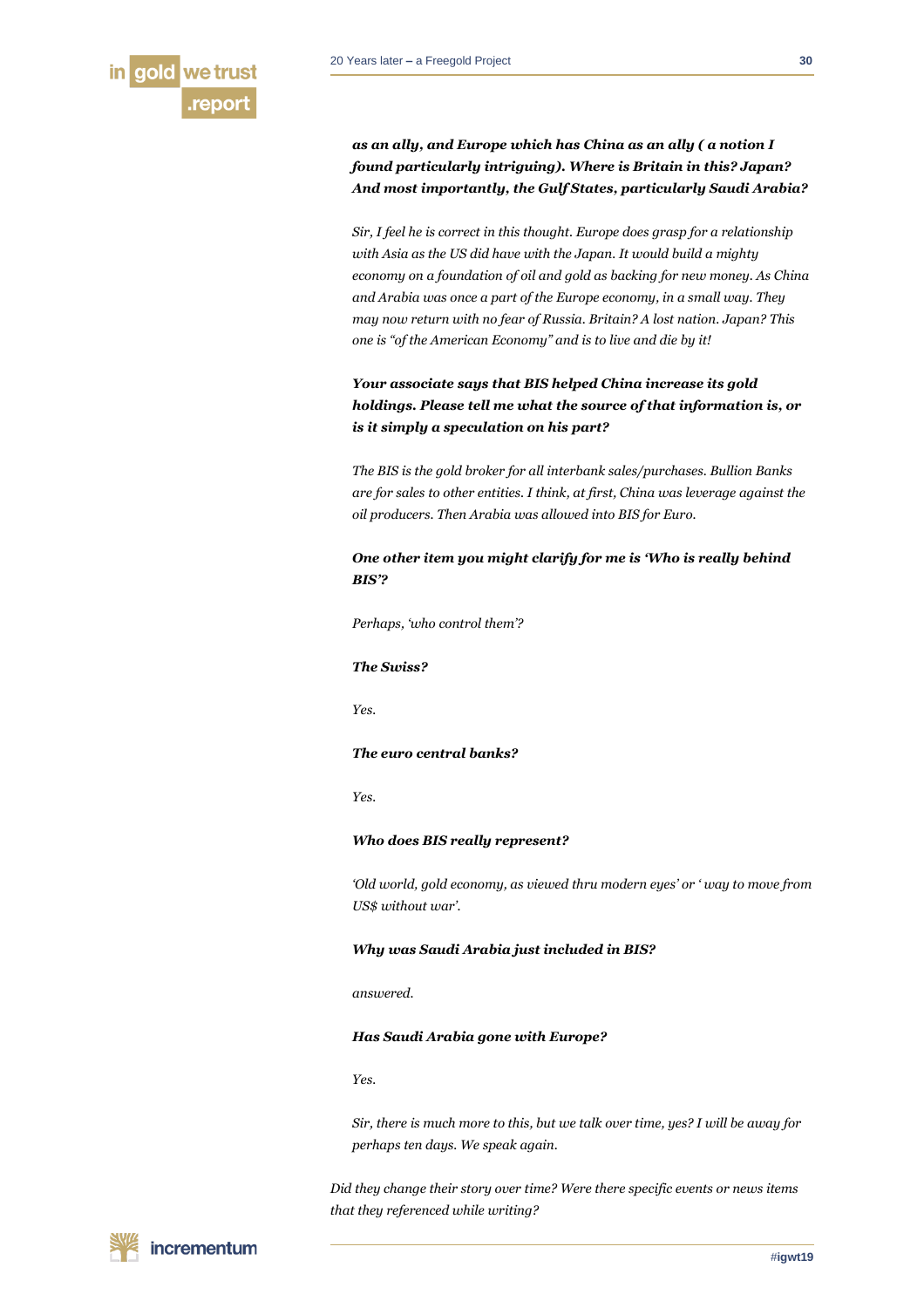

*as an ally, and Europe which has China as an ally ( a notion I found particularly intriguing). Where is Britain in this? Japan? And most importantly, the Gulf States, particularly Saudi Arabia?*

*Sir, I feel he is correct in this thought. Europe does grasp for a relationship with Asia as the US did have with the Japan. It would build a mighty economy on a foundation of oil and gold as backing for new money. As China and Arabia was once a part of the Europe economy, in a small way. They may now return with no fear of Russia. Britain? A lost nation. Japan? This one is "of the American Economy" and is to live and die by it!*

# *Your associate says that BIS helped China increase its gold holdings. Please tell me what the source of that information is, or is it simply a speculation on his part?*

*The BIS is the gold broker for all interbank sales/purchases. Bullion Banks are for sales to other entities. I think, at first, China was leverage against the oil producers. Then Arabia was allowed into BIS for Euro.*

# *One other item you might clarify for me is 'Who is really behind BIS'?*

*Perhaps, 'who control them'?*

# *The Swiss?*

*Yes.*

## *The euro central banks?*

*Yes.*

# *Who does BIS really represent?*

*'Old world, gold economy, as viewed thru modern eyes' or ' way to move from US\$ without war'.*

# *Why was Saudi Arabia just included in BIS?*

*answered.*

#### *Has Saudi Arabia gone with Europe?*

*Yes.*

*Sir, there is much more to this, but we talk over time, yes? I will be away for perhaps ten days. We speak again.*

*Did they change their story over time? Were there specific events or news items that they referenced while writing?*

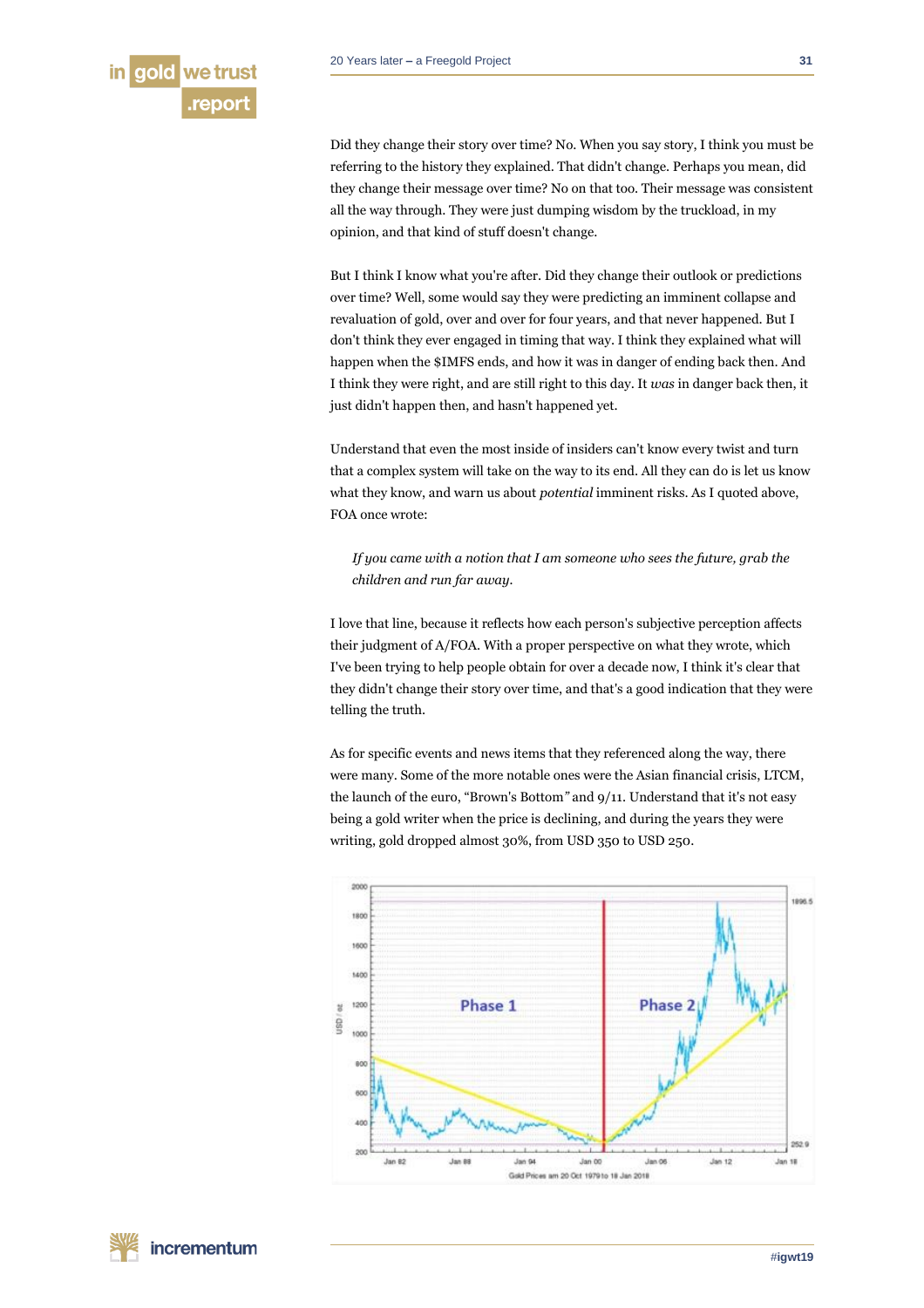Did they change their story over time? No. When you say story, I think you must be referring to the history they explained. That didn't change. Perhaps you mean, did they change their message over time? No on that too. Their message was consistent all the way through. They were just dumping wisdom by the truckload, in my opinion, and that kind of stuff doesn't change.

But I think I know what you're after. Did they change their outlook or predictions over time? Well, some would say they were predicting an imminent collapse and revaluation of gold, over and over for four years, and that never happened. But I don't think they ever engaged in timing that way. I think they explained what will happen when the \$IMFS ends, and how it was in danger of ending back then. And I think they were right, and are still right to this day. It *was* in danger back then, it just didn't happen then, and hasn't happened yet.

Understand that even the most inside of insiders can't know every twist and turn that a complex system will take on the way to its end. All they can do is let us know what they know, and warn us about *potential* imminent risks. As I quoted above, FOA once wrote:

*If you came with a notion that I am someone who sees the future, grab the children and run far away.*

I love that line, because it reflects how each person's subjective perception affects their judgment of A/FOA. With a proper perspective on what they wrote, which I've been trying to help people obtain for over a decade now, I think it's clear that they didn't change their story over time, and that's a good indication that they were telling the truth.

As for specific events and news items that they referenced along the way, there were many. Some of the more notable ones were the Asian financial crisis, LTCM, the launch of the euro, "Brown's Bottom*"* and 9/11. Understand that it's not easy being a gold writer when the price is declining, and during the years they were writing, gold dropped almost 30%, from USD 350 to USD 250.

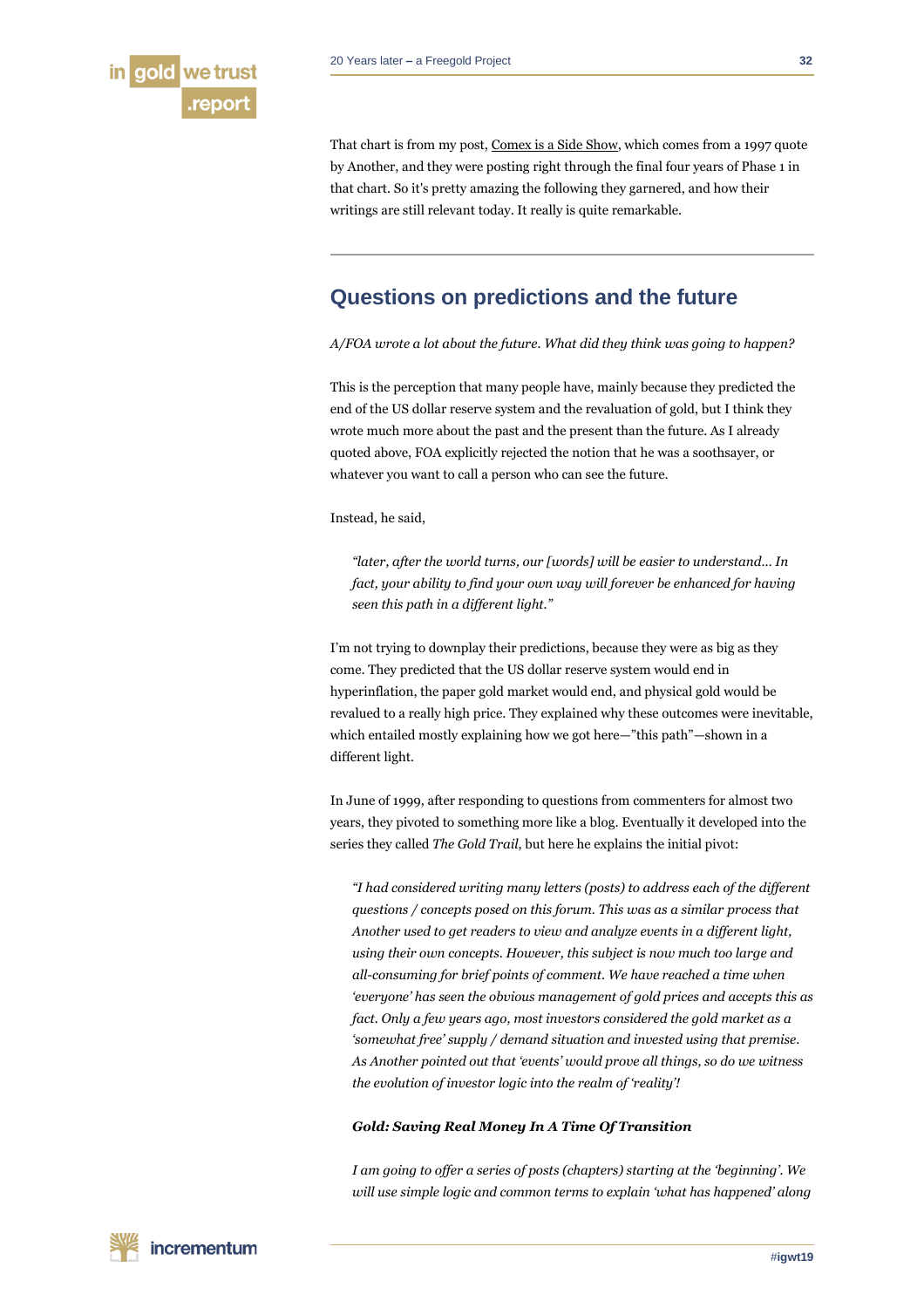

That chart is from my post[, Comex is a Side Show,](http://fofoa.blogspot.com/2018/05/comex-is-side-show.html) which comes from a 1997 quote by Another, and they were posting right through the final four years of Phase 1 in that chart. So it's pretty amazing the following they garnered, and how their writings are still relevant today. It really is quite remarkable.

# **Questions on predictions and the future**

*A/FOA wrote a lot about the future. What did they think was going to happen?*

This is the perception that many people have, mainly because they predicted the end of the US dollar reserve system and the revaluation of gold, but I think they wrote much more about the past and the present than the future. As I already quoted above, FOA explicitly rejected the notion that he was a soothsayer, or whatever you want to call a person who can see the future.

Instead, he said,

*"later, after the world turns, our [words] will be easier to understand… In fact, your ability to find your own way will forever be enhanced for having seen this path in a different light."*

I'm not trying to downplay their predictions, because they were as big as they come. They predicted that the US dollar reserve system would end in hyperinflation, the paper gold market would end, and physical gold would be revalued to a really high price. They explained why these outcomes were inevitable, which entailed mostly explaining how we got here—"this path"—shown in a different light.

In June of 1999, after responding to questions from commenters for almost two years, they pivoted to something more like a blog. Eventually it developed into the series they called *The Gold Trail*, but here he explains the initial pivot:

*"I had considered writing many letters (posts) to address each of the different questions / concepts posed on this forum. This was as a similar process that Another used to get readers to view and analyze events in a different light, using their own concepts. However, this subject is now much too large and all-consuming for brief points of comment. We have reached a time when 'everyone' has seen the obvious management of gold prices and accepts this as fact. Only a few years ago, most investors considered the gold market as a 'somewhat free' supply / demand situation and invested using that premise. As Another pointed out that 'events' would prove all things, so do we witness the evolution of investor logic into the realm of 'reality'!*

#### *Gold: Saving Real Money In A Time Of Transition*

*I am going to offer a series of posts (chapters) starting at the 'beginning'. We will use simple logic and common terms to explain 'what has happened' along*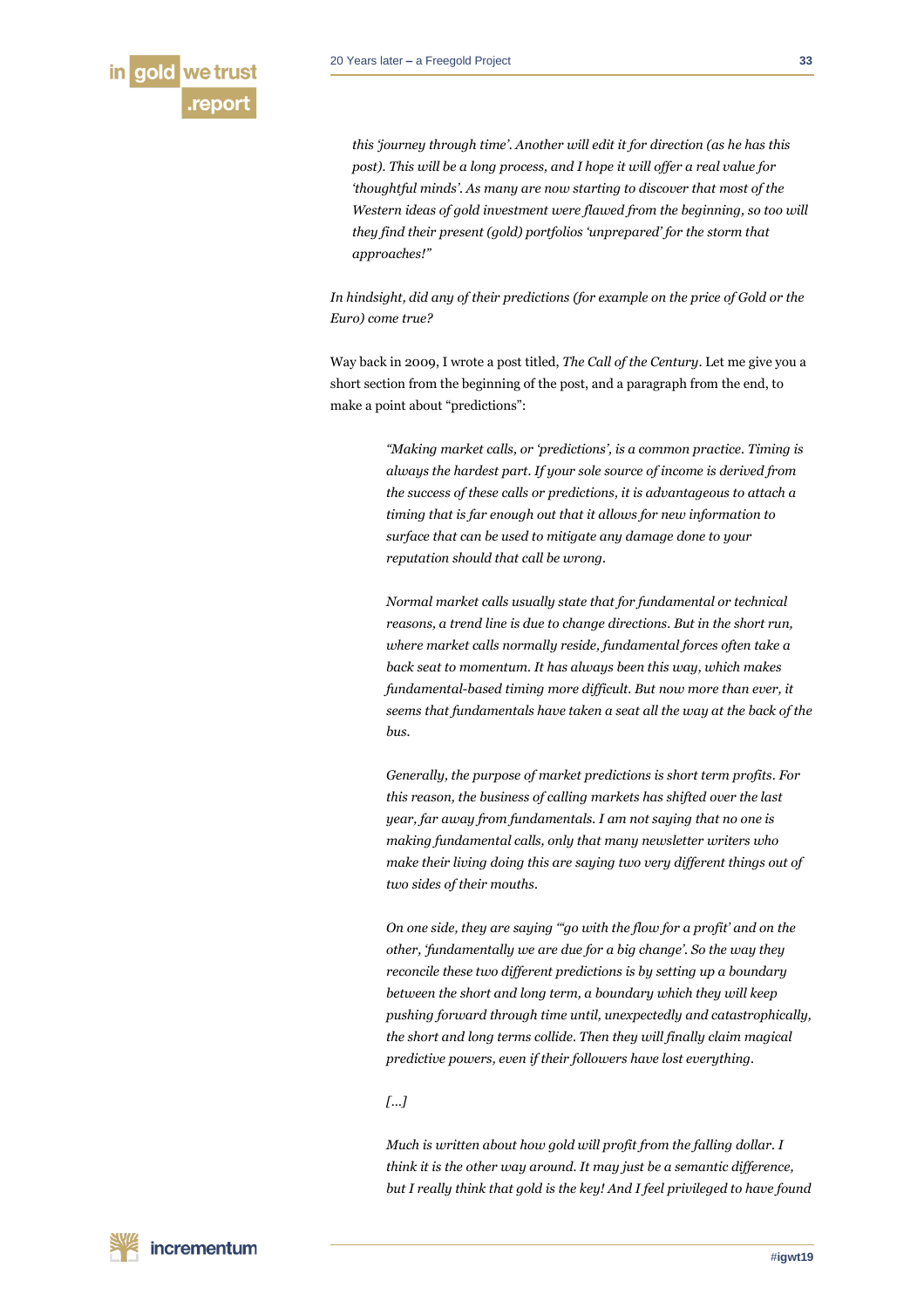

*this 'journey through time'. Another will edit it for direction (as he has this post). This will be a long process, and I hope it will offer a real value for 'thoughtful minds'. As many are now starting to discover that most of the Western ideas of gold investment were flawed from the beginning, so too will they find their present (gold) portfolios 'unprepared' for the storm that approaches!"*

*In hindsight, did any of their predictions (for example on the price of Gold or the Euro) come true?*

Way back in 2009, I wrote a post titled, *The Call of the Century*. Let me give you a short section from the beginning of the post, and a paragraph from the end, to make a point about "predictions":

> *"Making market calls, or 'predictions', is a common practice. Timing is always the hardest part. If your sole source of income is derived from the success of these calls or predictions, it is advantageous to attach a timing that is far enough out that it allows for new information to surface that can be used to mitigate any damage done to your reputation should that call be wrong.*

*Normal market calls usually state that for fundamental or technical reasons, a trend line is due to change directions. But in the short run, where market calls normally reside, fundamental forces often take a back seat to momentum. It has always been this way, which makes fundamental-based timing more difficult. But now more than ever, it seems that fundamentals have taken a seat all the way at the back of the bus.*

*Generally, the purpose of market predictions is short term profits. For this reason, the business of calling markets has shifted over the last year, far away from fundamentals. I am not saying that no one is making fundamental calls, only that many newsletter writers who make their living doing this are saying two very different things out of two sides of their mouths.*

*On one side, they are saying '"go with the flow for a profit' and on the other, 'fundamentally we are due for a big change'. So the way they reconcile these two different predictions is by setting up a boundary between the short and long term, a boundary which they will keep pushing forward through time until, unexpectedly and catastrophically, the short and long terms collide. Then they will finally claim magical predictive powers, even if their followers have lost everything.*

#### *[…]*

*Much is written about how gold will profit from the falling dollar. I think it is the other way around. It may just be a semantic difference, but I really think that gold is the key! And I feel privileged to have found*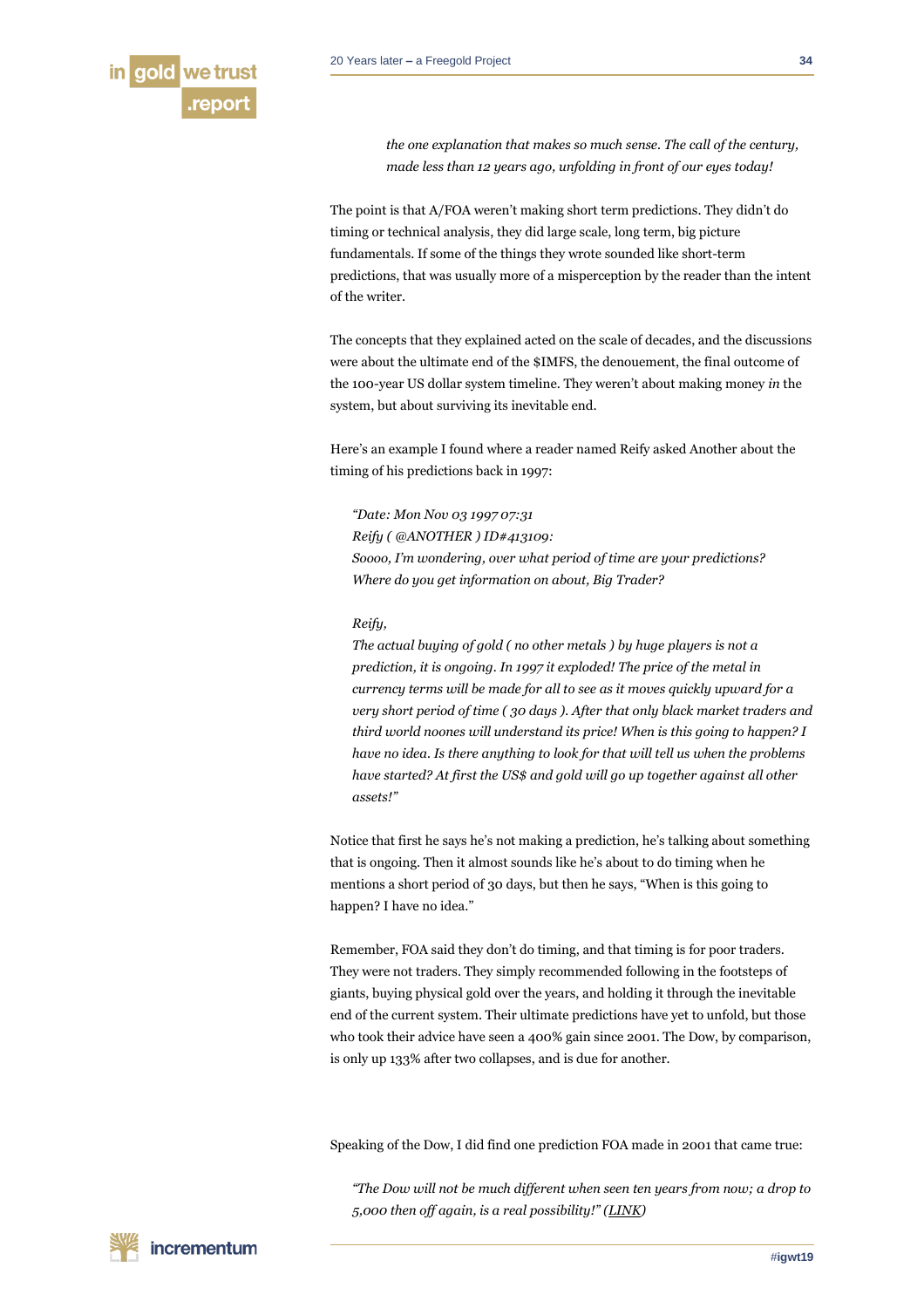*the one explanation that makes so much sense. The call of the century, made less than 12 years ago, unfolding in front of our eyes today!*

The point is that A/FOA weren't making short term predictions. They didn't do timing or technical analysis, they did large scale, long term, big picture fundamentals. If some of the things they wrote sounded like short-term predictions, that was usually more of a misperception by the reader than the intent of the writer.

The concepts that they explained acted on the scale of decades, and the discussions were about the ultimate end of the \$IMFS, the denouement, the final outcome of the 100-year US dollar system timeline. They weren't about making money *in* the system, but about surviving its inevitable end.

Here's an example I found where a reader named Reify asked Another about the timing of his predictions back in 1997:

*"Date: Mon Nov 03 1997 07:31 Reify ( @ANOTHER ) ID#413109: Soooo, I'm wondering, over what period of time are your predictions? Where do you get information on about, Big Trader?*

#### *Reify,*

*The actual buying of gold ( no other metals ) by huge players is not a prediction, it is ongoing. In 1997 it exploded! The price of the metal in currency terms will be made for all to see as it moves quickly upward for a very short period of time ( 30 days ). After that only black market traders and third world noones will understand its price! When is this going to happen? I have no idea. Is there anything to look for that will tell us when the problems have started? At first the US\$ and gold will go up together against all other assets!"*

Notice that first he says he's not making a prediction, he's talking about something that is ongoing. Then it almost sounds like he's about to do timing when he mentions a short period of 30 days, but then he says, "When is this going to happen? I have no idea."

Remember, FOA said they don't do timing, and that timing is for poor traders. They were not traders. They simply recommended following in the footsteps of giants, buying physical gold over the years, and holding it through the inevitable end of the current system. Their ultimate predictions have yet to unfold, but those who took their advice have seen a 400% gain since 2001. The Dow, by comparison, is only up 133% after two collapses, and is due for another.

Speaking of the Dow, I did find one prediction FOA made in 2001 that came true:

*"The Dow will not be much different when seen ten years from now; a drop to 5,000 then off again, is a real possibility!" ([LINK\)](http://ubercraftorg.ipage.com/goldtrail/goldtrail-2001-10.html#125)*

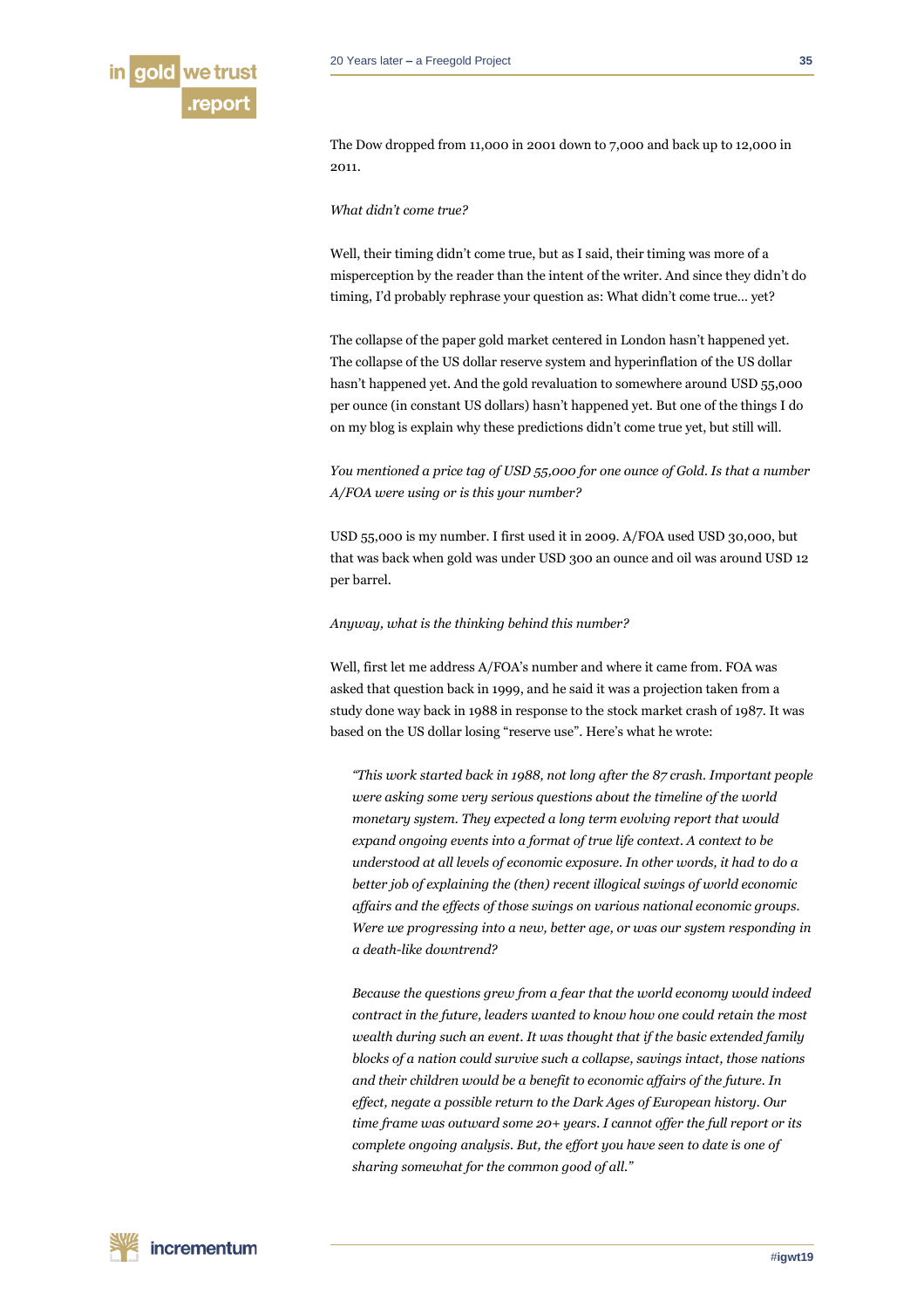

The Dow dropped from 11,000 in 2001 down to 7,000 and back up to 12,000 in

#### *What didn't come true?*

2011.

Well, their timing didn't come true, but as I said, their timing was more of a misperception by the reader than the intent of the writer. And since they didn't do timing, I'd probably rephrase your question as: What didn't come true… yet?

The collapse of the paper gold market centered in London hasn't happened yet. The collapse of the US dollar reserve system and hyperinflation of the US dollar hasn't happened yet. And the gold revaluation to somewhere around USD 55,000 per ounce (in constant US dollars) hasn't happened yet. But one of the things I do on my blog is explain why these predictions didn't come true yet, but still will.

*You mentioned a price tag of USD 55,000 for one ounce of Gold. Is that a number A/FOA were using or is this your number?*

USD 55,000 is my number. I first used it in 2009. A/FOA used USD 30,000, but that was back when gold was under USD 300 an ounce and oil was around USD 12 per barrel.

# *Anyway, what is the thinking behind this number?*

Well, first let me address A/FOA's number and where it came from. FOA was asked that question back in 1999, and he said it was a projection taken from a study done way back in 1988 in response to the stock market crash of 1987. It was based on the US dollar losing "reserve use". Here's what he wrote:

*"This work started back in 1988, not long after the 87 crash. Important people were asking some very serious questions about the timeline of the world monetary system. They expected a long term evolving report that would expand ongoing events into a format of true life context. A context to be understood at all levels of economic exposure. In other words, it had to do a better job of explaining the (then) recent illogical swings of world economic affairs and the effects of those swings on various national economic groups. Were we progressing into a new, better age, or was our system responding in a death-like downtrend?*

*Because the questions grew from a fear that the world economy would indeed contract in the future, leaders wanted to know how one could retain the most wealth during such an event. It was thought that if the basic extended family blocks of a nation could survive such a collapse, savings intact, those nations and their children would be a benefit to economic affairs of the future. In effect, negate a possible return to the Dark Ages of European history. Our time frame was outward some 20+ years. I cannot offer the full report or its complete ongoing analysis. But, the effort you have seen to date is one of sharing somewhat for the common good of all."*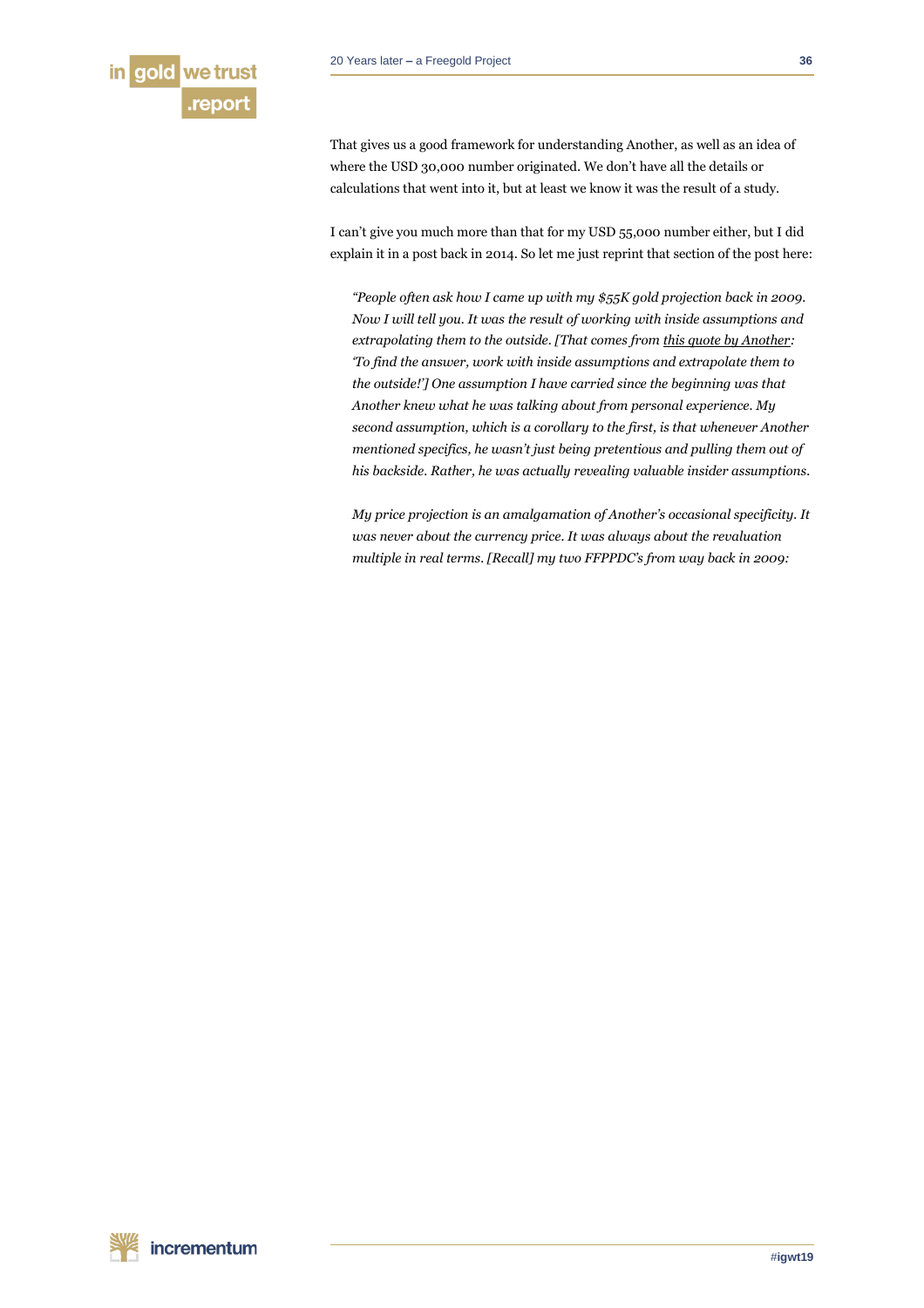

That gives us a good framework for understanding Another, as well as an idea of where the USD 30,000 number originated. We don't have all the details or calculations that went into it, but at least we know it was the result of a study.

I can't give you much more than that for my USD 55,000 number either, but I did explain it in a post back in 2014. So let me just reprint that section of the post here:

*"People often ask how I came up with my \$55K gold projection back in 2009. Now I will tell you. It was the result of working with inside assumptions and extrapolating them to the outside. [That comes from [this quote by Another:](http://ubercraftorg.ipage.com/thoughts/1997/10.html#10) 'To find the answer, work with inside assumptions and extrapolate them to the outside!'] One assumption I have carried since the beginning was that Another knew what he was talking about from personal experience. My second assumption, which is a corollary to the first, is that whenever Another mentioned specifics, he wasn't just being pretentious and pulling them out of his backside. Rather, he was actually revealing valuable insider assumptions.*

*My price projection is an amalgamation of Another's occasional specificity. It was never about the currency price. It was always about the revaluation multiple in real terms. [Recall] my two FFPPDC's from way back in 2009:*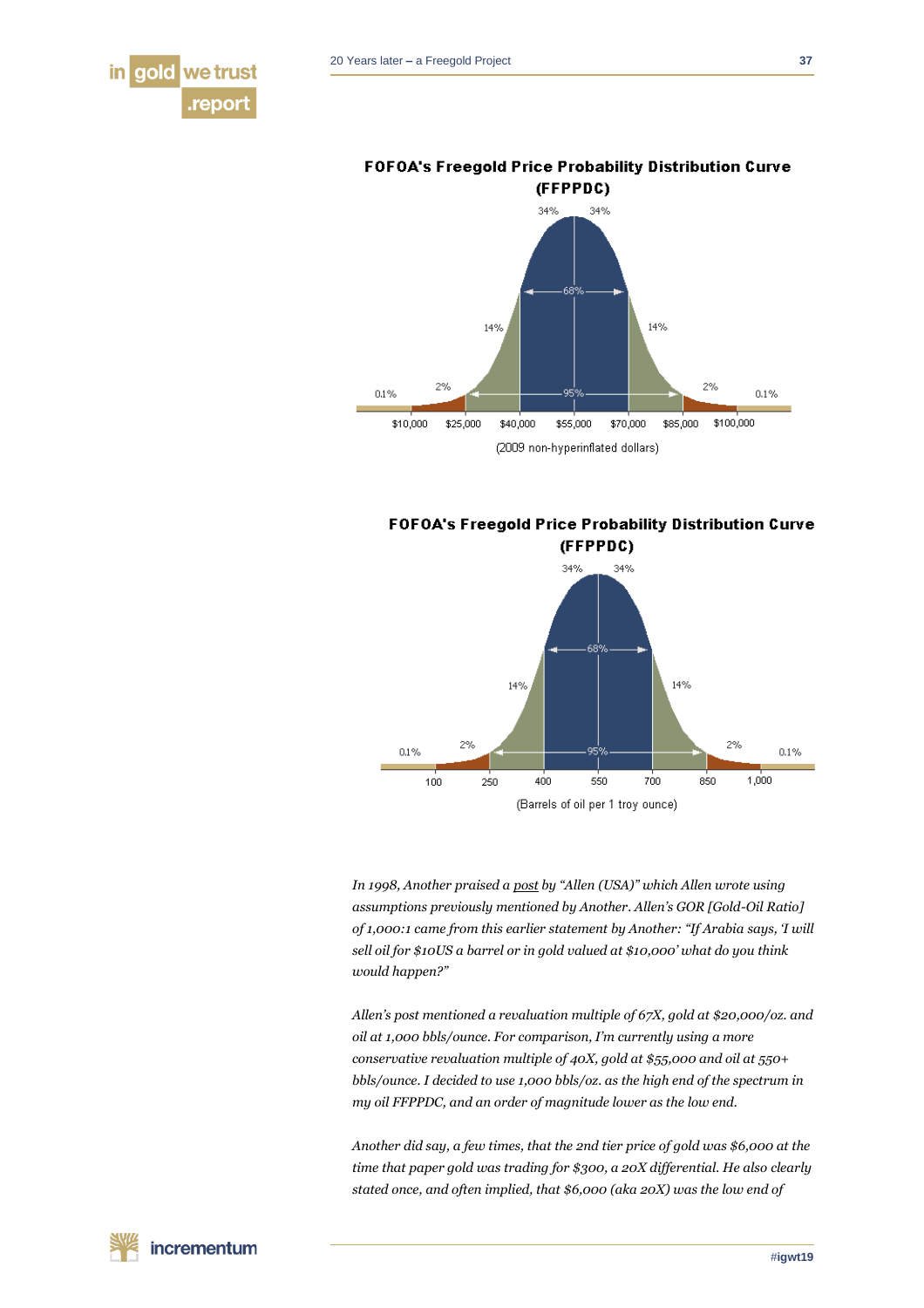



**FOFOA's Freegold Price Probability Distribution Curve** 

**FOFOA's Freegold Price Probability Distribution Curve** 



*In 1998, Another praised [a post](http://ubercraftorg.ipage.com/thoughts/1998/03.html#111) by "Allen (USA)" which Allen wrote using assumptions previously mentioned by Another. Allen's GOR [Gold-Oil Ratio] of 1,000:1 came from this earlier statement by Another: "If Arabia says, 'I will sell oil for \$10US a barrel or in gold valued at \$10,000' what do you think would happen?"*

*Allen's post mentioned a revaluation multiple of 67X, gold at \$20,000/oz. and oil at 1,000 bbls/ounce. For comparison, I'm currently using a more conservative revaluation multiple of 40X, gold at \$55,000 and oil at 550+ bbls/ounce. I decided to use 1,000 bbls/oz. as the high end of the spectrum in my oil FFPPDC, and an order of magnitude lower as the low end.*

*Another did say, a few times, that the 2nd tier price of gold was \$6,000 at the time that paper gold was trading for \$300, a 20X differential. He also clearly stated once, and often implied, that \$6,000 (aka 20X) was the low end of*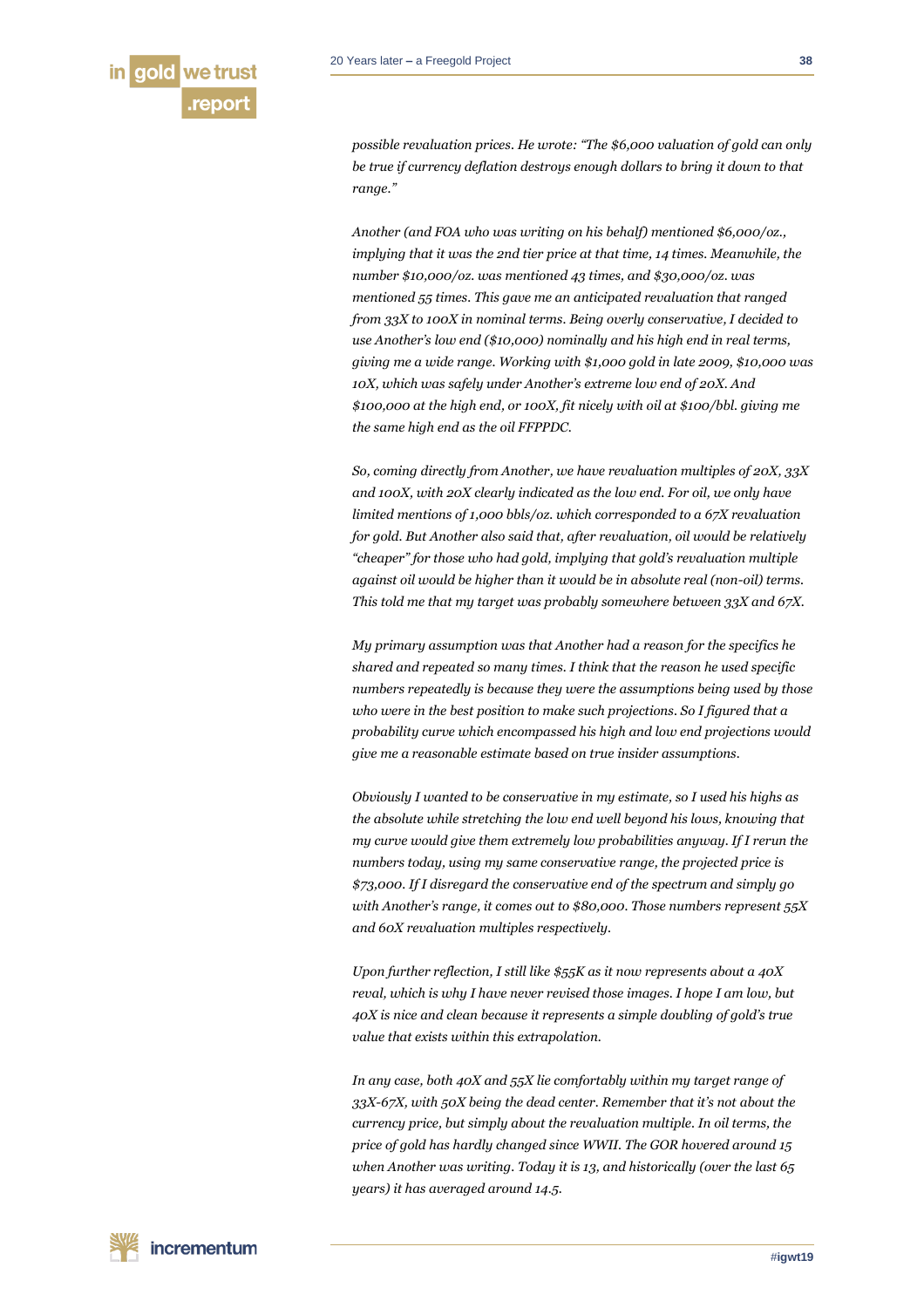

*possible revaluation prices. He wrote: "The \$6,000 valuation of gold can only be true if currency deflation destroys enough dollars to bring it down to that range."*

*Another (and FOA who was writing on his behalf) mentioned \$6,000/oz., implying that it was the 2nd tier price at that time, 14 times. Meanwhile, the number \$10,000/oz. was mentioned 43 times, and \$30,000/oz. was mentioned 55 times. This gave me an anticipated revaluation that ranged from 33X to 100X in nominal terms. Being overly conservative, I decided to use Another's low end (\$10,000) nominally and his high end in real terms, giving me a wide range. Working with \$1,000 gold in late 2009, \$10,000 was 10X, which was safely under Another's extreme low end of 20X. And \$100,000 at the high end, or 100X, fit nicely with oil at \$100/bbl. giving me the same high end as the oil FFPPDC.*

*So, coming directly from Another, we have revaluation multiples of 20X, 33X and 100X, with 20X clearly indicated as the low end. For oil, we only have limited mentions of 1,000 bbls/oz. which corresponded to a 67X revaluation for gold. But Another also said that, after revaluation, oil would be relatively "cheaper" for those who had gold, implying that gold's revaluation multiple against oil would be higher than it would be in absolute real (non-oil) terms. This told me that my target was probably somewhere between 33X and 67X.*

*My primary assumption was that Another had a reason for the specifics he shared and repeated so many times. I think that the reason he used specific numbers repeatedly is because they were the assumptions being used by those who were in the best position to make such projections. So I figured that a probability curve which encompassed his high and low end projections would give me a reasonable estimate based on true insider assumptions.*

*Obviously I wanted to be conservative in my estimate, so I used his highs as the absolute while stretching the low end well beyond his lows, knowing that my curve would give them extremely low probabilities anyway. If I rerun the numbers today, using my same conservative range, the projected price is \$73,000. If I disregard the conservative end of the spectrum and simply go with Another's range, it comes out to \$80,000. Those numbers represent 55X and 60X revaluation multiples respectively.*

*Upon further reflection, I still like \$55K as it now represents about a 40X reval, which is why I have never revised those images. I hope I am low, but 40X is nice and clean because it represents a simple doubling of gold's true value that exists within this extrapolation.*

*In any case, both 40X and 55X lie comfortably within my target range of 33X-67X, with 50X being the dead center. Remember that it's not about the currency price, but simply about the revaluation multiple. In oil terms, the price of gold has hardly changed since WWII. The GOR hovered around 15 when Another was writing. Today it is 13, and historically (over the last 65 years) it has averaged around 14.5.*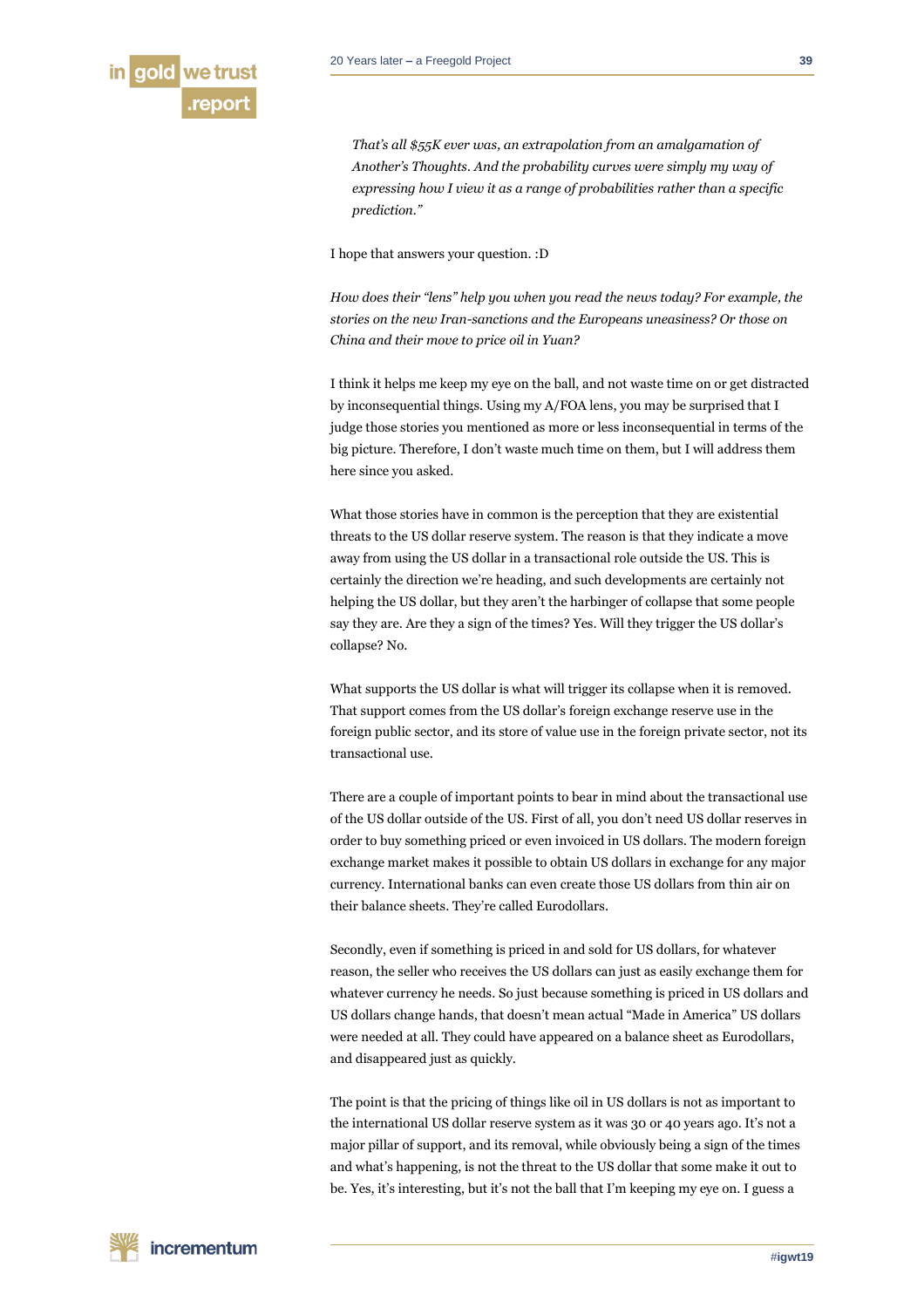

*That's all \$55K ever was, an extrapolation from an amalgamation of Another's Thoughts. And the probability curves were simply my way of expressing how I view it as a range of probabilities rather than a specific prediction."*

I hope that answers your question. :D

*How does their "lens" help you when you read the news today? For example, the stories on the new Iran-sanctions and the Europeans uneasiness? Or those on China and their move to price oil in Yuan?*

I think it helps me keep my eye on the ball, and not waste time on or get distracted by inconsequential things. Using my A/FOA lens, you may be surprised that I judge those stories you mentioned as more or less inconsequential in terms of the big picture. Therefore, I don't waste much time on them, but I will address them here since you asked.

What those stories have in common is the perception that they are existential threats to the US dollar reserve system. The reason is that they indicate a move away from using the US dollar in a transactional role outside the US. This is certainly the direction we're heading, and such developments are certainly not helping the US dollar, but they aren't the harbinger of collapse that some people say they are. Are they a sign of the times? Yes. Will they trigger the US dollar's collapse? No.

What supports the US dollar is what will trigger its collapse when it is removed. That support comes from the US dollar's foreign exchange reserve use in the foreign public sector, and its store of value use in the foreign private sector, not its transactional use.

There are a couple of important points to bear in mind about the transactional use of the US dollar outside of the US. First of all, you don't need US dollar reserves in order to buy something priced or even invoiced in US dollars. The modern foreign exchange market makes it possible to obtain US dollars in exchange for any major currency. International banks can even create those US dollars from thin air on their balance sheets. They're called Eurodollars.

Secondly, even if something is priced in and sold for US dollars, for whatever reason, the seller who receives the US dollars can just as easily exchange them for whatever currency he needs. So just because something is priced in US dollars and US dollars change hands, that doesn't mean actual "Made in America" US dollars were needed at all. They could have appeared on a balance sheet as Eurodollars, and disappeared just as quickly.

The point is that the pricing of things like oil in US dollars is not as important to the international US dollar reserve system as it was 30 or 40 years ago. It's not a major pillar of support, and its removal, while obviously being a sign of the times and what's happening, is not the threat to the US dollar that some make it out to be. Yes, it's interesting, but it's not the ball that I'm keeping my eye on. I guess a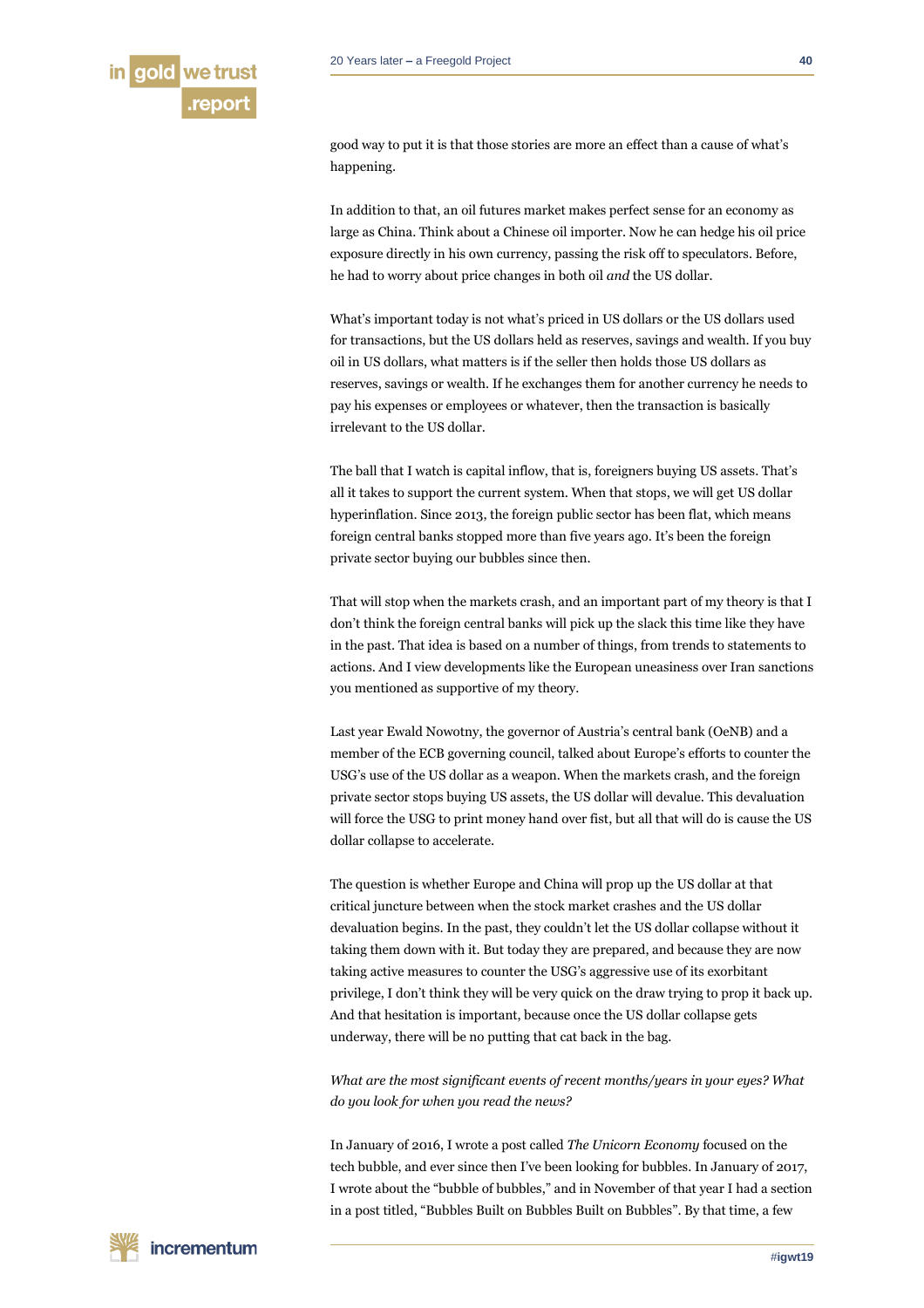

good way to put it is that those stories are more an effect than a cause of what's happening.

In addition to that, an oil futures market makes perfect sense for an economy as large as China. Think about a Chinese oil importer. Now he can hedge his oil price exposure directly in his own currency, passing the risk off to speculators. Before, he had to worry about price changes in both oil *and* the US dollar.

What's important today is not what's priced in US dollars or the US dollars used for transactions, but the US dollars held as reserves, savings and wealth. If you buy oil in US dollars, what matters is if the seller then holds those US dollars as reserves, savings or wealth. If he exchanges them for another currency he needs to pay his expenses or employees or whatever, then the transaction is basically irrelevant to the US dollar.

The ball that I watch is capital inflow, that is, foreigners buying US assets. That's all it takes to support the current system. When that stops, we will get US dollar hyperinflation. Since 2013, the foreign public sector has been flat, which means foreign central banks stopped more than five years ago. It's been the foreign private sector buying our bubbles since then.

That will stop when the markets crash, and an important part of my theory is that I don't think the foreign central banks will pick up the slack this time like they have in the past. That idea is based on a number of things, from trends to statements to actions. And I view developments like the European uneasiness over Iran sanctions you mentioned as supportive of my theory.

Last year Ewald Nowotny, the governor of Austria's central bank (OeNB) and a member of the ECB governing council, talked about Europe's efforts to counter the USG's use of the US dollar as a weapon. When the markets crash, and the foreign private sector stops buying US assets, the US dollar will devalue. This devaluation will force the USG to print money hand over fist, but all that will do is cause the US dollar collapse to accelerate.

The question is whether Europe and China will prop up the US dollar at that critical juncture between when the stock market crashes and the US dollar devaluation begins. In the past, they couldn't let the US dollar collapse without it taking them down with it. But today they are prepared, and because they are now taking active measures to counter the USG's aggressive use of its exorbitant privilege, I don't think they will be very quick on the draw trying to prop it back up. And that hesitation is important, because once the US dollar collapse gets underway, there will be no putting that cat back in the bag.

*What are the most significant events of recent months/years in your eyes? What do you look for when you read the news?*

In January of 2016, I wrote a post called *The Unicorn Economy* focused on the tech bubble, and ever since then I've been looking for bubbles. In January of 2017, I wrote about the "bubble of bubbles," and in November of that year I had a section in a post titled, "Bubbles Built on Bubbles Built on Bubbles". By that time, a few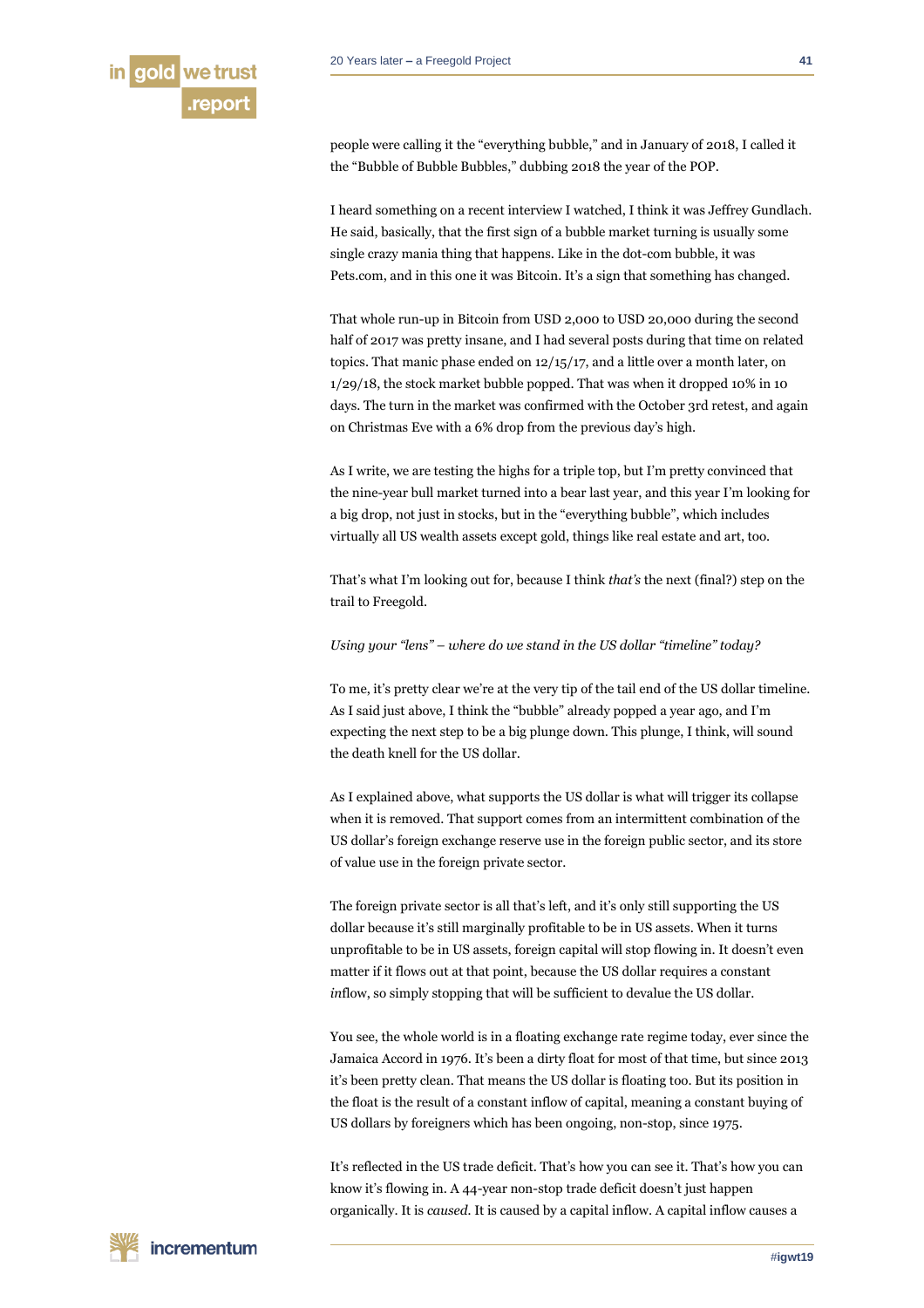people were calling it the "everything bubble," and in January of 2018, I called it the "Bubble of Bubble Bubbles," dubbing 2018 the year of the POP.

I heard something on a recent interview I watched, I think it was Jeffrey Gundlach. He said, basically, that the first sign of a bubble market turning is usually some single crazy mania thing that happens. Like in the dot-com bubble, it was Pets.com, and in this one it was Bitcoin. It's a sign that something has changed.

That whole run-up in Bitcoin from USD 2,000 to USD 20,000 during the second half of 2017 was pretty insane, and I had several posts during that time on related topics. That manic phase ended on 12/15/17, and a little over a month later, on 1/29/18, the stock market bubble popped. That was when it dropped 10% in 10 days. The turn in the market was confirmed with the October 3rd retest, and again on Christmas Eve with a 6% drop from the previous day's high.

As I write, we are testing the highs for a triple top, but I'm pretty convinced that the nine-year bull market turned into a bear last year, and this year I'm looking for a big drop, not just in stocks, but in the "everything bubble", which includes virtually all US wealth assets except gold, things like real estate and art, too.

That's what I'm looking out for, because I think *that's* the next (final?) step on the trail to Freegold.

# *Using your "lens" – where do we stand in the US dollar "timeline" today?*

To me, it's pretty clear we're at the very tip of the tail end of the US dollar timeline. As I said just above, I think the "bubble" already popped a year ago, and I'm expecting the next step to be a big plunge down. This plunge, I think, will sound the death knell for the US dollar.

As I explained above, what supports the US dollar is what will trigger its collapse when it is removed. That support comes from an intermittent combination of the US dollar's foreign exchange reserve use in the foreign public sector, and its store of value use in the foreign private sector.

The foreign private sector is all that's left, and it's only still supporting the US dollar because it's still marginally profitable to be in US assets. When it turns unprofitable to be in US assets, foreign capital will stop flowing in. It doesn't even matter if it flows out at that point, because the US dollar requires a constant *in*flow, so simply stopping that will be sufficient to devalue the US dollar.

You see, the whole world is in a floating exchange rate regime today, ever since the Jamaica Accord in 1976. It's been a dirty float for most of that time, but since 2013 it's been pretty clean. That means the US dollar is floating too. But its position in the float is the result of a constant inflow of capital, meaning a constant buying of US dollars by foreigners which has been ongoing, non-stop, since 1975.

It's reflected in the US trade deficit. That's how you can see it. That's how you can know it's flowing in. A 44-year non-stop trade deficit doesn't just happen organically. It is *caused.* It is caused by a capital inflow. A capital inflow causes a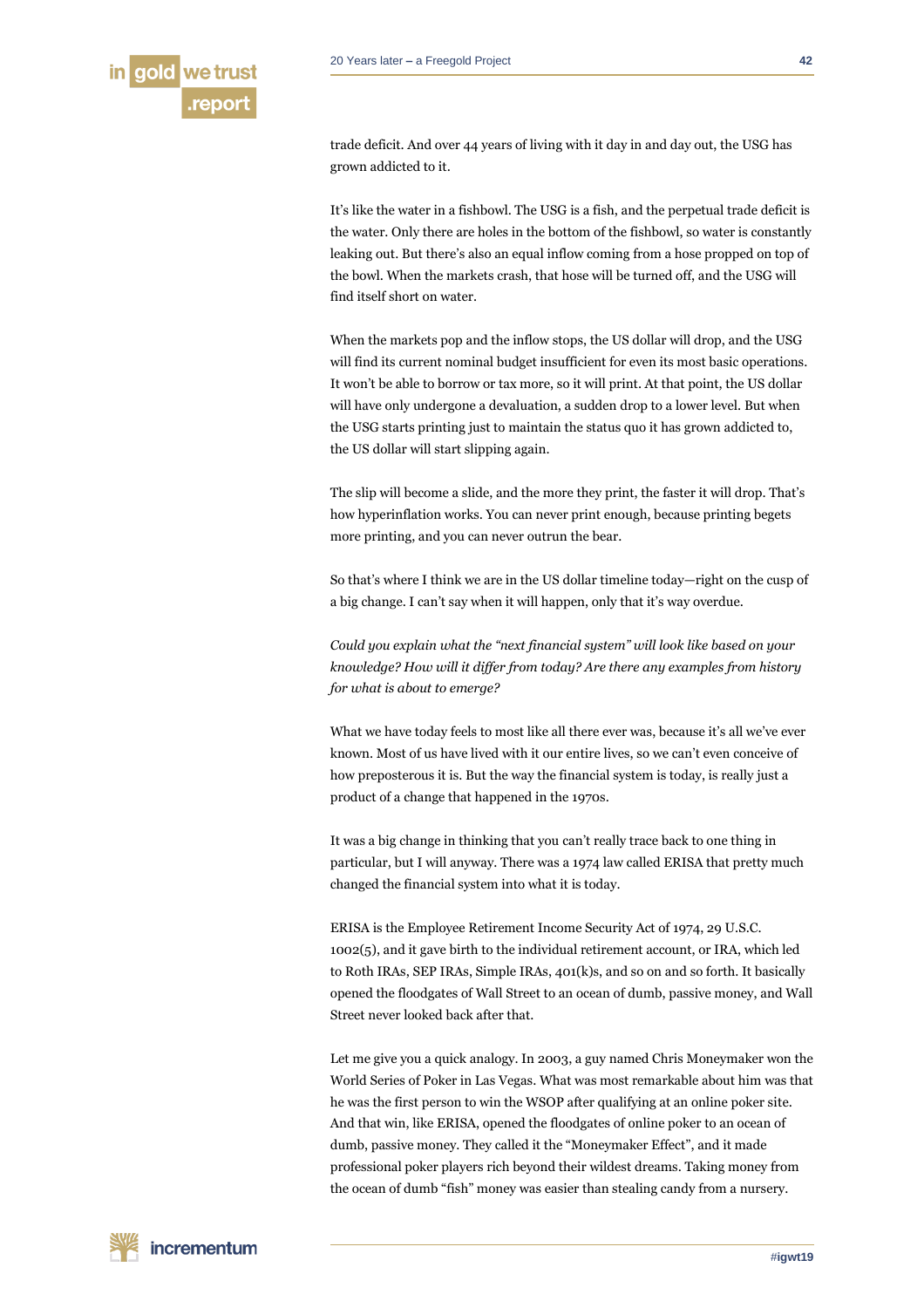

trade deficit. And over 44 years of living with it day in and day out, the USG has grown addicted to it.

It's like the water in a fishbowl. The USG is a fish, and the perpetual trade deficit is the water. Only there are holes in the bottom of the fishbowl, so water is constantly leaking out. But there's also an equal inflow coming from a hose propped on top of the bowl. When the markets crash, that hose will be turned off, and the USG will find itself short on water.

When the markets pop and the inflow stops, the US dollar will drop, and the USG will find its current nominal budget insufficient for even its most basic operations. It won't be able to borrow or tax more, so it will print. At that point, the US dollar will have only undergone a devaluation, a sudden drop to a lower level. But when the USG starts printing just to maintain the status quo it has grown addicted to, the US dollar will start slipping again.

The slip will become a slide, and the more they print, the faster it will drop. That's how hyperinflation works. You can never print enough, because printing begets more printing, and you can never outrun the bear.

So that's where I think we are in the US dollar timeline today—right on the cusp of a big change. I can't say when it will happen, only that it's way overdue.

*Could you explain what the "next financial system" will look like based on your knowledge? How will it differ from today? Are there any examples from history for what is about to emerge?*

What we have today feels to most like all there ever was, because it's all we've ever known. Most of us have lived with it our entire lives, so we can't even conceive of how preposterous it is. But the way the financial system is today, is really just a product of a change that happened in the 1970s.

It was a big change in thinking that you can't really trace back to one thing in particular, but I will anyway. There was a 1974 law called ERISA that pretty much changed the financial system into what it is today.

ERISA is the Employee Retirement Income Security Act of 1974, 29 U.S.C. 1002(5), and it gave birth to the individual retirement account, or IRA, which led to Roth IRAs, SEP IRAs, Simple IRAs, 401(k)s, and so on and so forth. It basically opened the floodgates of Wall Street to an ocean of dumb, passive money, and Wall Street never looked back after that.

Let me give you a quick analogy. In 2003, a guy named Chris Moneymaker won the World Series of Poker in Las Vegas. What was most remarkable about him was that he was the first person to win the WSOP after qualifying at an online poker site. And that win, like ERISA, opened the floodgates of online poker to an ocean of dumb, passive money. They called it the "Moneymaker Effect", and it made professional poker players rich beyond their wildest dreams. Taking money from the ocean of dumb "fish" money was easier than stealing candy from a nursery.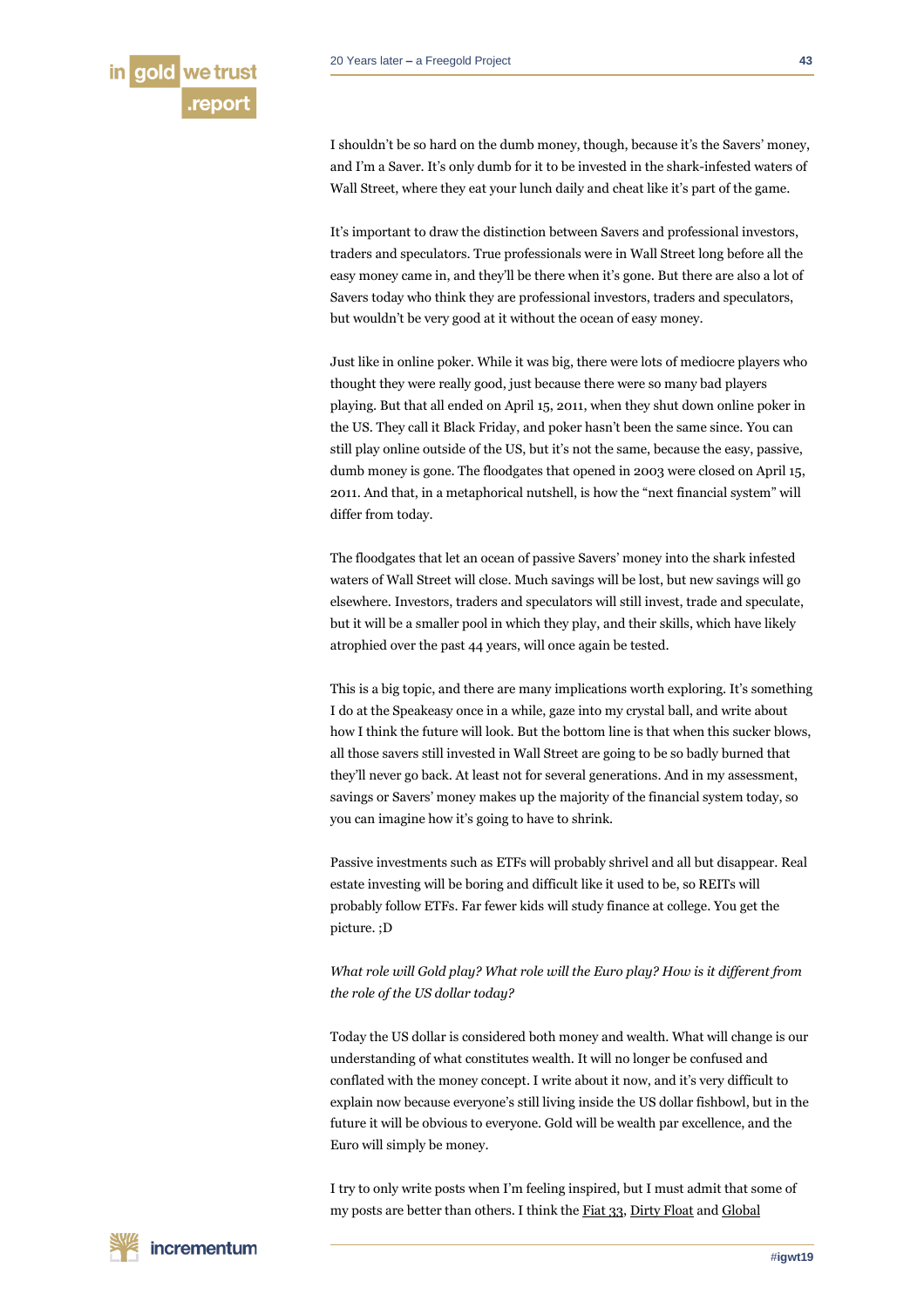I shouldn't be so hard on the dumb money, though, because it's the Savers' money, and I'm a Saver. It's only dumb for it to be invested in the shark-infested waters of Wall Street, where they eat your lunch daily and cheat like it's part of the game.

It's important to draw the distinction between Savers and professional investors, traders and speculators. True professionals were in Wall Street long before all the easy money came in, and they'll be there when it's gone. But there are also a lot of Savers today who think they are professional investors, traders and speculators, but wouldn't be very good at it without the ocean of easy money.

Just like in online poker. While it was big, there were lots of mediocre players who thought they were really good, just because there were so many bad players playing. But that all ended on April 15, 2011, when they shut down online poker in the US. They call it Black Friday, and poker hasn't been the same since. You can still play online outside of the US, but it's not the same, because the easy, passive, dumb money is gone. The floodgates that opened in 2003 were closed on April 15, 2011. And that, in a metaphorical nutshell, is how the "next financial system" will differ from today.

The floodgates that let an ocean of passive Savers' money into the shark infested waters of Wall Street will close. Much savings will be lost, but new savings will go elsewhere. Investors, traders and speculators will still invest, trade and speculate, but it will be a smaller pool in which they play, and their skills, which have likely atrophied over the past 44 years, will once again be tested.

This is a big topic, and there are many implications worth exploring. It's something I do at the Speakeasy once in a while, gaze into my crystal ball, and write about how I think the future will look. But the bottom line is that when this sucker blows, all those savers still invested in Wall Street are going to be so badly burned that they'll never go back. At least not for several generations. And in my assessment, savings or Savers' money makes up the majority of the financial system today, so you can imagine how it's going to have to shrink.

Passive investments such as ETFs will probably shrivel and all but disappear. Real estate investing will be boring and difficult like it used to be, so REITs will probably follow ETFs. Far fewer kids will study finance at college. You get the picture. ;D

# *What role will Gold play? What role will the Euro play? How is it different from the role of the US dollar today?*

Today the US dollar is considered both money and wealth. What will change is our understanding of what constitutes wealth. It will no longer be confused and conflated with the money concept. I write about it now, and it's very difficult to explain now because everyone's still living inside the US dollar fishbowl, but in the future it will be obvious to everyone. Gold will be wealth par excellence, and the Euro will simply be money.

I try to only write posts when I'm feeling inspired, but I must admit that some of my posts are better than others. I think th[e Fiat 33,](http://fofoa.blogspot.com/2014/06/fiat-33.html) [Dirty Float](http://fofoa.blogspot.com/2014/08/dirty-float.html) and [Global](http://fofoa.blogspot.com/2014/12/global-stagnation.html)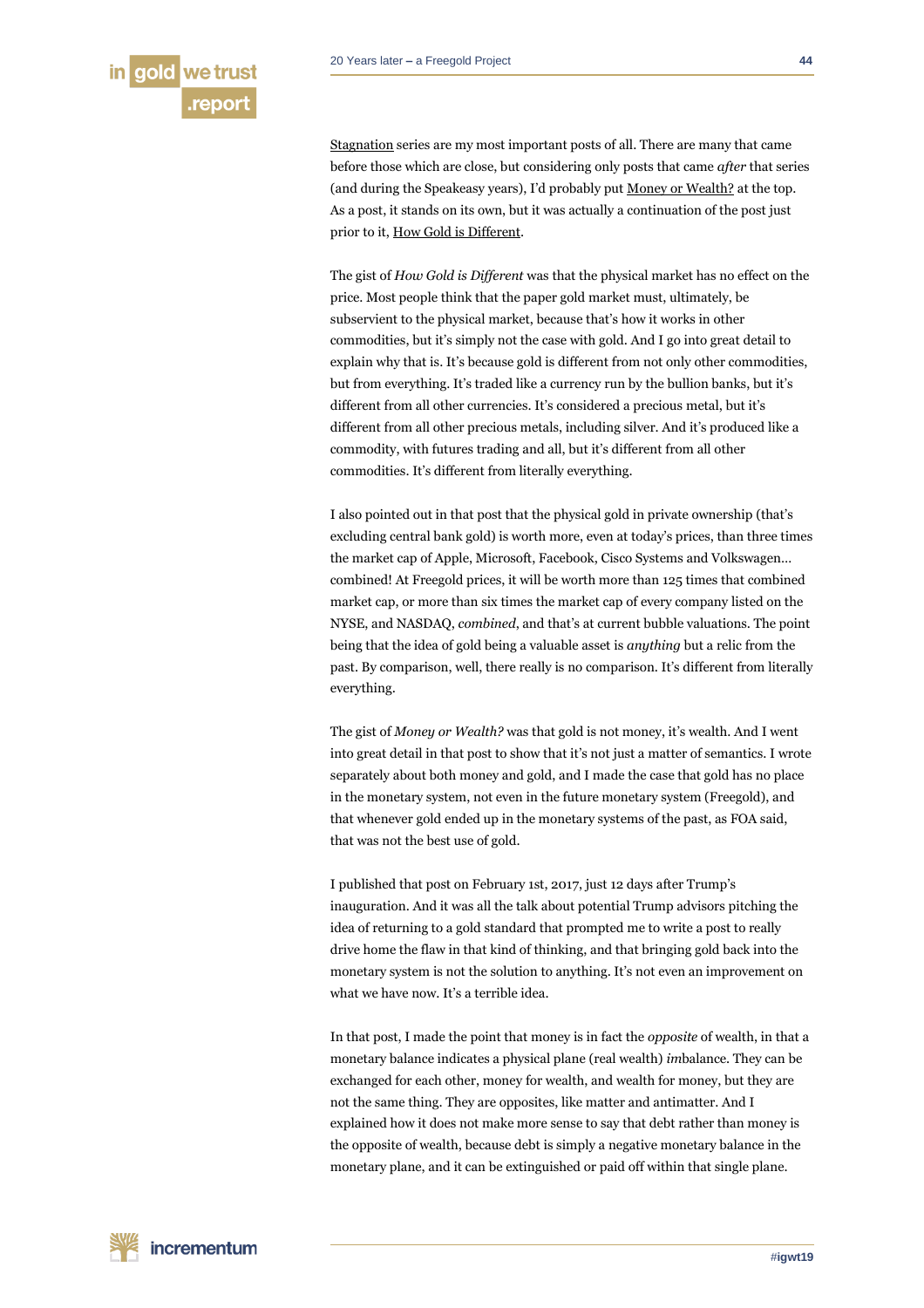

[Stagnation](http://fofoa.blogspot.com/2014/12/global-stagnation.html) series are my most important posts of all. There are many that came before those which are close, but considering only posts that came *after* that series (and during the Speakeasy years), I'd probably put [Money or Wealth?](http://fofoa.blogspot.com/2017/05/money-or-wealth.html) at the top. As a post, it stands on its own, but it was actually a continuation of the post just prior to it, [How Gold is Different.](http://fofoa.blogspot.com/2017/05/how-gold-is-different.html)

The gist of *How Gold is Different* was that the physical market has no effect on the price. Most people think that the paper gold market must, ultimately, be subservient to the physical market, because that's how it works in other commodities, but it's simply not the case with gold. And I go into great detail to explain why that is. It's because gold is different from not only other commodities, but from everything. It's traded like a currency run by the bullion banks, but it's different from all other currencies. It's considered a precious metal, but it's different from all other precious metals, including silver. And it's produced like a commodity, with futures trading and all, but it's different from all other commodities. It's different from literally everything.

I also pointed out in that post that the physical gold in private ownership (that's excluding central bank gold) is worth more, even at today's prices, than three times the market cap of Apple, Microsoft, Facebook, Cisco Systems and Volkswagen… combined! At Freegold prices, it will be worth more than 125 times that combined market cap, or more than six times the market cap of every company listed on the NYSE, and NASDAQ, *combined*, and that's at current bubble valuations. The point being that the idea of gold being a valuable asset is *anything* but a relic from the past. By comparison, well, there really is no comparison. It's different from literally everything.

The gist of *Money or Wealth?* was that gold is not money, it's wealth. And I went into great detail in that post to show that it's not just a matter of semantics. I wrote separately about both money and gold, and I made the case that gold has no place in the monetary system, not even in the future monetary system (Freegold), and that whenever gold ended up in the monetary systems of the past, as FOA said, that was not the best use of gold.

I published that post on February 1st, 2017, just 12 days after Trump's inauguration. And it was all the talk about potential Trump advisors pitching the idea of returning to a gold standard that prompted me to write a post to really drive home the flaw in that kind of thinking, and that bringing gold back into the monetary system is not the solution to anything. It's not even an improvement on what we have now. It's a terrible idea.

In that post, I made the point that money is in fact the *opposite* of wealth, in that a monetary balance indicates a physical plane (real wealth) *im*balance. They can be exchanged for each other, money for wealth, and wealth for money, but they are not the same thing. They are opposites, like matter and antimatter. And I explained how it does not make more sense to say that debt rather than money is the opposite of wealth, because debt is simply a negative monetary balance in the monetary plane, and it can be extinguished or paid off within that single plane.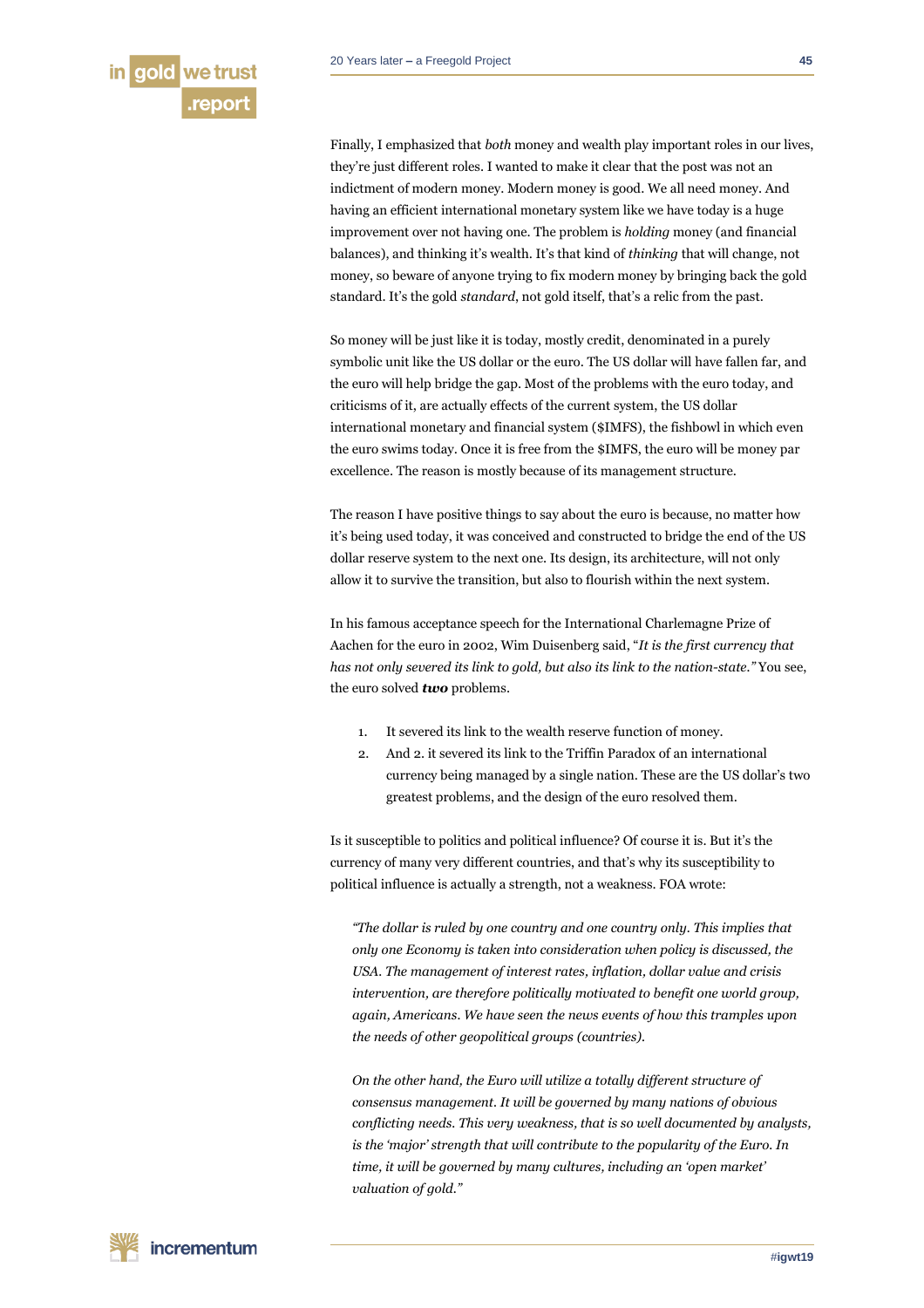Finally, I emphasized that *both* money and wealth play important roles in our lives, they're just different roles. I wanted to make it clear that the post was not an indictment of modern money. Modern money is good. We all need money. And having an efficient international monetary system like we have today is a huge improvement over not having one. The problem is *holding* money (and financial balances), and thinking it's wealth. It's that kind of *thinking* that will change, not money, so beware of anyone trying to fix modern money by bringing back the gold standard. It's the gold *standard*, not gold itself, that's a relic from the past.

So money will be just like it is today, mostly credit, denominated in a purely symbolic unit like the US dollar or the euro. The US dollar will have fallen far, and the euro will help bridge the gap. Most of the problems with the euro today, and criticisms of it, are actually effects of the current system, the US dollar international monetary and financial system (\$IMFS), the fishbowl in which even the euro swims today. Once it is free from the \$IMFS, the euro will be money par excellence. The reason is mostly because of its management structure.

The reason I have positive things to say about the euro is because, no matter how it's being used today, it was conceived and constructed to bridge the end of the US dollar reserve system to the next one. Its design, its architecture, will not only allow it to survive the transition, but also to flourish within the next system.

In his famous acceptance speech for the International Charlemagne Prize of Aachen for the euro in 2002, Wim Duisenberg said, "*It is the first currency that has not only severed its link to gold, but also its link to the nation-state."* You see, the euro solved *two* problems.

- 1. It severed its link to the wealth reserve function of money.
- 2. And 2. it severed its link to the Triffin Paradox of an international currency being managed by a single nation. These are the US dollar's two greatest problems, and the design of the euro resolved them.

Is it susceptible to politics and political influence? Of course it is. But it's the currency of many very different countries, and that's why its susceptibility to political influence is actually a strength, not a weakness. FOA wrote:

*"The dollar is ruled by one country and one country only. This implies that only one Economy is taken into consideration when policy is discussed, the USA. The management of interest rates, inflation, dollar value and crisis intervention, are therefore politically motivated to benefit one world group, again, Americans. We have seen the news events of how this tramples upon the needs of other geopolitical groups (countries).*

*On the other hand, the Euro will utilize a totally different structure of consensus management. It will be governed by many nations of obvious conflicting needs. This very weakness, that is so well documented by analysts, is the 'major' strength that will contribute to the popularity of the Euro. In time, it will be governed by many cultures, including an 'open market' valuation of gold."*